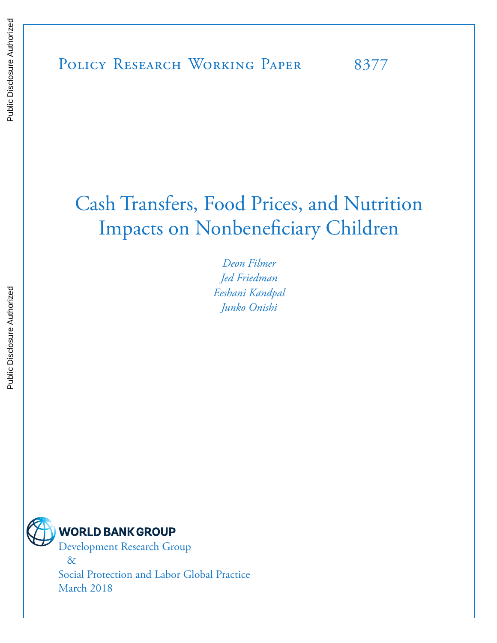# Cash Transfers, Food Prices, and Nutrition Impacts on Nonbeneficiary Children

*Deon Filmer Jed Friedman Eeshani Kandpal Junko Onishi*



Development Research Group &

Social Protection and Labor Global Practice March 2018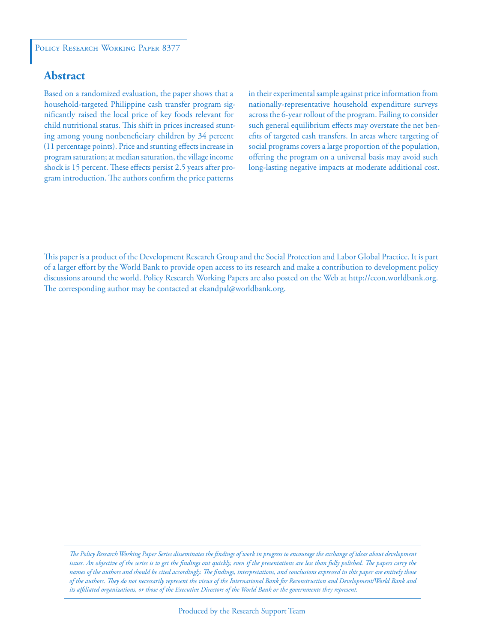# **Abstract**

Based on a randomized evaluation, the paper shows that a household-targeted Philippine cash transfer program significantly raised the local price of key foods relevant for child nutritional status. This shift in prices increased stunting among young nonbeneficiary children by 34 percent (11 percentage points). Price and stunting effects increase in program saturation; at median saturation, the village income shock is 15 percent. These effects persist 2.5 years after program introduction. The authors confirm the price patterns

in their experimental sample against price information from nationally-representative household expenditure surveys across the 6-year rollout of the program. Failing to consider such general equilibrium effects may overstate the net benefits of targeted cash transfers. In areas where targeting of social programs covers a large proportion of the population, offering the program on a universal basis may avoid such long-lasting negative impacts at moderate additional cost.

This paper is a product of the Development Research Group and the Social Protection and Labor Global Practice. It is part of a larger effort by the World Bank to provide open access to its research and make a contribution to development policy discussions around the world. Policy Research Working Papers are also posted on the Web at http://econ.worldbank.org. The corresponding author may be contacted at ekandpal@worldbank.org.

*The Policy Research Working Paper Series disseminates the findings of work in progress to encourage the exchange of ideas about development*  issues. An objective of the series is to get the findings out quickly, even if the presentations are less than fully polished. The papers carry the *names of the authors and should be cited accordingly. The findings, interpretations, and conclusions expressed in this paper are entirely those of the authors. They do not necessarily represent the views of the International Bank for Reconstruction and Development/World Bank and its affiliated organizations, or those of the Executive Directors of the World Bank or the governments they represent.*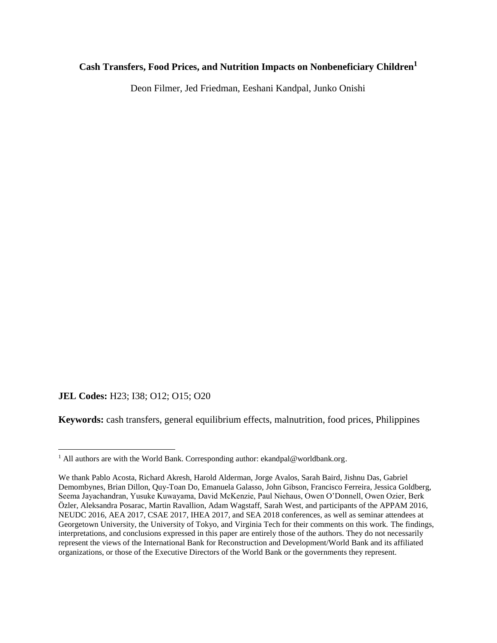# **Cash Transfers, Food Prices, and Nutrition Impacts on Nonbeneficiary Children<sup>1</sup>**

Deon Filmer, Jed Friedman, Eeshani Kandpal, Junko Onishi

# **JEL Codes:** H23; I38; O12; O15; O20

**Keywords:** cash transfers, general equilibrium effects, malnutrition, food prices, Philippines

<sup>&</sup>lt;sup>1</sup> All authors are with the World Bank. Corresponding author: ekandpal@worldbank.org.

We thank Pablo Acosta, Richard Akresh, Harold Alderman, Jorge Avalos, Sarah Baird, Jishnu Das, Gabriel Demombynes, Brian Dillon, Quy-Toan Do, Emanuela Galasso, John Gibson, Francisco Ferreira, Jessica Goldberg, Seema Jayachandran, Yusuke Kuwayama, David McKenzie, Paul Niehaus, Owen O'Donnell, Owen Ozier, Berk Özler, Aleksandra Posarac, Martin Ravallion, Adam Wagstaff, Sarah West, and participants of the APPAM 2016, NEUDC 2016, AEA 2017, CSAE 2017, IHEA 2017, and SEA 2018 conferences, as well as seminar attendees at Georgetown University, the University of Tokyo, and Virginia Tech for their comments on this work. The findings, interpretations, and conclusions expressed in this paper are entirely those of the authors. They do not necessarily represent the views of the International Bank for Reconstruction and Development/World Bank and its affiliated organizations, or those of the Executive Directors of the World Bank or the governments they represent.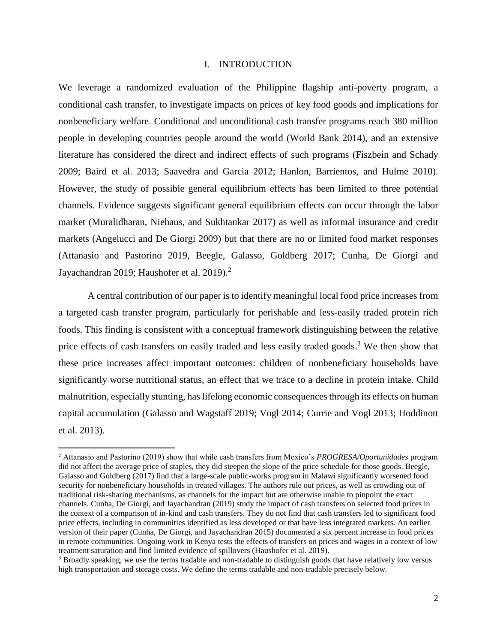#### I. INTRODUCTION

We leverage a randomized evaluation of the Philippine flagship anti-poverty program, a conditional cash transfer, to investigate impacts on prices of key food goods and implications for nonbeneficiary welfare. Conditional and unconditional cash transfer programs reach 380 million people in developing countries people around the world (World Bank 2014), and an extensive literature has considered the direct and indirect effects of such programs (Fiszbein and Schady 2009; Baird et al. 2013; Saavedra and Garcia 2012; Hanlon, Barrientos, and Hulme 2010). However, the study of possible general equilibrium effects has been limited to three potential channels. Evidence suggests significant general equilibrium effects can occur through the labor market (Muralidharan, Niehaus, and Sukhtankar 2017) as well as informal insurance and credit markets (Angelucci and De Giorgi 2009) but that there are no or limited food market responses (Attanasio and Pastorino 2019, Beegle, Galasso, Goldberg 2017; Cunha, De Giorgi and Jayachandran 2019; Haushofer et al. 2019).<sup>2</sup>

A central contribution of our paper is to identify meaningful local food price increases from a targeted cash transfer program, particularly for perishable and less-easily traded protein rich foods. This finding is consistent with a conceptual framework distinguishing between the relative price effects of cash transfers on easily traded and less easily traded goods.<sup>3</sup> We then show that these price increases affect important outcomes: children of nonbeneficiary households have significantly worse nutritional status, an effect that we trace to a decline in protein intake. Child malnutrition, especially stunting, has lifelong economic consequences through its effects on human capital accumulation (Galasso and Wagstaff 2019; Vogl 2014; Currie and Vogl 2013; Hoddinott et al. 2013).

<sup>2</sup> Attanasio and Pastorino (2019) show that while cash transfers from Mexico's *PROGRESA/Oportunidades* program did not affect the average price of staples, they did steepen the slope of the price schedule for those goods. Beegle, Galasso and Goldberg (2017) find that a large-scale public-works program in Malawi significantly worsened food security for nonbeneficiary households in treated villages. The authors rule out prices, as well as crowding out of traditional risk-sharing mechanisms, as channels for the impact but are otherwise unable to pinpoint the exact channels. Cunha, De Giorgi, and Jayachandran (2019) study the impact of cash transfers on selected food prices in the context of a comparison of in-kind and cash transfers. They do not find that cash transfers led to significant food price effects, including in communities identified as less developed or that have less integrated markets. An earlier version of their paper (Cunha, De Giorgi, and Jayachandran 2015) documented a six percent increase in food prices in remote communities. Ongoing work in Kenya tests the effects of transfers on prices and wages in a context of low treatment saturation and find limited evidence of spillovers (Haushofer et al. 2019).

<sup>&</sup>lt;sup>3</sup> Broadly speaking, we use the terms tradable and non-tradable to distinguish goods that have relatively low versus high transportation and storage costs. We define the terms tradable and non-tradable precisely below.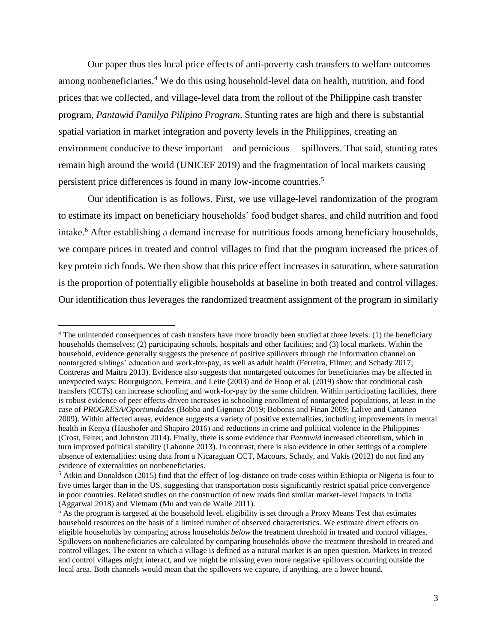Our paper thus ties local price effects of anti-poverty cash transfers to welfare outcomes among nonbeneficiaries. <sup>4</sup> We do this using household-level data on health, nutrition, and food prices that we collected, and village-level data from the rollout of the Philippine cash transfer program, *Pantawid Pamilya Pilipino Program*. Stunting rates are high and there is substantial spatial variation in market integration and poverty levels in the Philippines, creating an environment conducive to these important—and pernicious— spillovers. That said, stunting rates remain high around the world (UNICEF 2019) and the fragmentation of local markets causing persistent price differences is found in many low-income countries. 5

Our identification is as follows. First, we use village-level randomization of the program to estimate its impact on beneficiary households' food budget shares, and child nutrition and food intake.<sup>6</sup> After establishing a demand increase for nutritious foods among beneficiary households, we compare prices in treated and control villages to find that the program increased the prices of key protein rich foods. We then show that this price effect increases in saturation, where saturation is the proportion of potentially eligible households at baseline in both treated and control villages. Our identification thus leverages the randomized treatment assignment of the program in similarly

<sup>4</sup> The unintended consequences of cash transfers have more broadly been studied at three levels: (1) the beneficiary households themselves; (2) participating schools, hospitals and other facilities; and (3) local markets. Within the household, evidence generally suggests the presence of positive spillovers through the information channel on nontargeted siblings' education and work-for-pay, as well as adult health (Ferreira, Filmer, and Schady 2017; Contreras and Maitra 2013). Evidence also suggests that nontargeted outcomes for beneficiaries may be affected in unexpected ways: Bourguignon, Ferreira, and Leite (2003) and de Hoop et al. (2019) show that conditional cash transfers (CCTs) can increase schooling and work-for-pay by the same children. Within participating facilities, there is robust evidence of peer effects-driven increases in schooling enrollment of nontargeted populations, at least in the case of *PROGRESA/Oportunidades* (Bobba and Gignoux 2019; Bobonis and Finan 2009; Lalive and Cattaneo 2009). Within affected areas, evidence suggests a variety of positive externalities, including improvements in mental health in Kenya (Haushofer and Shapiro 2016) and reductions in crime and political violence in the Philippines (Crost, Felter, and Johnston 2014). Finally, there is some evidence that *Pantawid* increased clientelism, which in turn improved political stability (Labonne 2013). In contrast, there is also evidence in other settings of a complete absence of externalities: using data from a Nicaraguan CCT, Macours, Schady, and Vakis (2012) do not find any evidence of externalities on nonbeneficiaries.

<sup>5</sup> Atkin and Donaldson (2015) find that the effect of log-distance on trade costs within Ethiopia or Nigeria is four to five times larger than in the US, suggesting that transportation costs significantly restrict spatial price convergence in poor countries. Related studies on the construction of new roads find similar market-level impacts in India (Aggarwal 2018) and Vietnam (Mu and van de Walle 2011).

 $6$  As the program is targeted at the household level, eligibility is set through a Proxy Means Test that estimates household resources on the basis of a limited number of observed characteristics. We estimate direct effects on eligible households by comparing across households *below* the treatment threshold in treated and control villages. Spillovers on nonbeneficiaries are calculated by comparing households *above* the treatment threshold in treated and control villages. The extent to which a village is defined as a natural market is an open question. Markets in treated and control villages might interact, and we might be missing even more negative spillovers occurring outside the local area. Both channels would mean that the spillovers we capture, if anything, are a lower bound.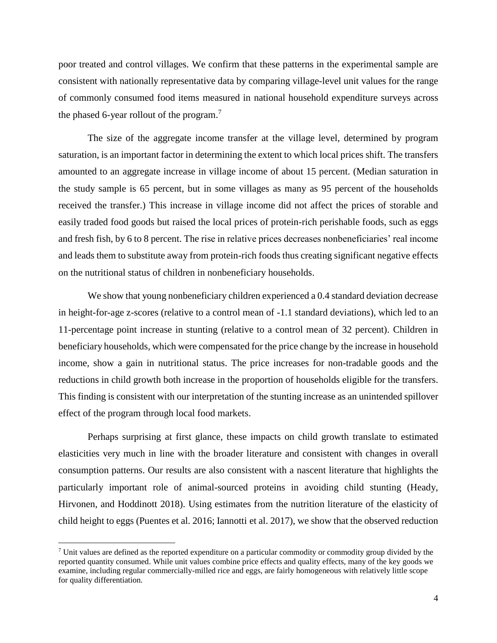poor treated and control villages. We confirm that these patterns in the experimental sample are consistent with nationally representative data by comparing village-level unit values for the range of commonly consumed food items measured in national household expenditure surveys across the phased 6-year rollout of the program.<sup>7</sup>

The size of the aggregate income transfer at the village level, determined by program saturation, is an important factor in determining the extent to which local prices shift. The transfers amounted to an aggregate increase in village income of about 15 percent. (Median saturation in the study sample is 65 percent, but in some villages as many as 95 percent of the households received the transfer.) This increase in village income did not affect the prices of storable and easily traded food goods but raised the local prices of protein-rich perishable foods, such as eggs and fresh fish, by 6 to 8 percent. The rise in relative prices decreases nonbeneficiaries' real income and leads them to substitute away from protein-rich foods thus creating significant negative effects on the nutritional status of children in nonbeneficiary households.

We show that young nonbeneficiary children experienced a 0.4 standard deviation decrease in height-for-age z-scores (relative to a control mean of -1.1 standard deviations), which led to an 11-percentage point increase in stunting (relative to a control mean of 32 percent). Children in beneficiary households, which were compensated for the price change by the increase in household income, show a gain in nutritional status. The price increases for non-tradable goods and the reductions in child growth both increase in the proportion of households eligible for the transfers. This finding is consistent with our interpretation of the stunting increase as an unintended spillover effect of the program through local food markets.

Perhaps surprising at first glance, these impacts on child growth translate to estimated elasticities very much in line with the broader literature and consistent with changes in overall consumption patterns. Our results are also consistent with a nascent literature that highlights the particularly important role of animal-sourced proteins in avoiding child stunting (Heady, Hirvonen, and Hoddinott 2018). Using estimates from the nutrition literature of the elasticity of child height to eggs (Puentes et al. 2016; Iannotti et al. 2017), we show that the observed reduction

 $\overline{a}$ 

 $<sup>7</sup>$  Unit values are defined as the reported expenditure on a particular commodity or commodity group divided by the</sup> reported quantity consumed. While unit values combine price effects and quality effects, many of the key goods we examine, including regular commercially-milled rice and eggs, are fairly homogeneous with relatively little scope for quality differentiation.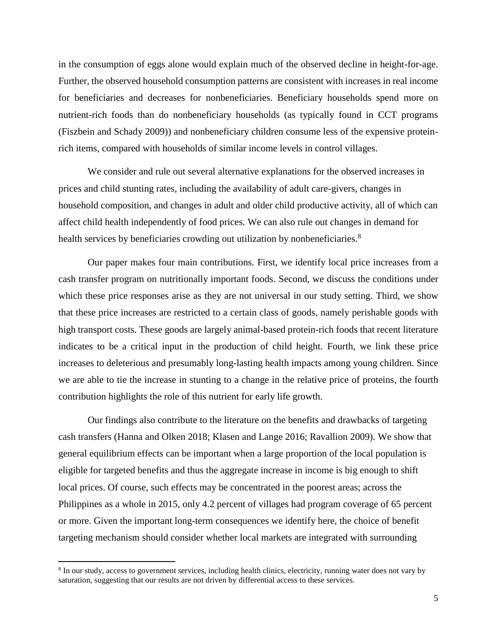in the consumption of eggs alone would explain much of the observed decline in height-for-age. Further, the observed household consumption patterns are consistent with increases in real income for beneficiaries and decreases for nonbeneficiaries. Beneficiary households spend more on nutrient-rich foods than do nonbeneficiary households (as typically found in CCT programs (Fiszbein and Schady 2009)) and nonbeneficiary children consume less of the expensive proteinrich items, compared with households of similar income levels in control villages.

We consider and rule out several alternative explanations for the observed increases in prices and child stunting rates, including the availability of adult care-givers, changes in household composition, and changes in adult and older child productive activity, all of which can affect child health independently of food prices. We can also rule out changes in demand for health services by beneficiaries crowding out utilization by nonbeneficiaries.<sup>8</sup>

Our paper makes four main contributions. First, we identify local price increases from a cash transfer program on nutritionally important foods. Second, we discuss the conditions under which these price responses arise as they are not universal in our study setting. Third, we show that these price increases are restricted to a certain class of goods, namely perishable goods with high transport costs. These goods are largely animal-based protein-rich foods that recent literature indicates to be a critical input in the production of child height. Fourth, we link these price increases to deleterious and presumably long-lasting health impacts among young children. Since we are able to tie the increase in stunting to a change in the relative price of proteins, the fourth contribution highlights the role of this nutrient for early life growth.

Our findings also contribute to the literature on the benefits and drawbacks of targeting cash transfers (Hanna and Olken 2018; Klasen and Lange 2016; Ravallion 2009). We show that general equilibrium effects can be important when a large proportion of the local population is eligible for targeted benefits and thus the aggregate increase in income is big enough to shift local prices. Of course, such effects may be concentrated in the poorest areas; across the Philippines as a whole in 2015, only 4.2 percent of villages had program coverage of 65 percent or more. Given the important long-term consequences we identify here, the choice of benefit targeting mechanism should consider whether local markets are integrated with surrounding

 $\overline{a}$ 

<sup>&</sup>lt;sup>8</sup> In our study, access to government services, including health clinics, electricity, running water does not vary by saturation, suggesting that our results are not driven by differential access to these services.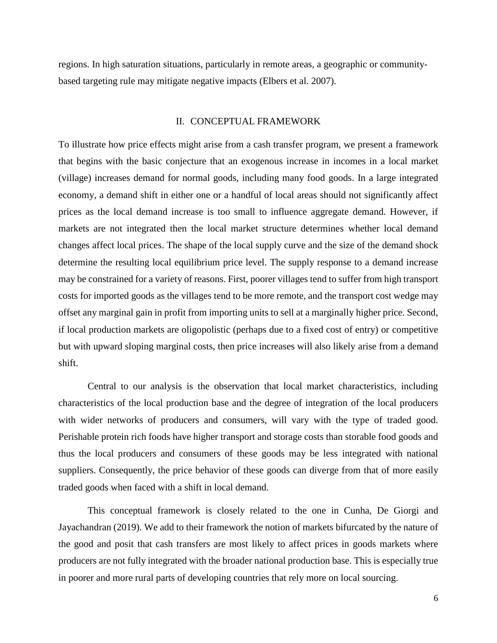regions. In high saturation situations, particularly in remote areas, a geographic or communitybased targeting rule may mitigate negative impacts (Elbers et al. 2007).

#### II. CONCEPTUAL FRAMEWORK

To illustrate how price effects might arise from a cash transfer program, we present a framework that begins with the basic conjecture that an exogenous increase in incomes in a local market (village) increases demand for normal goods, including many food goods. In a large integrated economy, a demand shift in either one or a handful of local areas should not significantly affect prices as the local demand increase is too small to influence aggregate demand. However, if markets are not integrated then the local market structure determines whether local demand changes affect local prices. The shape of the local supply curve and the size of the demand shock determine the resulting local equilibrium price level. The supply response to a demand increase may be constrained for a variety of reasons. First, poorer villages tend to suffer from high transport costs for imported goods as the villages tend to be more remote, and the transport cost wedge may offset any marginal gain in profit from importing units to sell at a marginally higher price. Second, if local production markets are oligopolistic (perhaps due to a fixed cost of entry) or competitive but with upward sloping marginal costs, then price increases will also likely arise from a demand shift.

Central to our analysis is the observation that local market characteristics, including characteristics of the local production base and the degree of integration of the local producers with wider networks of producers and consumers, will vary with the type of traded good. Perishable protein rich foods have higher transport and storage costs than storable food goods and thus the local producers and consumers of these goods may be less integrated with national suppliers. Consequently, the price behavior of these goods can diverge from that of more easily traded goods when faced with a shift in local demand.

This conceptual framework is closely related to the one in Cunha, De Giorgi and Jayachandran (2019). We add to their framework the notion of markets bifurcated by the nature of the good and posit that cash transfers are most likely to affect prices in goods markets where producers are not fully integrated with the broader national production base. This is especially true in poorer and more rural parts of developing countries that rely more on local sourcing.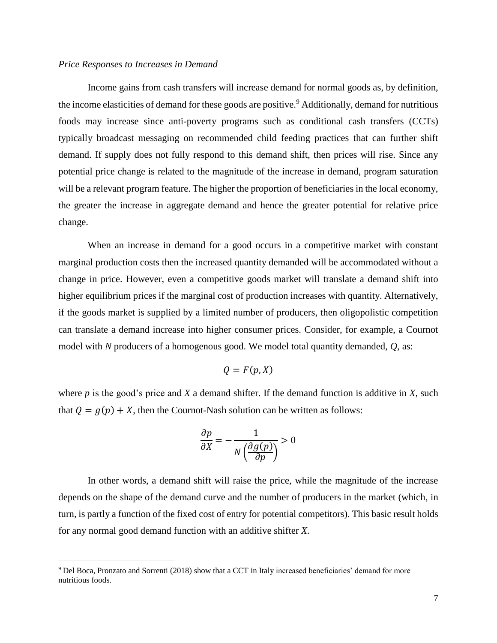#### *Price Responses to Increases in Demand*

Income gains from cash transfers will increase demand for normal goods as, by definition, the income elasticities of demand for these goods are positive.<sup>9</sup> Additionally, demand for nutritious foods may increase since anti-poverty programs such as conditional cash transfers (CCTs) typically broadcast messaging on recommended child feeding practices that can further shift demand. If supply does not fully respond to this demand shift, then prices will rise. Since any potential price change is related to the magnitude of the increase in demand, program saturation will be a relevant program feature. The higher the proportion of beneficiaries in the local economy, the greater the increase in aggregate demand and hence the greater potential for relative price change.

When an increase in demand for a good occurs in a competitive market with constant marginal production costs then the increased quantity demanded will be accommodated without a change in price. However, even a competitive goods market will translate a demand shift into higher equilibrium prices if the marginal cost of production increases with quantity. Alternatively, if the goods market is supplied by a limited number of producers, then oligopolistic competition can translate a demand increase into higher consumer prices. Consider, for example, a Cournot model with *N* producers of a homogenous good. We model total quantity demanded, *Q*, as:

$$
Q=F(p,X)
$$

where  $p$  is the good's price and  $X$  a demand shifter. If the demand function is additive in  $X$ , such that  $Q = g(p) + X$ , then the Cournot-Nash solution can be written as follows:

$$
\frac{\partial p}{\partial X} = -\frac{1}{N\left(\frac{\partial g(p)}{\partial p}\right)} > 0
$$

In other words, a demand shift will raise the price, while the magnitude of the increase depends on the shape of the demand curve and the number of producers in the market (which, in turn, is partly a function of the fixed cost of entry for potential competitors). This basic result holds for any normal good demand function with an additive shifter *X*.

l

<sup>9</sup> Del Boca, Pronzato and Sorrenti (2018) show that a CCT in Italy increased beneficiaries' demand for more nutritious foods.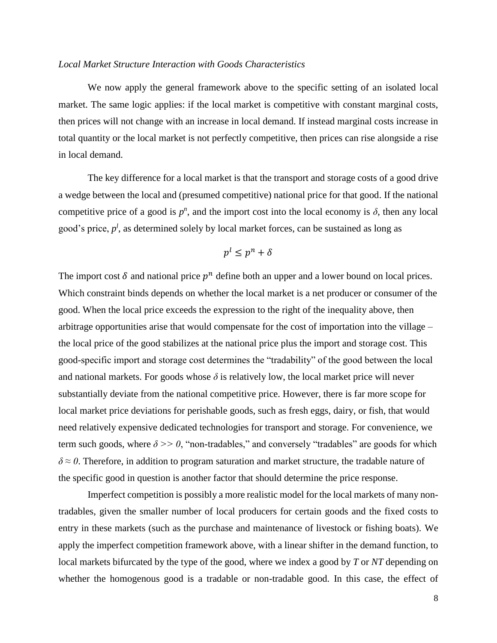#### *Local Market Structure Interaction with Goods Characteristics*

We now apply the general framework above to the specific setting of an isolated local market. The same logic applies: if the local market is competitive with constant marginal costs, then prices will not change with an increase in local demand. If instead marginal costs increase in total quantity or the local market is not perfectly competitive, then prices can rise alongside a rise in local demand.

The key difference for a local market is that the transport and storage costs of a good drive a wedge between the local and (presumed competitive) national price for that good. If the national competitive price of a good is  $p^n$ , and the import cost into the local economy is  $\delta$ , then any local good's price,  $p^l$ , as determined solely by local market forces, can be sustained as long as

$$
p^l \le p^n + \delta
$$

The import cost  $\delta$  and national price  $p^n$  define both an upper and a lower bound on local prices. Which constraint binds depends on whether the local market is a net producer or consumer of the good. When the local price exceeds the expression to the right of the inequality above, then arbitrage opportunities arise that would compensate for the cost of importation into the village – the local price of the good stabilizes at the national price plus the import and storage cost. This good-specific import and storage cost determines the "tradability" of the good between the local and national markets. For goods whose  $\delta$  is relatively low, the local market price will never substantially deviate from the national competitive price. However, there is far more scope for local market price deviations for perishable goods, such as fresh eggs, dairy, or fish, that would need relatively expensive dedicated technologies for transport and storage. For convenience, we term such goods, where  $\delta \gg 0$ , "non-tradables," and conversely "tradables" are goods for which *δ ≈ 0*. Therefore, in addition to program saturation and market structure, the tradable nature of the specific good in question is another factor that should determine the price response.

Imperfect competition is possibly a more realistic model for the local markets of many nontradables, given the smaller number of local producers for certain goods and the fixed costs to entry in these markets (such as the purchase and maintenance of livestock or fishing boats). We apply the imperfect competition framework above, with a linear shifter in the demand function, to local markets bifurcated by the type of the good, where we index a good by *T* or *NT* depending on whether the homogenous good is a tradable or non-tradable good. In this case, the effect of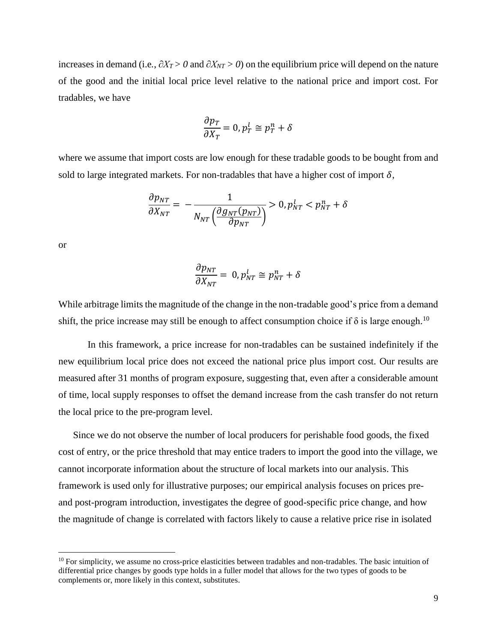increases in demand (i.e*.*, *∂XT > 0* and *∂XNT > 0*) on the equilibrium price will depend on the nature of the good and the initial local price level relative to the national price and import cost. For tradables, we have

$$
\frac{\partial p_T}{\partial X_T} = 0, p_T^l \cong p_T^n + \delta
$$

where we assume that import costs are low enough for these tradable goods to be bought from and sold to large integrated markets. For non-tradables that have a higher cost of import  $\delta$ ,

$$
\frac{\partial p_{NT}}{\partial X_{NT}} = -\frac{1}{N_{NT} \left(\frac{\partial g_{NT}(p_{NT})}{\partial p_{NT}}\right)} > 0, p_{NT}^l < p_{NT}^n + \delta
$$

or

 $\overline{\phantom{a}}$ 

$$
\frac{\partial p_{NT}}{\partial X_{NT}} = 0, p_{NT}^l \cong p_{NT}^n + \delta
$$

While arbitrage limits the magnitude of the change in the non-tradable good's price from a demand shift, the price increase may still be enough to affect consumption choice if  $\delta$  is large enough.<sup>10</sup>

In this framework, a price increase for non-tradables can be sustained indefinitely if the new equilibrium local price does not exceed the national price plus import cost. Our results are measured after 31 months of program exposure, suggesting that, even after a considerable amount of time, local supply responses to offset the demand increase from the cash transfer do not return the local price to the pre-program level.

Since we do not observe the number of local producers for perishable food goods, the fixed cost of entry, or the price threshold that may entice traders to import the good into the village, we cannot incorporate information about the structure of local markets into our analysis. This framework is used only for illustrative purposes; our empirical analysis focuses on prices preand post-program introduction, investigates the degree of good-specific price change, and how the magnitude of change is correlated with factors likely to cause a relative price rise in isolated

 $10$  For simplicity, we assume no cross-price elasticities between tradables and non-tradables. The basic intuition of differential price changes by goods type holds in a fuller model that allows for the two types of goods to be complements or, more likely in this context, substitutes.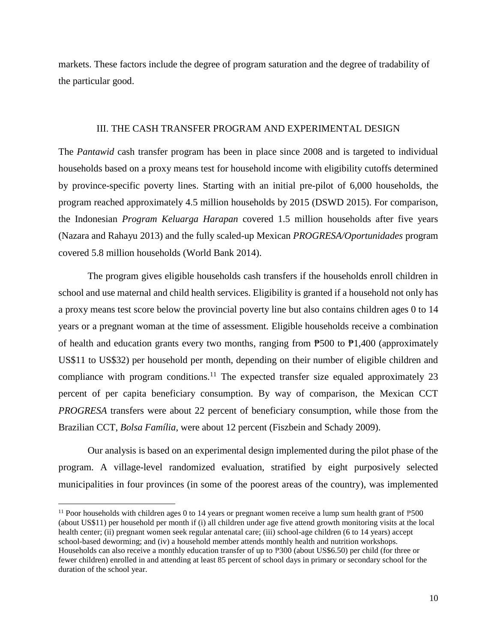markets. These factors include the degree of program saturation and the degree of tradability of the particular good.

#### III. THE CASH TRANSFER PROGRAM AND EXPERIMENTAL DESIGN

The *Pantawid* cash transfer program has been in place since 2008 and is targeted to individual households based on a proxy means test for household income with eligibility cutoffs determined by province-specific poverty lines. Starting with an initial pre-pilot of 6,000 households, the program reached approximately 4.5 million households by 2015 (DSWD 2015). For comparison, the Indonesian *Program Keluarga Harapan* covered 1.5 million households after five years (Nazara and Rahayu 2013) and the fully scaled-up Mexican *PROGRESA/Oportunidades* program covered 5.8 million households (World Bank 2014).

The program gives eligible households cash transfers if the households enroll children in school and use maternal and child health services. Eligibility is granted if a household not only has a proxy means test score below the provincial poverty line but also contains children ages 0 to 14 years or a pregnant woman at the time of assessment. Eligible households receive a combination of health and education grants every two months, ranging from  $\overline{P}500$  to  $\overline{P}1,400$  (approximately US\$11 to US\$32) per household per month, depending on their number of eligible children and compliance with program conditions.<sup>11</sup> The expected transfer size equaled approximately 23 percent of per capita beneficiary consumption. By way of comparison, the Mexican CCT *PROGRESA* transfers were about 22 percent of beneficiary consumption, while those from the Brazilian CCT, *Bolsa Família*, were about 12 percent (Fiszbein and Schady 2009).

Our analysis is based on an experimental design implemented during the pilot phase of the program. A village-level randomized evaluation, stratified by eight purposively selected municipalities in four provinces (in some of the poorest areas of the country), was implemented

 $\overline{a}$ 

<sup>&</sup>lt;sup>11</sup> Poor households with children ages 0 to 14 years or pregnant women receive a lump sum health grant of  $P_{500}$ (about US\$11) per household per month if (i) all children under age five attend growth monitoring visits at the local health center; (ii) pregnant women seek regular antenatal care; (iii) school-age children (6 to 14 years) accept school-based deworming; and (iv) a household member attends monthly health and nutrition workshops. Households can also receive a monthly education transfer of up to ₱300 (about US\$6.50) per child (for three or fewer children) enrolled in and attending at least 85 percent of school days in primary or secondary school for the duration of the school year.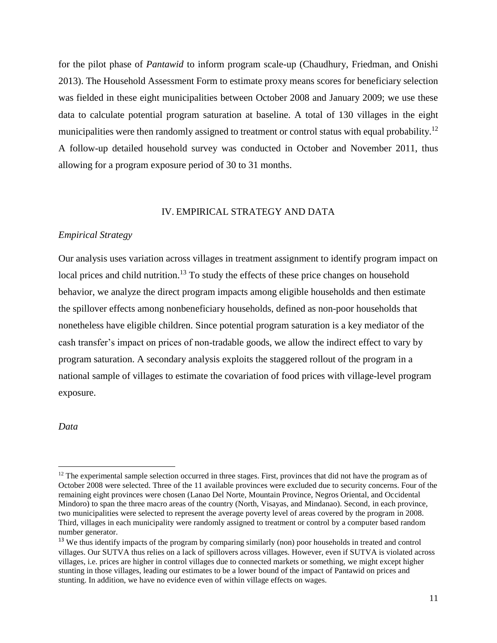for the pilot phase of *Pantawid* to inform program scale-up (Chaudhury, Friedman, and Onishi 2013). The Household Assessment Form to estimate proxy means scores for beneficiary selection was fielded in these eight municipalities between October 2008 and January 2009; we use these data to calculate potential program saturation at baseline. A total of 130 villages in the eight municipalities were then randomly assigned to treatment or control status with equal probability.<sup>12</sup> A follow-up detailed household survey was conducted in October and November 2011, thus allowing for a program exposure period of 30 to 31 months.

# IV. EMPIRICAL STRATEGY AND DATA

#### *Empirical Strategy*

Our analysis uses variation across villages in treatment assignment to identify program impact on local prices and child nutrition.<sup>13</sup> To study the effects of these price changes on household behavior, we analyze the direct program impacts among eligible households and then estimate the spillover effects among nonbeneficiary households, defined as non-poor households that nonetheless have eligible children. Since potential program saturation is a key mediator of the cash transfer's impact on prices of non-tradable goods, we allow the indirect effect to vary by program saturation. A secondary analysis exploits the staggered rollout of the program in a national sample of villages to estimate the covariation of food prices with village-level program exposure.

*Data*

l

 $12$  The experimental sample selection occurred in three stages. First, provinces that did not have the program as of October 2008 were selected. Three of the 11 available provinces were excluded due to security concerns. Four of the remaining eight provinces were chosen (Lanao Del Norte, Mountain Province, Negros Oriental, and Occidental Mindoro) to span the three macro areas of the country (North, Visayas, and Mindanao). Second, in each province, two municipalities were selected to represent the average poverty level of areas covered by the program in 2008. Third, villages in each municipality were randomly assigned to treatment or control by a computer based random number generator.

<sup>&</sup>lt;sup>13</sup> We thus identify impacts of the program by comparing similarly (non) poor households in treated and control villages. Our SUTVA thus relies on a lack of spillovers across villages. However, even if SUTVA is violated across villages, i.e. prices are higher in control villages due to connected markets or something, we might except higher stunting in those villages, leading our estimates to be a lower bound of the impact of Pantawid on prices and stunting. In addition, we have no evidence even of within village effects on wages.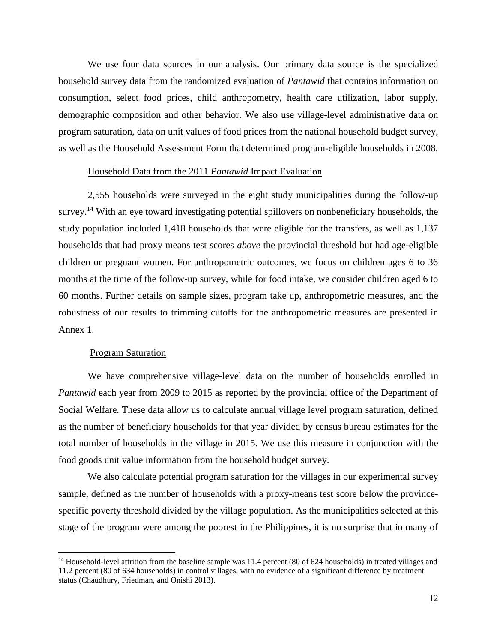We use four data sources in our analysis. Our primary data source is the specialized household survey data from the randomized evaluation of *Pantawid* that contains information on consumption, select food prices, child anthropometry, health care utilization, labor supply, demographic composition and other behavior. We also use village-level administrative data on program saturation, data on unit values of food prices from the national household budget survey, as well as the Household Assessment Form that determined program-eligible households in 2008.

#### Household Data from the 2011 *Pantawid* Impact Evaluation

2,555 households were surveyed in the eight study municipalities during the follow-up survey.<sup>14</sup> With an eye toward investigating potential spillovers on nonbeneficiary households, the study population included 1,418 households that were eligible for the transfers, as well as 1,137 households that had proxy means test scores *above* the provincial threshold but had age-eligible children or pregnant women. For anthropometric outcomes, we focus on children ages 6 to 36 months at the time of the follow-up survey, while for food intake, we consider children aged 6 to 60 months. Further details on sample sizes, program take up, anthropometric measures, and the robustness of our results to trimming cutoffs for the anthropometric measures are presented in Annex 1.

#### Program Saturation

 $\overline{\phantom{a}}$ 

We have comprehensive village-level data on the number of households enrolled in *Pantawid* each year from 2009 to 2015 as reported by the provincial office of the Department of Social Welfare. These data allow us to calculate annual village level program saturation, defined as the number of beneficiary households for that year divided by census bureau estimates for the total number of households in the village in 2015. We use this measure in conjunction with the food goods unit value information from the household budget survey.

We also calculate potential program saturation for the villages in our experimental survey sample, defined as the number of households with a proxy-means test score below the provincespecific poverty threshold divided by the village population. As the municipalities selected at this stage of the program were among the poorest in the Philippines, it is no surprise that in many of

<sup>&</sup>lt;sup>14</sup> Household-level attrition from the baseline sample was 11.4 percent (80 of 624 households) in treated villages and 11.2 percent (80 of 634 households) in control villages, with no evidence of a significant difference by treatment status (Chaudhury, Friedman, and Onishi 2013).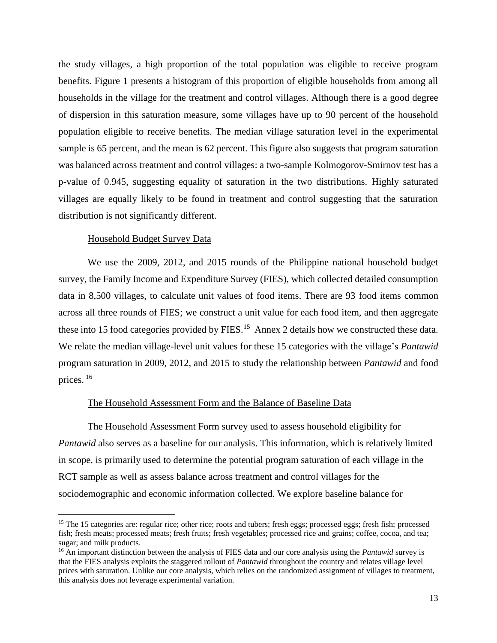the study villages, a high proportion of the total population was eligible to receive program benefits. Figure 1 presents a histogram of this proportion of eligible households from among all households in the village for the treatment and control villages. Although there is a good degree of dispersion in this saturation measure, some villages have up to 90 percent of the household population eligible to receive benefits. The median village saturation level in the experimental sample is 65 percent, and the mean is 62 percent. This figure also suggests that program saturation was balanced across treatment and control villages: a two-sample Kolmogorov-Smirnov test has a p-value of 0.945, suggesting equality of saturation in the two distributions. Highly saturated villages are equally likely to be found in treatment and control suggesting that the saturation distribution is not significantly different.

#### Household Budget Survey Data

 $\overline{\phantom{a}}$ 

We use the 2009, 2012, and 2015 rounds of the Philippine national household budget survey, the Family Income and Expenditure Survey (FIES), which collected detailed consumption data in 8,500 villages, to calculate unit values of food items. There are 93 food items common across all three rounds of FIES; we construct a unit value for each food item, and then aggregate these into 15 food categories provided by FIES.<sup>15</sup> Annex 2 details how we constructed these data. We relate the median village-level unit values for these 15 categories with the village's *Pantawid* program saturation in 2009, 2012, and 2015 to study the relationship between *Pantawid* and food prices. <sup>16</sup>

#### The Household Assessment Form and the Balance of Baseline Data

The Household Assessment Form survey used to assess household eligibility for *Pantawid* also serves as a baseline for our analysis. This information, which is relatively limited in scope, is primarily used to determine the potential program saturation of each village in the RCT sample as well as assess balance across treatment and control villages for the sociodemographic and economic information collected. We explore baseline balance for

<sup>&</sup>lt;sup>15</sup> The 15 categories are: regular rice; other rice; roots and tubers; fresh eggs; processed eggs; fresh fish; processed fish; fresh meats; processed meats; fresh fruits; fresh vegetables; processed rice and grains; coffee, cocoa, and tea; sugar; and milk products.

<sup>16</sup> An important distinction between the analysis of FIES data and our core analysis using the *Pantawid* survey is that the FIES analysis exploits the staggered rollout of *Pantawid* throughout the country and relates village level prices with saturation. Unlike our core analysis, which relies on the randomized assignment of villages to treatment, this analysis does not leverage experimental variation.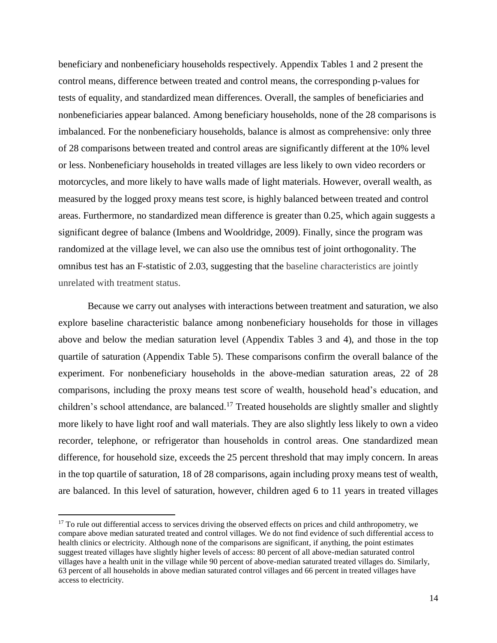beneficiary and nonbeneficiary households respectively. Appendix Tables 1 and 2 present the control means, difference between treated and control means, the corresponding p-values for tests of equality, and standardized mean differences. Overall, the samples of beneficiaries and nonbeneficiaries appear balanced. Among beneficiary households, none of the 28 comparisons is imbalanced. For the nonbeneficiary households, balance is almost as comprehensive: only three of 28 comparisons between treated and control areas are significantly different at the 10% level or less. Nonbeneficiary households in treated villages are less likely to own video recorders or motorcycles, and more likely to have walls made of light materials. However, overall wealth, as measured by the logged proxy means test score, is highly balanced between treated and control areas. Furthermore, no standardized mean difference is greater than 0.25, which again suggests a significant degree of balance (Imbens and Wooldridge, 2009). Finally, since the program was randomized at the village level, we can also use the omnibus test of joint orthogonality. The omnibus test has an F-statistic of 2.03, suggesting that the baseline characteristics are jointly unrelated with treatment status.

Because we carry out analyses with interactions between treatment and saturation, we also explore baseline characteristic balance among nonbeneficiary households for those in villages above and below the median saturation level (Appendix Tables 3 and 4), and those in the top quartile of saturation (Appendix Table 5). These comparisons confirm the overall balance of the experiment. For nonbeneficiary households in the above-median saturation areas, 22 of 28 comparisons, including the proxy means test score of wealth, household head's education, and children's school attendance, are balanced.<sup>17</sup> Treated households are slightly smaller and slightly more likely to have light roof and wall materials. They are also slightly less likely to own a video recorder, telephone, or refrigerator than households in control areas. One standardized mean difference, for household size, exceeds the 25 percent threshold that may imply concern. In areas in the top quartile of saturation, 18 of 28 comparisons, again including proxy means test of wealth, are balanced. In this level of saturation, however, children aged 6 to 11 years in treated villages

 $\overline{\phantom{a}}$ 

 $17$  To rule out differential access to services driving the observed effects on prices and child anthropometry, we compare above median saturated treated and control villages. We do not find evidence of such differential access to health clinics or electricity. Although none of the comparisons are significant, if anything, the point estimates suggest treated villages have slightly higher levels of access: 80 percent of all above-median saturated control villages have a health unit in the village while 90 percent of above-median saturated treated villages do. Similarly, 63 percent of all households in above median saturated control villages and 66 percent in treated villages have access to electricity.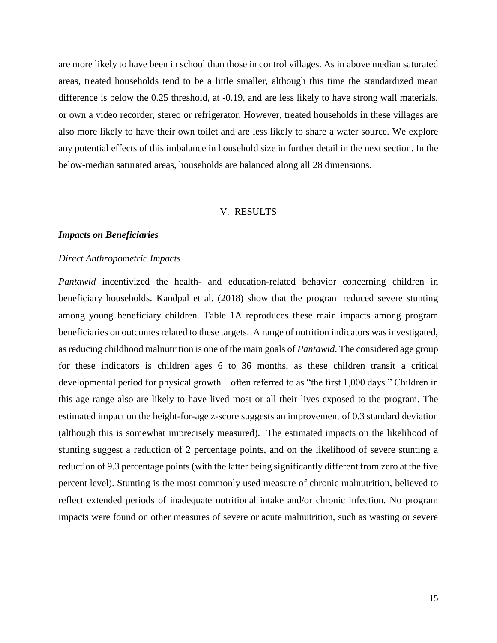are more likely to have been in school than those in control villages. As in above median saturated areas, treated households tend to be a little smaller, although this time the standardized mean difference is below the 0.25 threshold, at -0.19, and are less likely to have strong wall materials, or own a video recorder, stereo or refrigerator. However, treated households in these villages are also more likely to have their own toilet and are less likely to share a water source. We explore any potential effects of this imbalance in household size in further detail in the next section. In the below-median saturated areas, households are balanced along all 28 dimensions.

# V. RESULTS

#### *Impacts on Beneficiaries*

#### *Direct Anthropometric Impacts*

*Pantawid* incentivized the health- and education-related behavior concerning children in beneficiary households. Kandpal et al. (2018) show that the program reduced severe stunting among young beneficiary children. Table 1A reproduces these main impacts among program beneficiaries on outcomes related to these targets. A range of nutrition indicators was investigated, as reducing childhood malnutrition is one of the main goals of *Pantawid*. The considered age group for these indicators is children ages 6 to 36 months, as these children transit a critical developmental period for physical growth—often referred to as "the first 1,000 days." Children in this age range also are likely to have lived most or all their lives exposed to the program. The estimated impact on the height-for-age z-score suggests an improvement of 0.3 standard deviation (although this is somewhat imprecisely measured). The estimated impacts on the likelihood of stunting suggest a reduction of 2 percentage points, and on the likelihood of severe stunting a reduction of 9.3 percentage points (with the latter being significantly different from zero at the five percent level). Stunting is the most commonly used measure of chronic malnutrition, believed to reflect extended periods of inadequate nutritional intake and/or chronic infection. No program impacts were found on other measures of severe or acute malnutrition, such as wasting or severe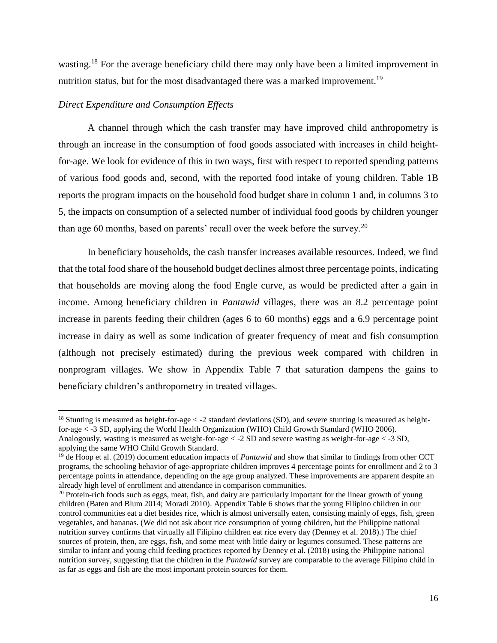wasting.<sup>18</sup> For the average beneficiary child there may only have been a limited improvement in nutrition status, but for the most disadvantaged there was a marked improvement.<sup>19</sup>

# *Direct Expenditure and Consumption Effects*

l

A channel through which the cash transfer may have improved child anthropometry is through an increase in the consumption of food goods associated with increases in child heightfor-age. We look for evidence of this in two ways, first with respect to reported spending patterns of various food goods and, second, with the reported food intake of young children. Table 1B reports the program impacts on the household food budget share in column 1 and, in columns 3 to 5, the impacts on consumption of a selected number of individual food goods by children younger than age 60 months, based on parents' recall over the week before the survey.<sup>20</sup>

In beneficiary households, the cash transfer increases available resources. Indeed, we find that the total food share of the household budget declines almost three percentage points, indicating that households are moving along the food Engle curve, as would be predicted after a gain in income. Among beneficiary children in *Pantawid* villages, there was an 8.2 percentage point increase in parents feeding their children (ages 6 to 60 months) eggs and a 6.9 percentage point increase in dairy as well as some indication of greater frequency of meat and fish consumption (although not precisely estimated) during the previous week compared with children in nonprogram villages. We show in Appendix Table 7 that saturation dampens the gains to beneficiary children's anthropometry in treated villages.

<sup>&</sup>lt;sup>18</sup> Stunting is measured as height-for-age  $\lt$  -2 standard deviations (SD), and severe stunting is measured as heightfor-age < -3 SD, applying the World Health Organization (WHO) Child Growth Standard (WHO 2006). Analogously, wasting is measured as weight-for-age < -2 SD and severe wasting as weight-for-age < -3 SD, applying the same WHO Child Growth Standard.

<sup>&</sup>lt;sup>19</sup> de Hoop et al. (2019) document education impacts of *Pantawid* and show that similar to findings from other CCT programs, the schooling behavior of age-appropriate children improves 4 percentage points for enrollment and 2 to 3 percentage points in attendance, depending on the age group analyzed. These improvements are apparent despite an already high level of enrollment and attendance in comparison communities.

 $20$  Protein-rich foods such as eggs, meat, fish, and dairy are particularly important for the linear growth of young children (Baten and Blum 2014; Moradi 2010). Appendix Table 6 shows that the young Filipino children in our control communities eat a diet besides rice, which is almost universally eaten, consisting mainly of eggs, fish, green vegetables, and bananas. (We did not ask about rice consumption of young children, but the Philippine national nutrition survey confirms that virtually all Filipino children eat rice every day (Denney et al. 2018).) The chief sources of protein, then, are eggs, fish, and some meat with little dairy or legumes consumed. These patterns are similar to infant and young child feeding practices reported by Denney et al. (2018) using the Philippine national nutrition survey, suggesting that the children in the *Pantawid* survey are comparable to the average Filipino child in as far as eggs and fish are the most important protein sources for them.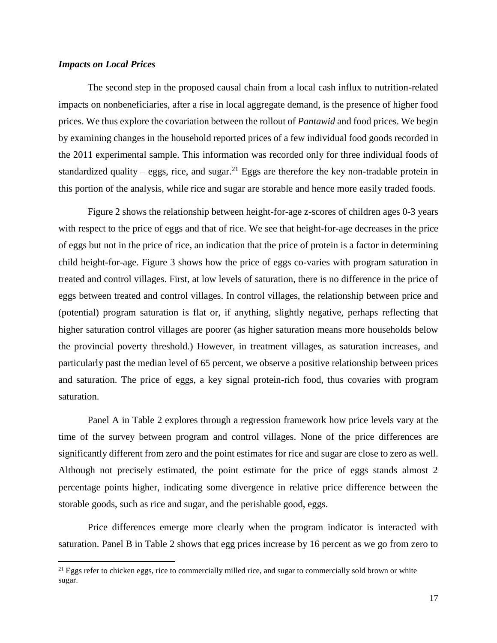# *Impacts on Local Prices*

 $\overline{a}$ 

The second step in the proposed causal chain from a local cash influx to nutrition-related impacts on nonbeneficiaries, after a rise in local aggregate demand, is the presence of higher food prices. We thus explore the covariation between the rollout of *Pantawid* and food prices. We begin by examining changes in the household reported prices of a few individual food goods recorded in the 2011 experimental sample. This information was recorded only for three individual foods of standardized quality – eggs, rice, and sugar.<sup>21</sup> Eggs are therefore the key non-tradable protein in this portion of the analysis, while rice and sugar are storable and hence more easily traded foods.

Figure 2 shows the relationship between height-for-age z-scores of children ages 0-3 years with respect to the price of eggs and that of rice. We see that height-for-age decreases in the price of eggs but not in the price of rice, an indication that the price of protein is a factor in determining child height-for-age. Figure 3 shows how the price of eggs co-varies with program saturation in treated and control villages. First, at low levels of saturation, there is no difference in the price of eggs between treated and control villages. In control villages, the relationship between price and (potential) program saturation is flat or, if anything, slightly negative, perhaps reflecting that higher saturation control villages are poorer (as higher saturation means more households below the provincial poverty threshold.) However, in treatment villages, as saturation increases, and particularly past the median level of 65 percent, we observe a positive relationship between prices and saturation. The price of eggs, a key signal protein-rich food, thus covaries with program saturation.

Panel A in Table 2 explores through a regression framework how price levels vary at the time of the survey between program and control villages. None of the price differences are significantly different from zero and the point estimates for rice and sugar are close to zero as well. Although not precisely estimated, the point estimate for the price of eggs stands almost 2 percentage points higher, indicating some divergence in relative price difference between the storable goods, such as rice and sugar, and the perishable good, eggs.

Price differences emerge more clearly when the program indicator is interacted with saturation. Panel B in Table 2 shows that egg prices increase by 16 percent as we go from zero to

<sup>&</sup>lt;sup>21</sup> Eggs refer to chicken eggs, rice to commercially milled rice, and sugar to commercially sold brown or white sugar.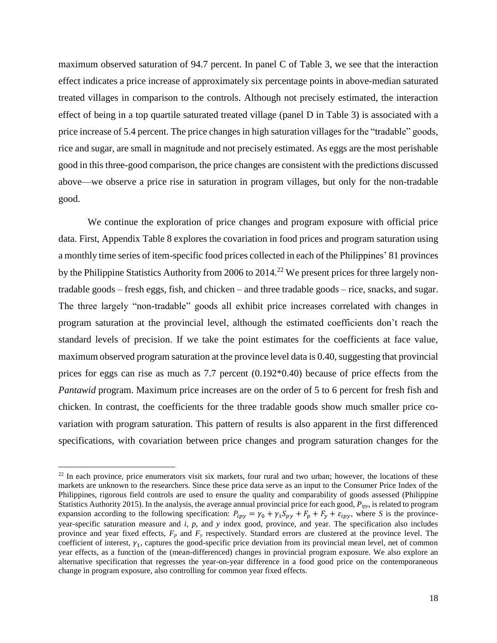maximum observed saturation of 94.7 percent. In panel C of Table 3, we see that the interaction effect indicates a price increase of approximately six percentage points in above-median saturated treated villages in comparison to the controls. Although not precisely estimated, the interaction effect of being in a top quartile saturated treated village (panel D in Table 3) is associated with a price increase of 5.4 percent. The price changes in high saturation villages for the "tradable" goods, rice and sugar, are small in magnitude and not precisely estimated. As eggs are the most perishable good in this three-good comparison, the price changes are consistent with the predictions discussed above—we observe a price rise in saturation in program villages, but only for the non-tradable good.

We continue the exploration of price changes and program exposure with official price data. First, Appendix Table 8 explores the covariation in food prices and program saturation using a monthly time series of item-specific food prices collected in each of the Philippines' 81 provinces by the Philippine Statistics Authority from 2006 to 2014.<sup>22</sup> We present prices for three largely nontradable goods – fresh eggs, fish, and chicken – and three tradable goods – rice, snacks, and sugar. The three largely "non-tradable" goods all exhibit price increases correlated with changes in program saturation at the provincial level, although the estimated coefficients don't reach the standard levels of precision. If we take the point estimates for the coefficients at face value, maximum observed program saturation at the province level data is 0.40, suggesting that provincial prices for eggs can rise as much as 7.7 percent (0.192\*0.40) because of price effects from the *Pantawid* program. Maximum price increases are on the order of 5 to 6 percent for fresh fish and chicken. In contrast, the coefficients for the three tradable goods show much smaller price covariation with program saturation. This pattern of results is also apparent in the first differenced specifications, with covariation between price changes and program saturation changes for the

l

 $^{22}$  In each province, price enumerators visit six markets, four rural and two urban; however, the locations of these markets are unknown to the researchers. Since these price data serve as an input to the Consumer Price Index of the Philippines, rigorous field controls are used to ensure the quality and comparability of goods assessed (Philippine Statistics Authority 2015). In the analysis, the average annual provincial price for each good, *Pipy*, is related to program expansion according to the following specification:  $P_{ipy} = \gamma_0 + \gamma_1 S_{py} + F_p + F_y + \varepsilon_{ipy}$ , where *S* is the provinceyear-specific saturation measure and *i*, *p*, and *y* index good, province, and year. The specification also includes province and year fixed effects,  $F_p$  and  $F_\nu$  respectively. Standard errors are clustered at the province level. The coefficient of interest,  $\gamma_1$ , captures the good-specific price deviation from its provincial mean level, net of common year effects, as a function of the (mean-differenced) changes in provincial program exposure. We also explore an alternative specification that regresses the year-on-year difference in a food good price on the contemporaneous change in program exposure, also controlling for common year fixed effects.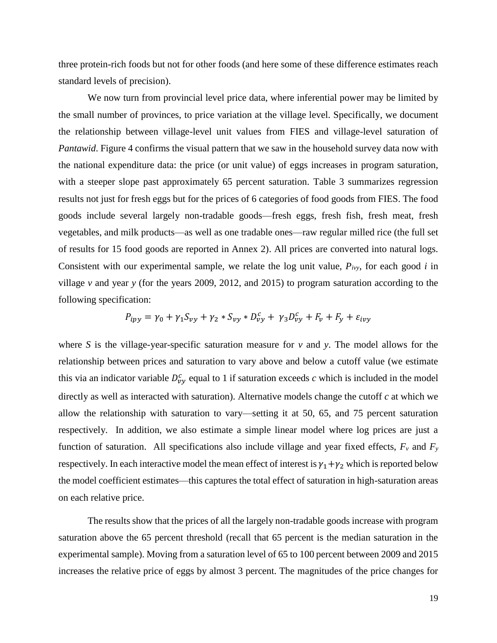three protein-rich foods but not for other foods (and here some of these difference estimates reach standard levels of precision).

We now turn from provincial level price data, where inferential power may be limited by the small number of provinces, to price variation at the village level. Specifically, we document the relationship between village-level unit values from FIES and village-level saturation of *Pantawid*. Figure 4 confirms the visual pattern that we saw in the household survey data now with the national expenditure data: the price (or unit value) of eggs increases in program saturation, with a steeper slope past approximately 65 percent saturation. Table 3 summarizes regression results not just for fresh eggs but for the prices of 6 categories of food goods from FIES. The food goods include several largely non-tradable goods—fresh eggs, fresh fish, fresh meat, fresh vegetables, and milk products—as well as one tradable ones—raw regular milled rice (the full set of results for 15 food goods are reported in Annex 2). All prices are converted into natural logs. Consistent with our experimental sample, we relate the log unit value, *Pivy*, for each good *i* in village *v* and year *y* (for the years 2009, 2012, and 2015) to program saturation according to the following specification:

$$
P_{ipy} = \gamma_0 + \gamma_1 S_{vy} + \gamma_2 * S_{vy} * D_{vy}^c + \gamma_3 D_{vy}^c + F_v + F_y + \varepsilon_{ivy}
$$

where *S* is the village-year-specific saturation measure for *v* and *y*. The model allows for the relationship between prices and saturation to vary above and below a cutoff value (we estimate this via an indicator variable  $D_{yy}^c$  equal to 1 if saturation exceeds *c* which is included in the model directly as well as interacted with saturation). Alternative models change the cutoff *c* at which we allow the relationship with saturation to vary—setting it at 50, 65, and 75 percent saturation respectively. In addition, we also estimate a simple linear model where log prices are just a function of saturation. All specifications also include village and year fixed effects,  $F_v$  and  $F_y$ respectively. In each interactive model the mean effect of interest is  $\gamma_1+\gamma_2$  which is reported below the model coefficient estimates—this captures the total effect of saturation in high-saturation areas on each relative price.

The results show that the prices of all the largely non-tradable goods increase with program saturation above the 65 percent threshold (recall that 65 percent is the median saturation in the experimental sample). Moving from a saturation level of 65 to 100 percent between 2009 and 2015 increases the relative price of eggs by almost 3 percent. The magnitudes of the price changes for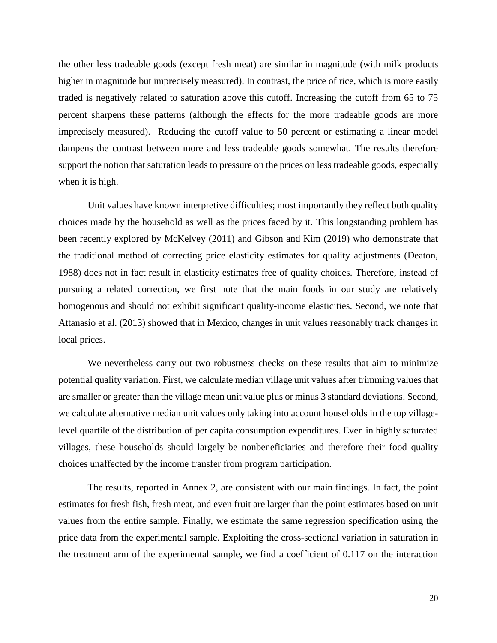the other less tradeable goods (except fresh meat) are similar in magnitude (with milk products higher in magnitude but imprecisely measured). In contrast, the price of rice, which is more easily traded is negatively related to saturation above this cutoff. Increasing the cutoff from 65 to 75 percent sharpens these patterns (although the effects for the more tradeable goods are more imprecisely measured). Reducing the cutoff value to 50 percent or estimating a linear model dampens the contrast between more and less tradeable goods somewhat. The results therefore support the notion that saturation leads to pressure on the prices on less tradeable goods, especially when it is high.

Unit values have known interpretive difficulties; most importantly they reflect both quality choices made by the household as well as the prices faced by it. This longstanding problem has been recently explored by McKelvey (2011) and Gibson and Kim (2019) who demonstrate that the traditional method of correcting price elasticity estimates for quality adjustments (Deaton, 1988) does not in fact result in elasticity estimates free of quality choices. Therefore, instead of pursuing a related correction, we first note that the main foods in our study are relatively homogenous and should not exhibit significant quality-income elasticities. Second, we note that Attanasio et al. (2013) showed that in Mexico, changes in unit values reasonably track changes in local prices.

We nevertheless carry out two robustness checks on these results that aim to minimize potential quality variation. First, we calculate median village unit values after trimming values that are smaller or greater than the village mean unit value plus or minus 3 standard deviations. Second, we calculate alternative median unit values only taking into account households in the top villagelevel quartile of the distribution of per capita consumption expenditures. Even in highly saturated villages, these households should largely be nonbeneficiaries and therefore their food quality choices unaffected by the income transfer from program participation.

The results, reported in Annex 2, are consistent with our main findings. In fact, the point estimates for fresh fish, fresh meat, and even fruit are larger than the point estimates based on unit values from the entire sample. Finally, we estimate the same regression specification using the price data from the experimental sample. Exploiting the cross-sectional variation in saturation in the treatment arm of the experimental sample, we find a coefficient of 0.117 on the interaction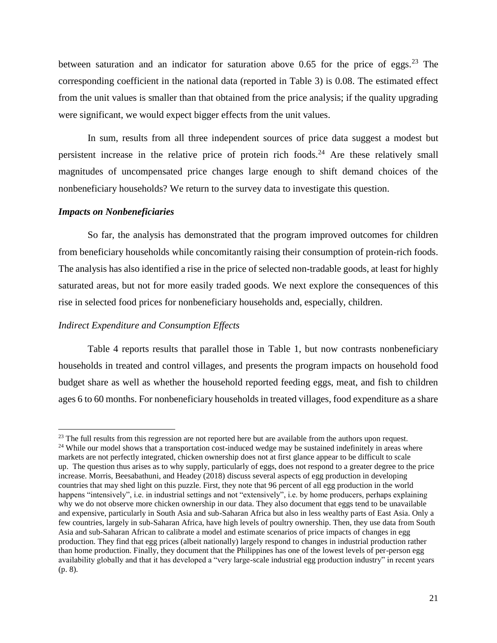between saturation and an indicator for saturation above 0.65 for the price of eggs.<sup>23</sup> The corresponding coefficient in the national data (reported in Table 3) is 0.08. The estimated effect from the unit values is smaller than that obtained from the price analysis; if the quality upgrading were significant, we would expect bigger effects from the unit values.

In sum, results from all three independent sources of price data suggest a modest but persistent increase in the relative price of protein rich foods.<sup>24</sup> Are these relatively small magnitudes of uncompensated price changes large enough to shift demand choices of the nonbeneficiary households? We return to the survey data to investigate this question.

#### *Impacts on Nonbeneficiaries*

 $\overline{\phantom{a}}$ 

So far, the analysis has demonstrated that the program improved outcomes for children from beneficiary households while concomitantly raising their consumption of protein-rich foods. The analysis has also identified a rise in the price of selected non-tradable goods, at least for highly saturated areas, but not for more easily traded goods. We next explore the consequences of this rise in selected food prices for nonbeneficiary households and, especially, children.

### *Indirect Expenditure and Consumption Effects*

Table 4 reports results that parallel those in Table 1, but now contrasts nonbeneficiary households in treated and control villages, and presents the program impacts on household food budget share as well as whether the household reported feeding eggs, meat, and fish to children ages 6 to 60 months. For nonbeneficiary households in treated villages, food expenditure as a share

 $23$  The full results from this regression are not reported here but are available from the authors upon request. <sup>24</sup> While our model shows that a transportation cost-induced wedge may be sustained indefinitely in areas where markets are not perfectly integrated, chicken ownership does not at first glance appear to be difficult to scale up. The question thus arises as to why supply, particularly of eggs, does not respond to a greater degree to the price increase. Morris, Beesabathuni, and Headey (2018) discuss several aspects of egg production in developing countries that may shed light on this puzzle. First, they note that 96 percent of all egg production in the world happens "intensively", i.e. in industrial settings and not "extensively", i.e. by home producers, perhaps explaining why we do not observe more chicken ownership in our data. They also document that eggs tend to be unavailable and expensive, particularly in South Asia and sub-Saharan Africa but also in less wealthy parts of East Asia. Only a few countries, largely in sub-Saharan Africa, have high levels of poultry ownership. Then, they use data from South Asia and sub-Saharan African to calibrate a model and estimate scenarios of price impacts of changes in egg production. They find that egg prices (albeit nationally) largely respond to changes in industrial production rather than home production. Finally, they document that the Philippines has one of the lowest levels of per-person egg availability globally and that it has developed a "very large-scale industrial egg production industry" in recent years (p. 8).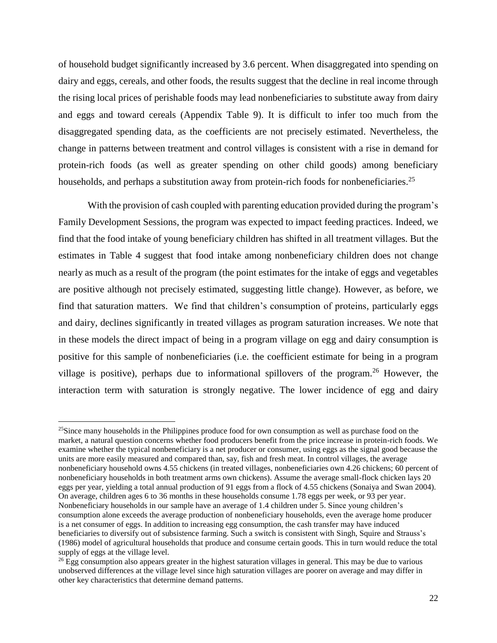of household budget significantly increased by 3.6 percent. When disaggregated into spending on dairy and eggs, cereals, and other foods, the results suggest that the decline in real income through the rising local prices of perishable foods may lead nonbeneficiaries to substitute away from dairy and eggs and toward cereals (Appendix Table 9). It is difficult to infer too much from the disaggregated spending data, as the coefficients are not precisely estimated. Nevertheless, the change in patterns between treatment and control villages is consistent with a rise in demand for protein-rich foods (as well as greater spending on other child goods) among beneficiary households, and perhaps a substitution away from protein-rich foods for nonbeneficiaries.<sup>25</sup>

With the provision of cash coupled with parenting education provided during the program's Family Development Sessions, the program was expected to impact feeding practices. Indeed, we find that the food intake of young beneficiary children has shifted in all treatment villages. But the estimates in Table 4 suggest that food intake among nonbeneficiary children does not change nearly as much as a result of the program (the point estimates for the intake of eggs and vegetables are positive although not precisely estimated, suggesting little change). However, as before, we find that saturation matters. We find that children's consumption of proteins, particularly eggs and dairy, declines significantly in treated villages as program saturation increases. We note that in these models the direct impact of being in a program village on egg and dairy consumption is positive for this sample of nonbeneficiaries (i.e. the coefficient estimate for being in a program village is positive), perhaps due to informational spillovers of the program.<sup>26</sup> However, the interaction term with saturation is strongly negative. The lower incidence of egg and dairy

l

<sup>&</sup>lt;sup>25</sup>Since many households in the Philippines produce food for own consumption as well as purchase food on the market, a natural question concerns whether food producers benefit from the price increase in protein-rich foods. We examine whether the typical nonbeneficiary is a net producer or consumer, using eggs as the signal good because the units are more easily measured and compared than, say, fish and fresh meat. In control villages, the average nonbeneficiary household owns 4.55 chickens (in treated villages, nonbeneficiaries own 4.26 chickens; 60 percent of nonbeneficiary households in both treatment arms own chickens). Assume the average small-flock chicken lays 20 eggs per year, yielding a total annual production of 91 eggs from a flock of 4.55 chickens (Sonaiya and Swan 2004). On average, children ages 6 to 36 months in these households consume 1.78 eggs per week, or 93 per year. Nonbeneficiary households in our sample have an average of 1.4 children under 5. Since young children's consumption alone exceeds the average production of nonbeneficiary households, even the average home producer is a net consumer of eggs. In addition to increasing egg consumption, the cash transfer may have induced beneficiaries to diversify out of subsistence farming. Such a switch is consistent with Singh, Squire and Strauss's (1986) model of agricultural households that produce and consume certain goods. This in turn would reduce the total supply of eggs at the village level.

<sup>&</sup>lt;sup>26</sup> Egg consumption also appears greater in the highest saturation villages in general. This may be due to various unobserved differences at the village level since high saturation villages are poorer on average and may differ in other key characteristics that determine demand patterns.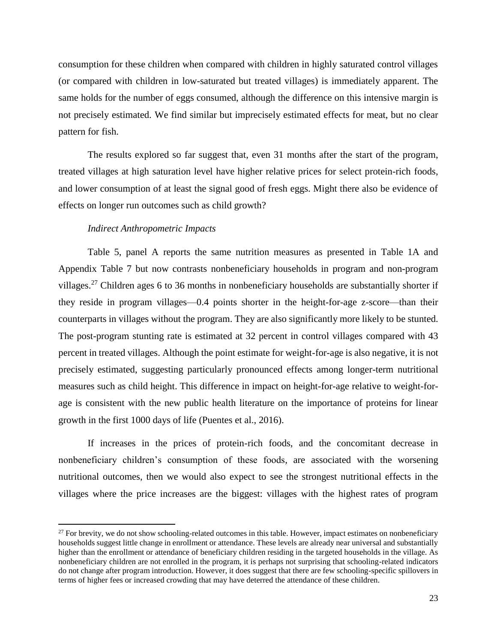consumption for these children when compared with children in highly saturated control villages (or compared with children in low-saturated but treated villages) is immediately apparent. The same holds for the number of eggs consumed, although the difference on this intensive margin is not precisely estimated. We find similar but imprecisely estimated effects for meat, but no clear pattern for fish.

The results explored so far suggest that, even 31 months after the start of the program, treated villages at high saturation level have higher relative prices for select protein-rich foods, and lower consumption of at least the signal good of fresh eggs. Might there also be evidence of effects on longer run outcomes such as child growth?

#### *Indirect Anthropometric Impacts*

 $\overline{\phantom{a}}$ 

Table 5, panel A reports the same nutrition measures as presented in Table 1A and Appendix Table 7 but now contrasts nonbeneficiary households in program and non-program villages.<sup>27</sup> Children ages 6 to 36 months in nonbeneficiary households are substantially shorter if they reside in program villages—0.4 points shorter in the height-for-age z-score—than their counterparts in villages without the program. They are also significantly more likely to be stunted. The post-program stunting rate is estimated at 32 percent in control villages compared with 43 percent in treated villages. Although the point estimate for weight-for-age is also negative, it is not precisely estimated, suggesting particularly pronounced effects among longer-term nutritional measures such as child height. This difference in impact on height-for-age relative to weight-forage is consistent with the new public health literature on the importance of proteins for linear growth in the first 1000 days of life (Puentes et al., 2016).

If increases in the prices of protein-rich foods, and the concomitant decrease in nonbeneficiary children's consumption of these foods, are associated with the worsening nutritional outcomes, then we would also expect to see the strongest nutritional effects in the villages where the price increases are the biggest: villages with the highest rates of program

 $27$  For brevity, we do not show schooling-related outcomes in this table. However, impact estimates on nonbeneficiary households suggest little change in enrollment or attendance. These levels are already near universal and substantially higher than the enrollment or attendance of beneficiary children residing in the targeted households in the village. As nonbeneficiary children are not enrolled in the program, it is perhaps not surprising that schooling-related indicators do not change after program introduction. However, it does suggest that there are few schooling-specific spillovers in terms of higher fees or increased crowding that may have deterred the attendance of these children.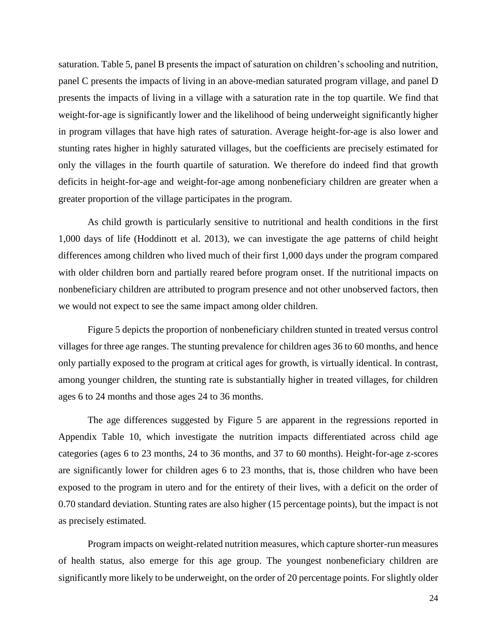saturation. Table 5, panel B presents the impact of saturation on children's schooling and nutrition, panel C presents the impacts of living in an above-median saturated program village, and panel D presents the impacts of living in a village with a saturation rate in the top quartile. We find that weight-for-age is significantly lower and the likelihood of being underweight significantly higher in program villages that have high rates of saturation. Average height-for-age is also lower and stunting rates higher in highly saturated villages, but the coefficients are precisely estimated for only the villages in the fourth quartile of saturation. We therefore do indeed find that growth deficits in height-for-age and weight-for-age among nonbeneficiary children are greater when a greater proportion of the village participates in the program.

As child growth is particularly sensitive to nutritional and health conditions in the first 1,000 days of life (Hoddinott et al. 2013), we can investigate the age patterns of child height differences among children who lived much of their first 1,000 days under the program compared with older children born and partially reared before program onset. If the nutritional impacts on nonbeneficiary children are attributed to program presence and not other unobserved factors, then we would not expect to see the same impact among older children.

Figure 5 depicts the proportion of nonbeneficiary children stunted in treated versus control villages for three age ranges. The stunting prevalence for children ages 36 to 60 months, and hence only partially exposed to the program at critical ages for growth, is virtually identical. In contrast, among younger children, the stunting rate is substantially higher in treated villages, for children ages 6 to 24 months and those ages 24 to 36 months.

The age differences suggested by Figure 5 are apparent in the regressions reported in Appendix Table 10, which investigate the nutrition impacts differentiated across child age categories (ages 6 to 23 months, 24 to 36 months, and 37 to 60 months). Height-for-age z-scores are significantly lower for children ages 6 to 23 months, that is, those children who have been exposed to the program in utero and for the entirety of their lives, with a deficit on the order of 0.70 standard deviation. Stunting rates are also higher (15 percentage points), but the impact is not as precisely estimated.

Program impacts on weight-related nutrition measures, which capture shorter-run measures of health status, also emerge for this age group. The youngest nonbeneficiary children are significantly more likely to be underweight, on the order of 20 percentage points. For slightly older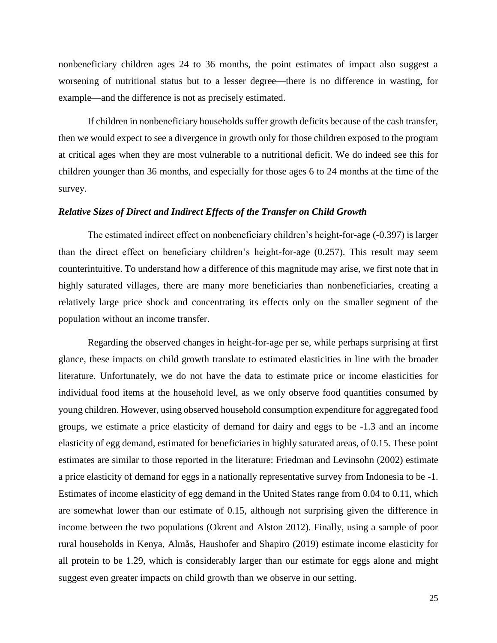nonbeneficiary children ages 24 to 36 months, the point estimates of impact also suggest a worsening of nutritional status but to a lesser degree—there is no difference in wasting, for example—and the difference is not as precisely estimated.

If children in nonbeneficiary households suffer growth deficits because of the cash transfer, then we would expect to see a divergence in growth only for those children exposed to the program at critical ages when they are most vulnerable to a nutritional deficit. We do indeed see this for children younger than 36 months, and especially for those ages 6 to 24 months at the time of the survey.

#### *Relative Sizes of Direct and Indirect Effects of the Transfer on Child Growth*

The estimated indirect effect on nonbeneficiary children's height-for-age (-0.397) is larger than the direct effect on beneficiary children's height-for-age (0.257). This result may seem counterintuitive. To understand how a difference of this magnitude may arise, we first note that in highly saturated villages, there are many more beneficiaries than nonbeneficiaries, creating a relatively large price shock and concentrating its effects only on the smaller segment of the population without an income transfer.

Regarding the observed changes in height-for-age per se, while perhaps surprising at first glance, these impacts on child growth translate to estimated elasticities in line with the broader literature. Unfortunately, we do not have the data to estimate price or income elasticities for individual food items at the household level, as we only observe food quantities consumed by young children. However, using observed household consumption expenditure for aggregated food groups, we estimate a price elasticity of demand for dairy and eggs to be -1.3 and an income elasticity of egg demand, estimated for beneficiaries in highly saturated areas, of 0.15. These point estimates are similar to those reported in the literature: Friedman and Levinsohn (2002) estimate a price elasticity of demand for eggs in a nationally representative survey from Indonesia to be -1. Estimates of income elasticity of egg demand in the United States range from 0.04 to 0.11, which are somewhat lower than our estimate of 0.15, although not surprising given the difference in income between the two populations (Okrent and Alston 2012). Finally, using a sample of poor rural households in Kenya, Almås, Haushofer and Shapiro (2019) estimate income elasticity for all protein to be 1.29, which is considerably larger than our estimate for eggs alone and might suggest even greater impacts on child growth than we observe in our setting.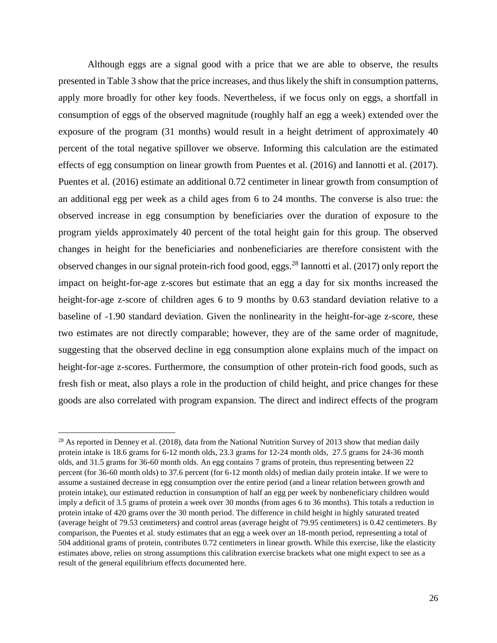Although eggs are a signal good with a price that we are able to observe, the results presented in Table 3 show that the price increases, and thus likely the shift in consumption patterns, apply more broadly for other key foods. Nevertheless, if we focus only on eggs, a shortfall in consumption of eggs of the observed magnitude (roughly half an egg a week) extended over the exposure of the program (31 months) would result in a height detriment of approximately 40 percent of the total negative spillover we observe. Informing this calculation are the estimated effects of egg consumption on linear growth from Puentes et al. (2016) and Iannotti et al. (2017). Puentes et al. (2016) estimate an additional 0.72 centimeter in linear growth from consumption of an additional egg per week as a child ages from 6 to 24 months. The converse is also true: the observed increase in egg consumption by beneficiaries over the duration of exposure to the program yields approximately 40 percent of the total height gain for this group. The observed changes in height for the beneficiaries and nonbeneficiaries are therefore consistent with the observed changes in our signal protein-rich food good, eggs.<sup>28</sup> Iannotti et al. (2017) only report the impact on height-for-age z-scores but estimate that an egg a day for six months increased the height-for-age z-score of children ages 6 to 9 months by 0.63 standard deviation relative to a baseline of -1.90 standard deviation. Given the nonlinearity in the height-for-age z-score, these two estimates are not directly comparable; however, they are of the same order of magnitude, suggesting that the observed decline in egg consumption alone explains much of the impact on height-for-age z-scores. Furthermore, the consumption of other protein-rich food goods, such as fresh fish or meat, also plays a role in the production of child height, and price changes for these goods are also correlated with program expansion. The direct and indirect effects of the program

l

<sup>&</sup>lt;sup>28</sup> As reported in Denney et al. (2018), data from the National Nutrition Survey of 2013 show that median daily protein intake is 18.6 grams for 6-12 month olds, 23.3 grams for 12-24 month olds, 27.5 grams for 24-36 month olds, and 31.5 grams for 36-60 month olds. An egg contains 7 grams of protein, thus representing between 22 percent (for 36-60 month olds) to 37.6 percent (for 6-12 month olds) of median daily protein intake. If we were to assume a sustained decrease in egg consumption over the entire period (and a linear relation between growth and protein intake), our estimated reduction in consumption of half an egg per week by nonbeneficiary children would imply a deficit of 3.5 grams of protein a week over 30 months (from ages 6 to 36 months). This totals a reduction in protein intake of 420 grams over the 30 month period. The difference in child height in highly saturated treated (average height of 79.53 centimeters) and control areas (average height of 79.95 centimeters) is 0.42 centimeters. By comparison, the Puentes et al. study estimates that an egg a week over an 18-month period, representing a total of 504 additional grams of protein, contributes 0.72 centimeters in linear growth. While this exercise, like the elasticity estimates above, relies on strong assumptions this calibration exercise brackets what one might expect to see as a result of the general equilibrium effects documented here.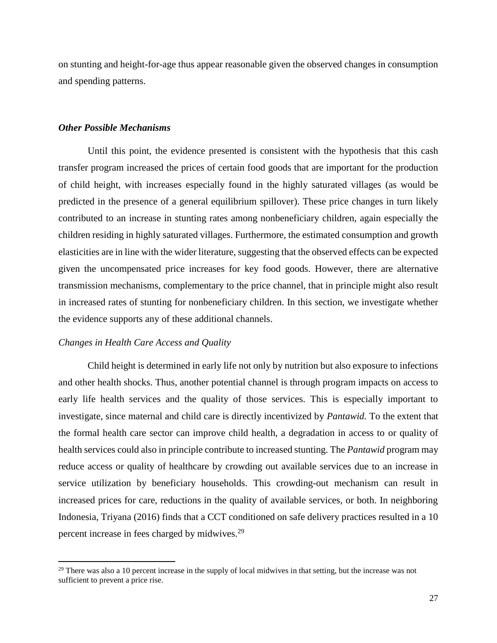on stunting and height-for-age thus appear reasonable given the observed changes in consumption and spending patterns.

#### *Other Possible Mechanisms*

Until this point, the evidence presented is consistent with the hypothesis that this cash transfer program increased the prices of certain food goods that are important for the production of child height, with increases especially found in the highly saturated villages (as would be predicted in the presence of a general equilibrium spillover). These price changes in turn likely contributed to an increase in stunting rates among nonbeneficiary children, again especially the children residing in highly saturated villages. Furthermore, the estimated consumption and growth elasticities are in line with the wider literature, suggesting that the observed effects can be expected given the uncompensated price increases for key food goods. However, there are alternative transmission mechanisms, complementary to the price channel, that in principle might also result in increased rates of stunting for nonbeneficiary children. In this section, we investigate whether the evidence supports any of these additional channels.

#### *Changes in Health Care Access and Quality*

 $\overline{a}$ 

Child height is determined in early life not only by nutrition but also exposure to infections and other health shocks. Thus, another potential channel is through program impacts on access to early life health services and the quality of those services. This is especially important to investigate, since maternal and child care is directly incentivized by *Pantawid.* To the extent that the formal health care sector can improve child health, a degradation in access to or quality of health services could also in principle contribute to increased stunting. The *Pantawid* program may reduce access or quality of healthcare by crowding out available services due to an increase in service utilization by beneficiary households. This crowding-out mechanism can result in increased prices for care, reductions in the quality of available services, or both. In neighboring Indonesia, Triyana (2016) finds that a CCT conditioned on safe delivery practices resulted in a 10 percent increase in fees charged by midwives.<sup>29</sup>

<sup>&</sup>lt;sup>29</sup> There was also a 10 percent increase in the supply of local midwives in that setting, but the increase was not sufficient to prevent a price rise.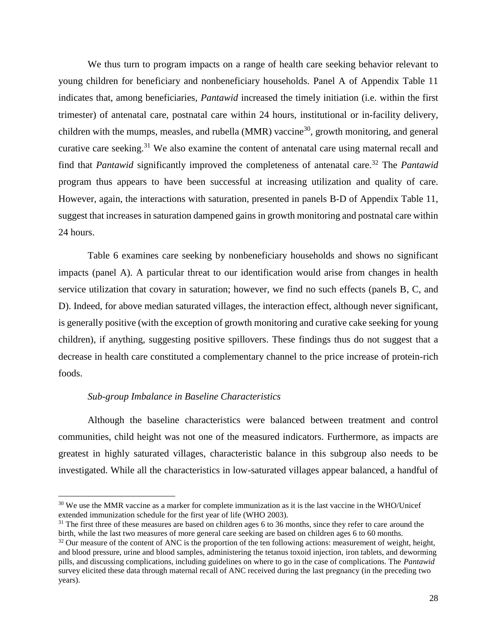We thus turn to program impacts on a range of health care seeking behavior relevant to young children for beneficiary and nonbeneficiary households. Panel A of Appendix Table 11 indicates that, among beneficiaries, *Pantawid* increased the timely initiation (i.e. within the first trimester) of antenatal care, postnatal care within 24 hours, institutional or in-facility delivery, children with the mumps, measles, and rubella (MMR) vaccine<sup>30</sup>, growth monitoring, and general curative care seeking.<sup>31</sup> We also examine the content of antenatal care using maternal recall and find that *Pantawid* significantly improved the completeness of antenatal care.<sup>32</sup> The *Pantawid* program thus appears to have been successful at increasing utilization and quality of care. However, again, the interactions with saturation, presented in panels B-D of Appendix Table 11, suggest that increases in saturation dampened gains in growth monitoring and postnatal care within 24 hours.

Table 6 examines care seeking by nonbeneficiary households and shows no significant impacts (panel A). A particular threat to our identification would arise from changes in health service utilization that covary in saturation; however, we find no such effects (panels B, C, and D). Indeed, for above median saturated villages, the interaction effect, although never significant, is generally positive (with the exception of growth monitoring and curative cake seeking for young children), if anything, suggesting positive spillovers. These findings thus do not suggest that a decrease in health care constituted a complementary channel to the price increase of protein-rich foods.

### *Sub-group Imbalance in Baseline Characteristics*

 $\overline{\phantom{a}}$ 

Although the baseline characteristics were balanced between treatment and control communities, child height was not one of the measured indicators. Furthermore, as impacts are greatest in highly saturated villages, characteristic balance in this subgroup also needs to be investigated. While all the characteristics in low-saturated villages appear balanced, a handful of

<sup>&</sup>lt;sup>30</sup> We use the MMR vaccine as a marker for complete immunization as it is the last vaccine in the WHO/Unicef extended immunization schedule for the first year of life (WHO 2003).

 $31$  The first three of these measures are based on children ages 6 to 36 months, since they refer to care around the birth, while the last two measures of more general care seeking are based on children ages 6 to 60 months.

<sup>&</sup>lt;sup>32</sup> Our measure of the content of ANC is the proportion of the ten following actions: measurement of weight, height, and blood pressure, urine and blood samples, administering the tetanus toxoid injection, iron tablets, and deworming pills, and discussing complications, including guidelines on where to go in the case of complications. The *Pantawid* survey elicited these data through maternal recall of ANC received during the last pregnancy (in the preceding two years).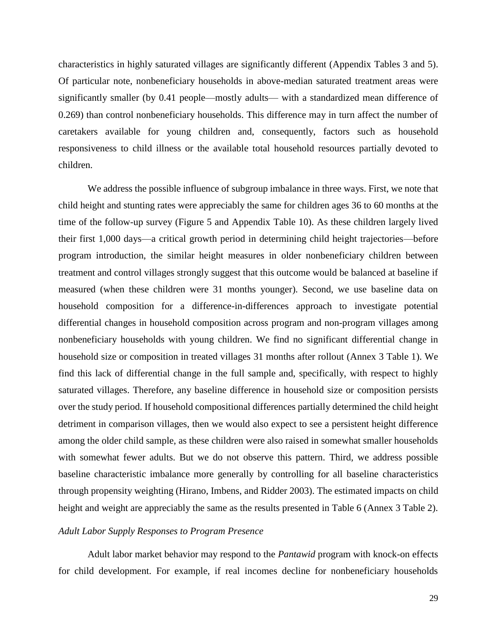characteristics in highly saturated villages are significantly different (Appendix Tables 3 and 5). Of particular note, nonbeneficiary households in above-median saturated treatment areas were significantly smaller (by 0.41 people—mostly adults— with a standardized mean difference of 0.269) than control nonbeneficiary households. This difference may in turn affect the number of caretakers available for young children and, consequently, factors such as household responsiveness to child illness or the available total household resources partially devoted to children.

We address the possible influence of subgroup imbalance in three ways. First, we note that child height and stunting rates were appreciably the same for children ages 36 to 60 months at the time of the follow-up survey (Figure 5 and Appendix Table 10). As these children largely lived their first 1,000 days—a critical growth period in determining child height trajectories—before program introduction, the similar height measures in older nonbeneficiary children between treatment and control villages strongly suggest that this outcome would be balanced at baseline if measured (when these children were 31 months younger). Second, we use baseline data on household composition for a difference-in-differences approach to investigate potential differential changes in household composition across program and non-program villages among nonbeneficiary households with young children. We find no significant differential change in household size or composition in treated villages 31 months after rollout (Annex 3 Table 1). We find this lack of differential change in the full sample and, specifically, with respect to highly saturated villages. Therefore, any baseline difference in household size or composition persists over the study period. If household compositional differences partially determined the child height detriment in comparison villages, then we would also expect to see a persistent height difference among the older child sample, as these children were also raised in somewhat smaller households with somewhat fewer adults. But we do not observe this pattern. Third, we address possible baseline characteristic imbalance more generally by controlling for all baseline characteristics through propensity weighting (Hirano, Imbens, and Ridder 2003). The estimated impacts on child height and weight are appreciably the same as the results presented in Table 6 (Annex 3 Table 2).

# *Adult Labor Supply Responses to Program Presence*

Adult labor market behavior may respond to the *Pantawid* program with knock-on effects for child development. For example, if real incomes decline for nonbeneficiary households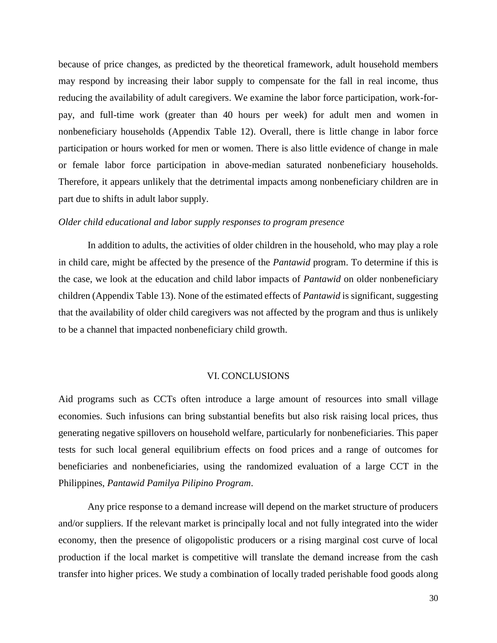because of price changes, as predicted by the theoretical framework, adult household members may respond by increasing their labor supply to compensate for the fall in real income, thus reducing the availability of adult caregivers. We examine the labor force participation, work-forpay, and full-time work (greater than 40 hours per week) for adult men and women in nonbeneficiary households (Appendix Table 12). Overall, there is little change in labor force participation or hours worked for men or women. There is also little evidence of change in male or female labor force participation in above-median saturated nonbeneficiary households. Therefore, it appears unlikely that the detrimental impacts among nonbeneficiary children are in part due to shifts in adult labor supply.

#### *Older child educational and labor supply responses to program presence*

In addition to adults, the activities of older children in the household, who may play a role in child care, might be affected by the presence of the *Pantawid* program. To determine if this is the case, we look at the education and child labor impacts of *Pantawid* on older nonbeneficiary children (Appendix Table 13). None of the estimated effects of *Pantawid* is significant, suggesting that the availability of older child caregivers was not affected by the program and thus is unlikely to be a channel that impacted nonbeneficiary child growth.

#### VI. CONCLUSIONS

Aid programs such as CCTs often introduce a large amount of resources into small village economies. Such infusions can bring substantial benefits but also risk raising local prices, thus generating negative spillovers on household welfare, particularly for nonbeneficiaries. This paper tests for such local general equilibrium effects on food prices and a range of outcomes for beneficiaries and nonbeneficiaries, using the randomized evaluation of a large CCT in the Philippines, *Pantawid Pamilya Pilipino Program*.

Any price response to a demand increase will depend on the market structure of producers and/or suppliers. If the relevant market is principally local and not fully integrated into the wider economy, then the presence of oligopolistic producers or a rising marginal cost curve of local production if the local market is competitive will translate the demand increase from the cash transfer into higher prices. We study a combination of locally traded perishable food goods along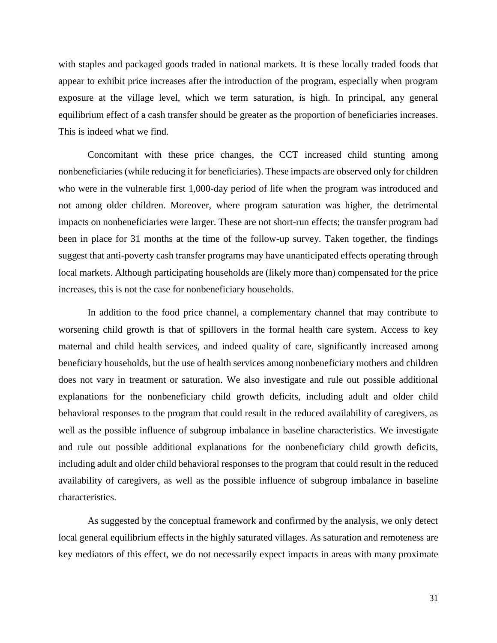with staples and packaged goods traded in national markets. It is these locally traded foods that appear to exhibit price increases after the introduction of the program, especially when program exposure at the village level, which we term saturation, is high. In principal, any general equilibrium effect of a cash transfer should be greater as the proportion of beneficiaries increases. This is indeed what we find.

Concomitant with these price changes, the CCT increased child stunting among nonbeneficiaries (while reducing it for beneficiaries). These impacts are observed only for children who were in the vulnerable first 1,000-day period of life when the program was introduced and not among older children. Moreover, where program saturation was higher, the detrimental impacts on nonbeneficiaries were larger. These are not short-run effects; the transfer program had been in place for 31 months at the time of the follow-up survey. Taken together, the findings suggest that anti-poverty cash transfer programs may have unanticipated effects operating through local markets. Although participating households are (likely more than) compensated for the price increases, this is not the case for nonbeneficiary households.

In addition to the food price channel, a complementary channel that may contribute to worsening child growth is that of spillovers in the formal health care system. Access to key maternal and child health services, and indeed quality of care, significantly increased among beneficiary households, but the use of health services among nonbeneficiary mothers and children does not vary in treatment or saturation. We also investigate and rule out possible additional explanations for the nonbeneficiary child growth deficits, including adult and older child behavioral responses to the program that could result in the reduced availability of caregivers, as well as the possible influence of subgroup imbalance in baseline characteristics. We investigate and rule out possible additional explanations for the nonbeneficiary child growth deficits, including adult and older child behavioral responses to the program that could result in the reduced availability of caregivers, as well as the possible influence of subgroup imbalance in baseline characteristics.

As suggested by the conceptual framework and confirmed by the analysis, we only detect local general equilibrium effects in the highly saturated villages. As saturation and remoteness are key mediators of this effect, we do not necessarily expect impacts in areas with many proximate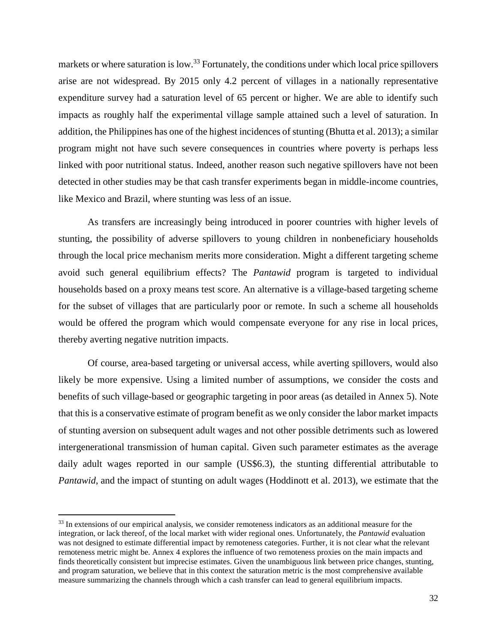markets or where saturation is low.<sup>33</sup> Fortunately, the conditions under which local price spillovers arise are not widespread. By 2015 only 4.2 percent of villages in a nationally representative expenditure survey had a saturation level of 65 percent or higher. We are able to identify such impacts as roughly half the experimental village sample attained such a level of saturation. In addition, the Philippines has one of the highest incidences of stunting (Bhutta et al. 2013); a similar program might not have such severe consequences in countries where poverty is perhaps less linked with poor nutritional status. Indeed, another reason such negative spillovers have not been detected in other studies may be that cash transfer experiments began in middle-income countries, like Mexico and Brazil, where stunting was less of an issue.

As transfers are increasingly being introduced in poorer countries with higher levels of stunting, the possibility of adverse spillovers to young children in nonbeneficiary households through the local price mechanism merits more consideration. Might a different targeting scheme avoid such general equilibrium effects? The *Pantawid* program is targeted to individual households based on a proxy means test score. An alternative is a village-based targeting scheme for the subset of villages that are particularly poor or remote. In such a scheme all households would be offered the program which would compensate everyone for any rise in local prices, thereby averting negative nutrition impacts.

Of course, area-based targeting or universal access, while averting spillovers, would also likely be more expensive. Using a limited number of assumptions, we consider the costs and benefits of such village-based or geographic targeting in poor areas (as detailed in Annex 5). Note that this is a conservative estimate of program benefit as we only consider the labor market impacts of stunting aversion on subsequent adult wages and not other possible detriments such as lowered intergenerational transmission of human capital. Given such parameter estimates as the average daily adult wages reported in our sample (US\$6.3), the stunting differential attributable to *Pantawid*, and the impact of stunting on adult wages (Hoddinott et al. 2013), we estimate that the

 $\overline{\phantom{a}}$ 

<sup>&</sup>lt;sup>33</sup> In extensions of our empirical analysis, we consider remoteness indicators as an additional measure for the integration, or lack thereof, of the local market with wider regional ones. Unfortunately, the *Pantawid* evaluation was not designed to estimate differential impact by remoteness categories. Further, it is not clear what the relevant remoteness metric might be. Annex 4 explores the influence of two remoteness proxies on the main impacts and finds theoretically consistent but imprecise estimates. Given the unambiguous link between price changes, stunting, and program saturation, we believe that in this context the saturation metric is the most comprehensive available measure summarizing the channels through which a cash transfer can lead to general equilibrium impacts.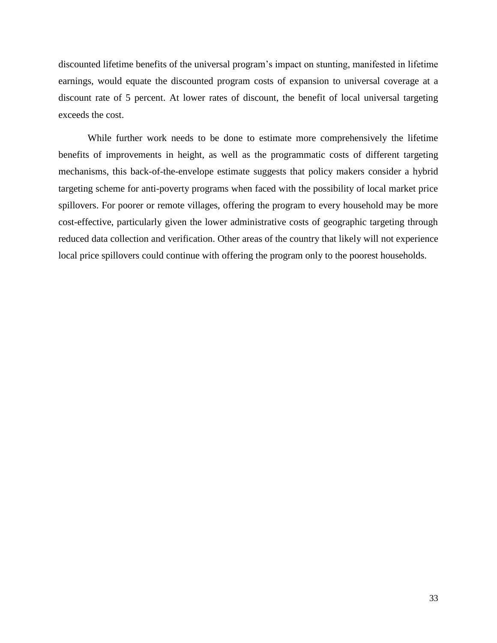discounted lifetime benefits of the universal program's impact on stunting, manifested in lifetime earnings, would equate the discounted program costs of expansion to universal coverage at a discount rate of 5 percent. At lower rates of discount, the benefit of local universal targeting exceeds the cost.

While further work needs to be done to estimate more comprehensively the lifetime benefits of improvements in height, as well as the programmatic costs of different targeting mechanisms, this back-of-the-envelope estimate suggests that policy makers consider a hybrid targeting scheme for anti-poverty programs when faced with the possibility of local market price spillovers. For poorer or remote villages, offering the program to every household may be more cost-effective, particularly given the lower administrative costs of geographic targeting through reduced data collection and verification. Other areas of the country that likely will not experience local price spillovers could continue with offering the program only to the poorest households.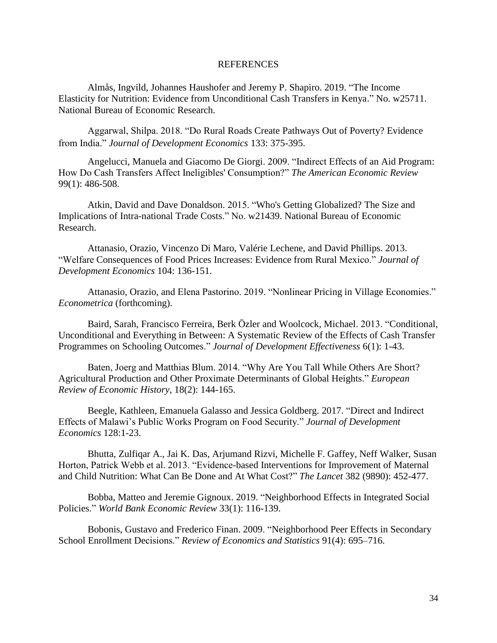#### REFERENCES

Almås, Ingvild, Johannes Haushofer and Jeremy P. Shapiro. 2019. "The Income Elasticity for Nutrition: Evidence from Unconditional Cash Transfers in Kenya." No. w25711. National Bureau of Economic Research.

Aggarwal, Shilpa. 2018. "Do Rural Roads Create Pathways Out of Poverty? Evidence from India." *Journal of Development Economics* 133: 375-395.

Angelucci, Manuela and Giacomo De Giorgi. 2009. "Indirect Effects of an Aid Program: How Do Cash Transfers Affect Ineligibles' Consumption?" *The American Economic Review*  99(1): 486-508.

Atkin, David and Dave Donaldson. 2015. "Who's Getting Globalized? The Size and Implications of Intra-national Trade Costs." No. w21439. National Bureau of Economic Research.

Attanasio, Orazio, Vincenzo Di Maro, Valérie Lechene, and David Phillips. 2013. "Welfare Consequences of Food Prices Increases: Evidence from Rural Mexico." *Journal of Development Economics* 104: 136-151.

Attanasio, Orazio, and Elena Pastorino. 2019. "Nonlinear Pricing in Village Economies." *Econometrica* (forthcoming).

Baird, Sarah, Francisco Ferreira, Berk Özler and Woolcock, Michael. 2013. "Conditional, Unconditional and Everything in Between: A Systematic Review of the Effects of Cash Transfer Programmes on Schooling Outcomes." *Journal of Development Effectiveness* 6(1): 1-43.

Baten, Joerg and Matthias Blum. 2014. "Why Are You Tall While Others Are Short? Agricultural Production and Other Proximate Determinants of Global Heights." *European Review of Economic History*, 18(2): 144-165.

Beegle, Kathleen, Emanuela Galasso and Jessica Goldberg. 2017. "Direct and Indirect Effects of Malawi's Public Works Program on Food Security." *Journal of Development Economics* 128:1-23.

Bhutta, Zulfiqar A., Jai K. Das, Arjumand Rizvi, Michelle F. Gaffey, Neff Walker, Susan Horton, Patrick Webb et al. 2013. "Evidence-based Interventions for Improvement of Maternal and Child Nutrition: What Can Be Done and At What Cost?" *The Lancet* 382 (9890): 452-477.

Bobba, Matteo and Jeremie Gignoux. 2019. "Neighborhood Effects in Integrated Social Policies." *World Bank Economic Review* 33(1): 116-139.

Bobonis, Gustavo and Frederico Finan. 2009. "Neighborhood Peer Effects in Secondary School Enrollment Decisions." *Review of Economics and Statistics* 91(4): 695–716.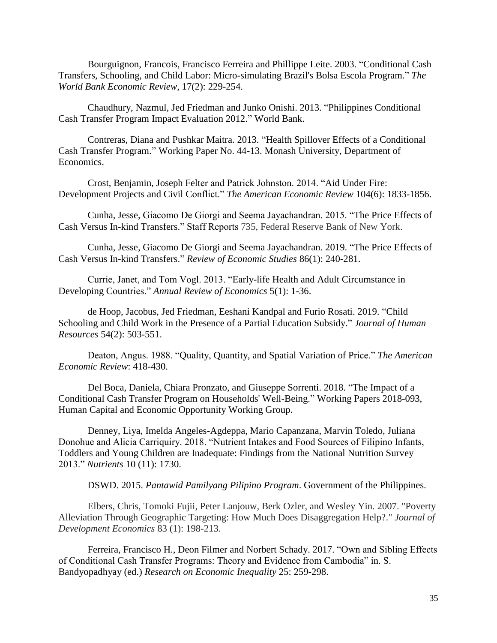Bourguignon, Francois, Francisco Ferreira and Phillippe Leite. 2003. "Conditional Cash Transfers, Schooling, and Child Labor: Micro-simulating Brazil's Bolsa Escola Program." *The World Bank Economic Review*, 17(2): 229-254.

Chaudhury, Nazmul, Jed Friedman and Junko Onishi. 2013. "Philippines Conditional Cash Transfer Program Impact Evaluation 2012." World Bank.

Contreras, Diana and Pushkar Maitra. 2013. "Health Spillover Effects of a Conditional Cash Transfer Program." Working Paper No. 44-13. Monash University, Department of Economics.

Crost, Benjamin, Joseph Felter and Patrick Johnston. 2014. "Aid Under Fire: Development Projects and Civil Conflict." *The American Economic Review* 104(6): 1833-1856.

Cunha, Jesse, Giacomo De Giorgi and Seema Jayachandran. 2015. "The Price Effects of Cash Versus In-kind Transfers." Staff Reports 735, Federal Reserve Bank of New York.

Cunha, Jesse, Giacomo De Giorgi and Seema Jayachandran. 2019. "The Price Effects of Cash Versus In-kind Transfers." *Review of Economic Studies* 86(1): 240-281.

Currie, Janet, and Tom Vogl. 2013. "Early-life Health and Adult Circumstance in Developing Countries." *Annual Review of Economics* 5(1): 1-36.

de Hoop, Jacobus, Jed Friedman, Eeshani Kandpal and Furio Rosati. 2019. "Child Schooling and Child Work in the Presence of a Partial Education Subsidy." *Journal of Human Resources* 54(2): 503-551.

Deaton, Angus. 1988. "Quality, Quantity, and Spatial Variation of Price." *The American Economic Review*: 418-430.

Del Boca, Daniela, Chiara Pronzato, and Giuseppe Sorrenti. 2018. "The Impact of a Conditional Cash Transfer Program on Households' Well-Being." Working Papers 2018-093, Human Capital and Economic Opportunity Working Group.

Denney, Liya, Imelda Angeles-Agdeppa, Mario Capanzana, Marvin Toledo, Juliana Donohue and Alicia Carriquiry. 2018. "Nutrient Intakes and Food Sources of Filipino Infants, Toddlers and Young Children are Inadequate: Findings from the National Nutrition Survey 2013." *Nutrients* 10 (11): 1730.

DSWD. 2015. *Pantawid Pamilyang Pilipino Program*. Government of the Philippines.

Elbers, Chris, Tomoki Fujii, Peter Lanjouw, Berk Ozler, and Wesley Yin. 2007. "Poverty Alleviation Through Geographic Targeting: How Much Does Disaggregation Help?." *Journal of Development Economics* 83 (1): 198-213.

Ferreira, Francisco H., Deon Filmer and Norbert Schady. 2017. "Own and Sibling Effects of Conditional Cash Transfer Programs: Theory and Evidence from Cambodia" in. S. Bandyopadhyay (ed.) *Research on Economic Inequality* 25: 259-298.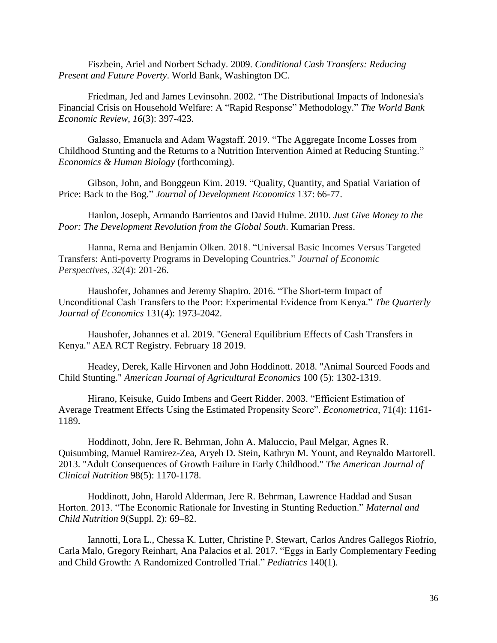Fiszbein, Ariel and Norbert Schady. 2009. *Conditional Cash Transfers: Reducing Present and Future Poverty*. World Bank, Washington DC.

Friedman, Jed and James Levinsohn. 2002. "The Distributional Impacts of Indonesia's Financial Crisis on Household Welfare: A "Rapid Response" Methodology." *The World Bank Economic Review*, *16*(3): 397-423.

Galasso, Emanuela and Adam Wagstaff. 2019. "The Aggregate Income Losses from Childhood Stunting and the Returns to a Nutrition Intervention Aimed at Reducing Stunting." *Economics & Human Biology* (forthcoming).

Gibson, John, and Bonggeun Kim. 2019. "Quality, Quantity, and Spatial Variation of Price: Back to the Bog." *Journal of Development Economics* 137: 66-77.

Hanlon, Joseph, Armando Barrientos and David Hulme. 2010. *Just Give Money to the Poor: The Development Revolution from the Global South*. Kumarian Press.

Hanna, Rema and Benjamin Olken. 2018. "Universal Basic Incomes Versus Targeted Transfers: Anti-poverty Programs in Developing Countries." *Journal of Economic Perspectives*, *32*(4): 201-26.

Haushofer, Johannes and Jeremy Shapiro. 2016. "The Short-term Impact of Unconditional Cash Transfers to the Poor: Experimental Evidence from Kenya." *The Quarterly Journal of Economics* 131(4): 1973-2042.

Haushofer, Johannes et al. 2019. "General Equilibrium Effects of Cash Transfers in Kenya." AEA RCT Registry. February 18 2019.

Headey, Derek, Kalle Hirvonen and John Hoddinott. 2018. "Animal Sourced Foods and Child Stunting." *American Journal of Agricultural Economics* 100 (5): 1302-1319.

Hirano, Keisuke, Guido Imbens and Geert Ridder. 2003. "Efficient Estimation of Average Treatment Effects Using the Estimated Propensity Score". *Econometrica*, 71(4): 1161- 1189.

Hoddinott, John, Jere R. Behrman, John A. Maluccio, Paul Melgar, Agnes R. Quisumbing, Manuel Ramirez-Zea, Aryeh D. Stein, Kathryn M. Yount, and Reynaldo Martorell. 2013. "Adult Consequences of Growth Failure in Early Childhood." *The American Journal of Clinical Nutrition* 98(5): 1170-1178.

Hoddinott, John, Harold Alderman, Jere R. Behrman, Lawrence Haddad and Susan Horton. 2013. "The Economic Rationale for Investing in Stunting Reduction." *Maternal and Child Nutrition* 9(Suppl. 2): 69–82.

Iannotti, Lora L., Chessa K. Lutter, Christine P. Stewart, Carlos Andres Gallegos Riofrío, Carla Malo, Gregory Reinhart, Ana Palacios et al. 2017. "Eggs in Early Complementary Feeding and Child Growth: A Randomized Controlled Trial." *Pediatrics* 140(1).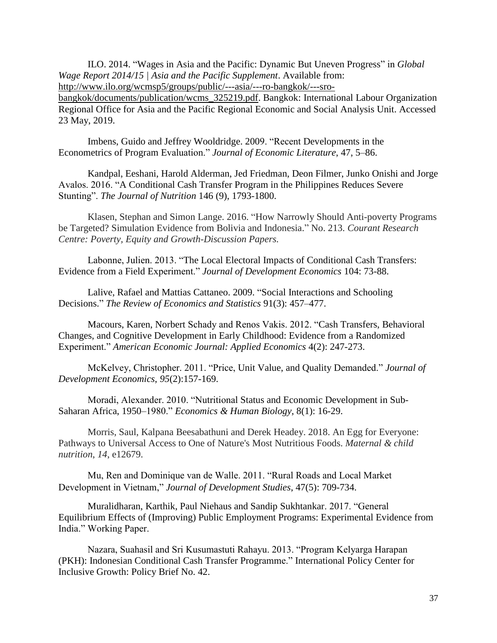ILO. 2014. "Wages in Asia and the Pacific: Dynamic But Uneven Progress" in *Global Wage Report 2014/15 | Asia and the Pacific Supplement*. Available from: [http://www.ilo.org/wcmsp5/groups/public/---asia/---ro-bangkok/---sro-](http://www.ilo.org/wcmsp5/groups/public/---asia/---ro-bangkok/---sro-bangkok/documents/publication/wcms_325219.pdf)

[bangkok/documents/publication/wcms\\_325219.pdf.](http://www.ilo.org/wcmsp5/groups/public/---asia/---ro-bangkok/---sro-bangkok/documents/publication/wcms_325219.pdf) Bangkok: International Labour Organization Regional Office for Asia and the Pacific Regional Economic and Social Analysis Unit. Accessed 23 May, 2019.

Imbens, Guido and Jeffrey Wooldridge. 2009. "Recent Developments in the Econometrics of Program Evaluation." *Journal of Economic Literature*, 47, 5–86.

Kandpal, Eeshani, Harold Alderman, Jed Friedman, Deon Filmer, Junko Onishi and Jorge Avalos. 2016. "A Conditional Cash Transfer Program in the Philippines Reduces Severe Stunting". *The Journal of Nutrition* 146 (9), 1793-1800.

Klasen, Stephan and Simon Lange. 2016. "How Narrowly Should Anti-poverty Programs be Targeted? Simulation Evidence from Bolivia and Indonesia." No. 213. *Courant Research Centre: Poverty, Equity and Growth-Discussion Papers.*

Labonne, Julien. 2013. "The Local Electoral Impacts of Conditional Cash Transfers: Evidence from a Field Experiment." *Journal of Development Economics* 104: 73-88.

Lalive, Rafael and Mattias Cattaneo. 2009. "Social Interactions and Schooling Decisions." *The Review of Economics and Statistics* 91(3): 457–477.

Macours, Karen, Norbert Schady and Renos Vakis. 2012. "Cash Transfers, Behavioral Changes, and Cognitive Development in Early Childhood: Evidence from a Randomized Experiment." *American Economic Journal: Applied Economics* 4(2): 247-273.

McKelvey, Christopher. 2011. "Price, Unit Value, and Quality Demanded." *Journal of Development Economics*, *95*(2):157-169.

Moradi, Alexander. 2010. "Nutritional Status and Economic Development in Sub-Saharan Africa, 1950–1980." *Economics & Human Biology*, 8(1): 16-29.

Morris, Saul, Kalpana Beesabathuni and Derek Headey. 2018. An Egg for Everyone: Pathways to Universal Access to One of Nature's Most Nutritious Foods. *Maternal & child nutrition*, *14*, e12679.

Mu, Ren and Dominique van de Walle. 2011. "Rural Roads and Local Market Development in Vietnam," *Journal of Development Studies*, 47(5): 709-734.

Muralidharan, Karthik, Paul Niehaus and Sandip Sukhtankar. 2017. "General Equilibrium Effects of (Improving) Public Employment Programs: Experimental Evidence from India." Working Paper.

Nazara, Suahasil and Sri Kusumastuti Rahayu. 2013. "Program Kelyarga Harapan (PKH): Indonesian Conditional Cash Transfer Programme." International Policy Center for Inclusive Growth: Policy Brief No. 42.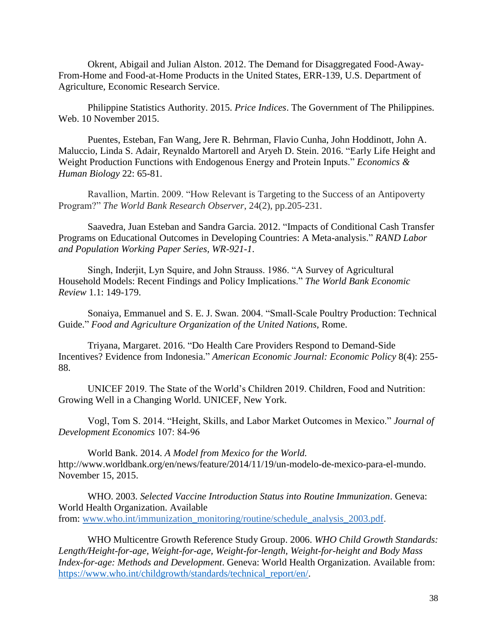Okrent, Abigail and Julian Alston. 2012. The Demand for Disaggregated Food-Away-From-Home and Food-at-Home Products in the United States, ERR-139, U.S. Department of Agriculture, Economic Research Service.

Philippine Statistics Authority. 2015. *Price Indices*. The Government of The Philippines. Web. 10 November 2015.

Puentes, Esteban, Fan Wang, Jere R. Behrman, Flavio Cunha, John Hoddinott, John A. Maluccio, Linda S. Adair, Reynaldo Martorell and Aryeh D. Stein. 2016. "Early Life Height and Weight Production Functions with Endogenous Energy and Protein Inputs." *Economics & Human Biology* 22: 65-81.

Ravallion, Martin. 2009. "How Relevant is Targeting to the Success of an Antipoverty Program?" *The World Bank Research Observer*, 24(2), pp.205-231.

Saavedra, Juan Esteban and Sandra Garcia. 2012. "Impacts of Conditional Cash Transfer Programs on Educational Outcomes in Developing Countries: A Meta-analysis." *RAND Labor and Population Working Paper Series, WR-921-1*.

Singh, Inderjit, Lyn Squire, and John Strauss. 1986. "A Survey of Agricultural Household Models: Recent Findings and Policy Implications." *The World Bank Economic Review* 1.1: 149-179.

Sonaiya, Emmanuel and S. E. J. Swan. 2004. "Small-Scale Poultry Production: Technical Guide." *Food and Agriculture Organization of the United Nations,* Rome.

Triyana, Margaret. 2016. "Do Health Care Providers Respond to Demand-Side Incentives? Evidence from Indonesia." *American Economic Journal: Economic Policy* 8(4): 255- 88.

UNICEF 2019. The State of the World's Children 2019. Children, Food and Nutrition: Growing Well in a Changing World. UNICEF, New York.

Vogl, Tom S. 2014. "Height, Skills, and Labor Market Outcomes in Mexico." *Journal of Development Economics* 107: 84‐96

World Bank. 2014. *A Model from Mexico for the World.* http://www.worldbank.org/en/news/feature/2014/11/19/un-modelo-de-mexico-para-el-mundo. November 15, 2015.

WHO. 2003. *Selected Vaccine Introduction Status into Routine Immunization*. Geneva: World Health Organization. Available from: [www.who.int/immunization\\_monitoring/routine/schedule\\_analysis\\_2003.pdf.](http://www.who.int/immunization_monitoring/routine/schedule_analysis_2003.pdf)

WHO Multicentre Growth Reference Study Group. 2006. *WHO Child Growth Standards: Length/Height-for-age, Weight-for-age, Weight-for-length, Weight-for-height and Body Mass Index-for-age: Methods and Development*. Geneva: World Health Organization. Available from: [https://www.who.int/childgrowth/standards/technical\\_report/en/.](https://www.who.int/childgrowth/standards/technical_report/en/)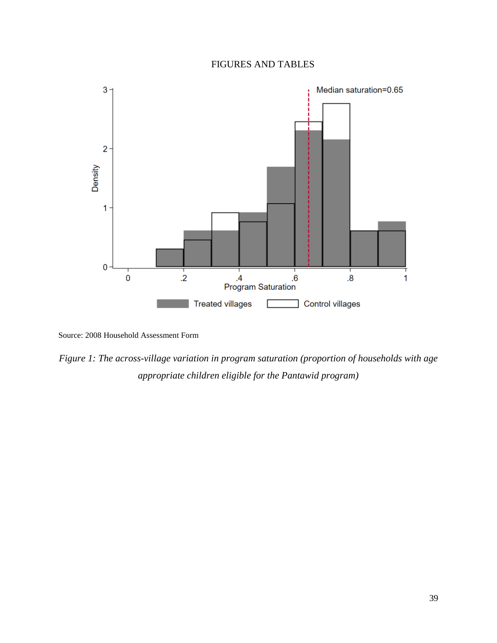### FIGURES AND TABLES



Source: 2008 Household Assessment Form

*Figure 1: The across-village variation in program saturation (proportion of households with age appropriate children eligible for the Pantawid program)*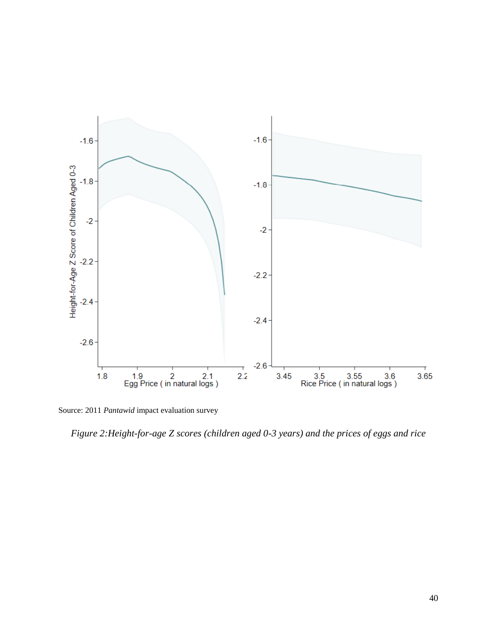

Source: 2011 *Pantawid* impact evaluation survey

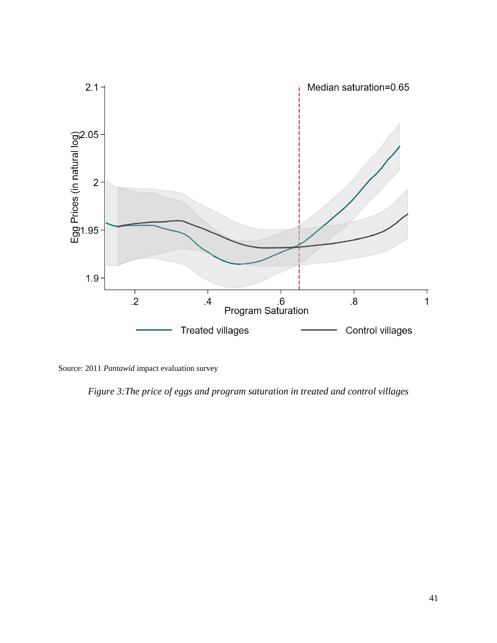

Source: 2011 *Pantawid* impact evaluation survey

*Figure 3:The price of eggs and program saturation in treated and control villages*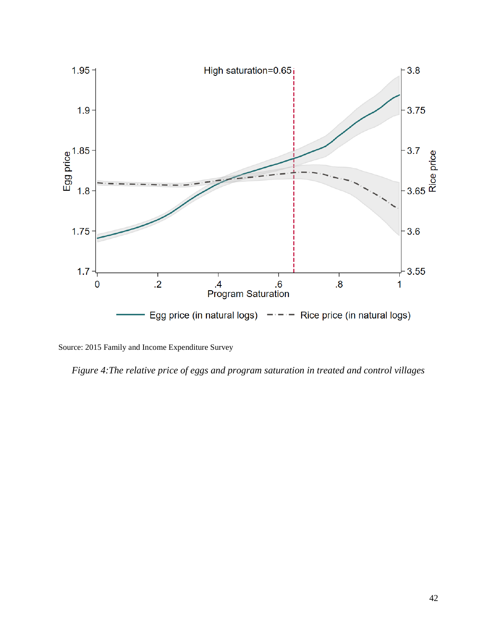

Source: 2015 Family and Income Expenditure Survey

*Figure 4:The relative price of eggs and program saturation in treated and control villages*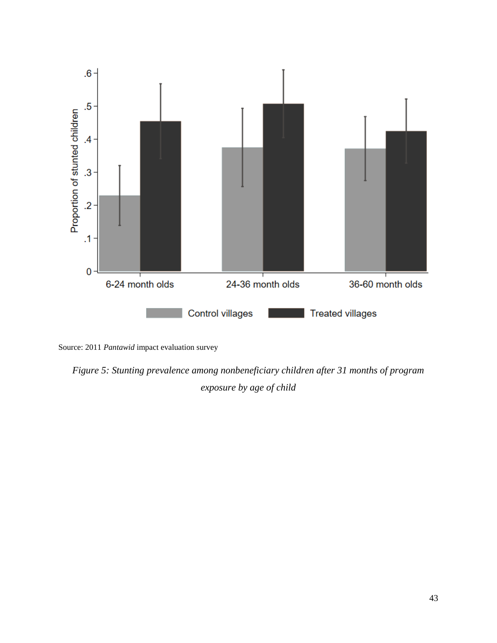



*Figure 5: Stunting prevalence among nonbeneficiary children after 31 months of program exposure by age of child*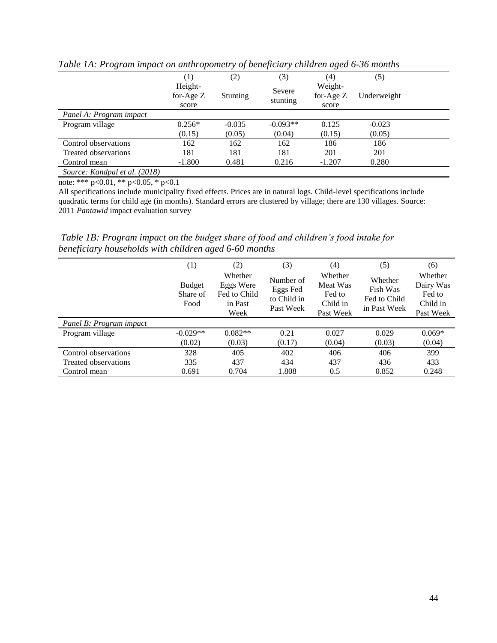|                               | (1)                             | (2)             | (3)                | (4)                             | (5)         |  |
|-------------------------------|---------------------------------|-----------------|--------------------|---------------------------------|-------------|--|
|                               | Height-<br>for-Age $Z$<br>score | <b>Stunting</b> | Severe<br>stunting | Weight-<br>for-Age $Z$<br>score | Underweight |  |
| Panel A: Program impact       |                                 |                 |                    |                                 |             |  |
| Program village               | $0.256*$                        | $-0.035$        | $-0.093**$         | 0.125                           | $-0.023$    |  |
|                               | (0.15)                          | (0.05)          | (0.04)             | (0.15)                          | (0.05)      |  |
| Control observations          | 162                             | 162             | 162                | 186                             | 186         |  |
| Treated observations          | 181                             | 181             | 181                | 201                             | 201         |  |
| Control mean                  | $-1.800$                        | 0.481           | 0.216              | $-1.207$                        | 0.280       |  |
| Source: Kandpal et al. (2018) |                                 |                 |                    |                                 |             |  |

*Table 1A: Program impact on anthropometry of beneficiary children aged 6-36 months*

All specifications include municipality fixed effects. Prices are in natural logs. Child-level specifications include quadratic terms for child age (in months). Standard errors are clustered by village; there are 130 villages. Source: 2011 *Pantawid* impact evaluation survey

*Table 1B: Program impact on the budget share of food and children's food intake for beneficiary households with children aged 6-60 months*

|                         | (1)                               | (2)                                                     | (3)                                               | (4)                                                    | (5)                                                 | (6)                                                     |
|-------------------------|-----------------------------------|---------------------------------------------------------|---------------------------------------------------|--------------------------------------------------------|-----------------------------------------------------|---------------------------------------------------------|
|                         | <b>Budget</b><br>Share of<br>Food | Whether<br>Eggs Were<br>Fed to Child<br>in Past<br>Week | Number of<br>Eggs Fed<br>to Child in<br>Past Week | Whether<br>Meat Was<br>Fed to<br>Child in<br>Past Week | Whether<br>Fish Was<br>Fed to Child<br>in Past Week | Whether<br>Dairy Was<br>Fed to<br>Child in<br>Past Week |
| Panel B: Program impact |                                   |                                                         |                                                   |                                                        |                                                     |                                                         |
| Program village         | $-0.029**$                        | $0.082**$                                               | 0.21                                              | 0.027                                                  | 0.029                                               | $0.069*$                                                |
|                         | (0.02)                            | (0.03)                                                  | (0.17)                                            | (0.04)                                                 | (0.03)                                              | (0.04)                                                  |
| Control observations    | 328                               | 405                                                     | 402                                               | 406                                                    | 406                                                 | 399                                                     |
| Treated observations    | 335                               | 437                                                     | 434                                               | 437                                                    | 436                                                 | 433                                                     |
| Control mean            | 0.691                             | 0.704                                                   | 1.808                                             | 0.5                                                    | 0.852                                               | 0.248                                                   |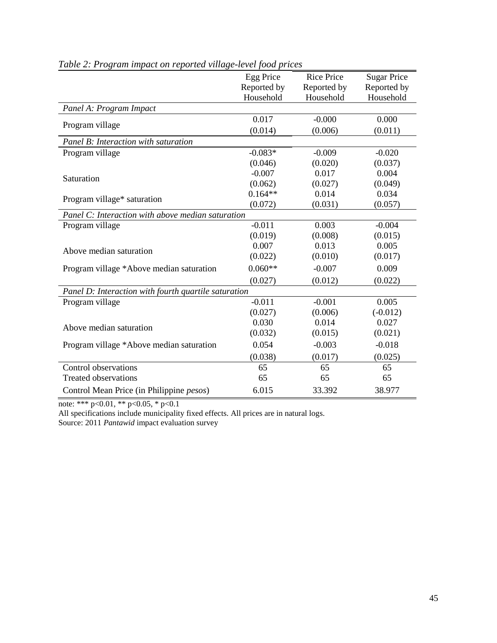|                                                      | Egg Price   | <b>Rice Price</b> | <b>Sugar Price</b> |
|------------------------------------------------------|-------------|-------------------|--------------------|
|                                                      | Reported by | Reported by       | Reported by        |
|                                                      | Household   | Household         | Household          |
| Panel A: Program Impact                              |             |                   |                    |
|                                                      | 0.017       | $-0.000$          | 0.000              |
| Program village                                      | (0.014)     | (0.006)           | (0.011)            |
| Panel B: Interaction with saturation                 |             |                   |                    |
| Program village                                      | $-0.083*$   | $-0.009$          | $-0.020$           |
|                                                      | (0.046)     | (0.020)           | (0.037)            |
| Saturation                                           | $-0.007$    | 0.017             | 0.004              |
|                                                      | (0.062)     | (0.027)           | (0.049)            |
| Program village* saturation                          | $0.164**$   | 0.014             | 0.034              |
|                                                      | (0.072)     | (0.031)           | (0.057)            |
| Panel C: Interaction with above median saturation    |             |                   |                    |
| Program village                                      | $-0.011$    | 0.003             | $-0.004$           |
|                                                      | (0.019)     | (0.008)           | (0.015)            |
| Above median saturation                              | 0.007       | 0.013             | 0.005              |
|                                                      | (0.022)     | (0.010)           | (0.017)            |
| Program village *Above median saturation             | $0.060**$   | $-0.007$          | 0.009              |
|                                                      | (0.027)     | (0.012)           | (0.022)            |
| Panel D: Interaction with fourth quartile saturation |             |                   |                    |
| Program village                                      | $-0.011$    | $-0.001$          | 0.005              |
|                                                      | (0.027)     | (0.006)           | $(-0.012)$         |
| Above median saturation                              | 0.030       | 0.014             | 0.027              |
|                                                      | (0.032)     | (0.015)           | (0.021)            |
| Program village *Above median saturation             | 0.054       | $-0.003$          | $-0.018$           |
|                                                      | (0.038)     | (0.017)           | (0.025)            |
| Control observations                                 | 65          | 65                | 65                 |
| <b>Treated observations</b>                          | 65          | 65                | 65                 |
| Control Mean Price (in Philippine <i>pesos</i> )     | 6.015       | 33.392            | 38.977             |

*Table 2: Program impact on reported village-level food prices*

All specifications include municipality fixed effects. All prices are in natural logs. Source: 2011 *Pantawid* impact evaluation survey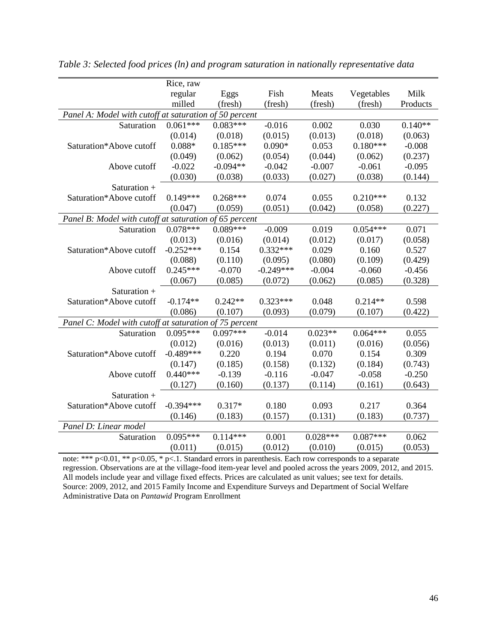|                                                        | Rice, raw   |            |             |            |            |           |
|--------------------------------------------------------|-------------|------------|-------------|------------|------------|-----------|
|                                                        | regular     | Eggs       | Fish        | Meats      | Vegetables | Milk      |
|                                                        | milled      | (fresh)    | (fresh)     | (fresh)    | (fresh)    | Products  |
| Panel A: Model with cutoff at saturation of 50 percent |             |            |             |            |            |           |
| Saturation                                             | $0.061***$  | $0.083***$ | $-0.016$    | 0.002      | 0.030      | $0.140**$ |
|                                                        | (0.014)     | (0.018)    | (0.015)     | (0.013)    | (0.018)    | (0.063)   |
| Saturation*Above cutoff                                | $0.088*$    | $0.185***$ | $0.090*$    | 0.053      | $0.180***$ | $-0.008$  |
|                                                        | (0.049)     | (0.062)    | (0.054)     | (0.044)    | (0.062)    | (0.237)   |
| Above cutoff                                           | $-0.022$    | $-0.094**$ | $-0.042$    | $-0.007$   | $-0.061$   | $-0.095$  |
|                                                        | (0.030)     | (0.038)    | (0.033)     | (0.027)    | (0.038)    | (0.144)   |
| Saturation +                                           |             |            |             |            |            |           |
| Saturation*Above cutoff                                | $0.149***$  | $0.268***$ | 0.074       | 0.055      | $0.210***$ | 0.132     |
|                                                        | (0.047)     | (0.059)    | (0.051)     | (0.042)    | (0.058)    | (0.227)   |
| Panel B: Model with cutoff at saturation of 65 percent |             |            |             |            |            |           |
| Saturation                                             | $0.078***$  | $0.089***$ | $-0.009$    | 0.019      | $0.054***$ | 0.071     |
|                                                        | (0.013)     | (0.016)    | (0.014)     | (0.012)    | (0.017)    | (0.058)   |
| Saturation*Above cutoff                                | $-0.252***$ | 0.154      | $0.332***$  | 0.029      | 0.160      | 0.527     |
|                                                        | (0.088)     | (0.110)    | (0.095)     | (0.080)    | (0.109)    | (0.429)   |
| Above cutoff                                           | $0.245***$  | $-0.070$   | $-0.249***$ | $-0.004$   | $-0.060$   | $-0.456$  |
|                                                        | (0.067)     | (0.085)    | (0.072)     | (0.062)    | (0.085)    | (0.328)   |
| Saturation +                                           |             |            |             |            |            |           |
| Saturation*Above cutoff                                | $-0.174**$  | $0.242**$  | $0.323***$  | 0.048      | $0.214**$  | 0.598     |
|                                                        | (0.086)     | (0.107)    | (0.093)     | (0.079)    | (0.107)    | (0.422)   |
| Panel C: Model with cutoff at saturation of 75 percent |             |            |             |            |            |           |
| Saturation                                             | $0.095***$  | $0.097***$ | $-0.014$    | $0.023**$  | $0.064***$ | 0.055     |
|                                                        | (0.012)     | (0.016)    | (0.013)     | (0.011)    | (0.016)    | (0.056)   |
| Saturation*Above cutoff                                | $-0.489***$ | 0.220      | 0.194       | 0.070      | 0.154      | 0.309     |
|                                                        | (0.147)     | (0.185)    | (0.158)     | (0.132)    | (0.184)    | (0.743)   |
| Above cutoff                                           | $0.440***$  | $-0.139$   | $-0.116$    | $-0.047$   | $-0.058$   | $-0.250$  |
|                                                        | (0.127)     | (0.160)    | (0.137)     | (0.114)    | (0.161)    | (0.643)   |
| Saturation +                                           |             |            |             |            |            |           |
| Saturation*Above cutoff                                | $-0.394***$ | $0.317*$   | 0.180       | 0.093      | 0.217      | 0.364     |
|                                                        | (0.146)     | (0.183)    | (0.157)     | (0.131)    | (0.183)    | (0.737)   |
| Panel D: Linear model                                  |             |            |             |            |            |           |
| Saturation                                             | $0.095***$  | $0.114***$ | 0.001       | $0.028***$ | $0.087***$ | 0.062     |
|                                                        | (0.011)     | (0.015)    | (0.012)     | (0.010)    | (0.015)    | (0.053)   |

*Table 3: Selected food prices (ln) and program saturation in nationally representative data*

note: \*\*\* p<0.01, \*\* p<0.05, \* p<.1. Standard errors in parenthesis. Each row corresponds to a separate regression. Observations are at the village-food item-year level and pooled across the years 2009, 2012, and 2015. All models include year and village fixed effects. Prices are calculated as unit values; see text for details. Source: 2009, 2012, and 2015 Family Income and Expenditure Surveys and Department of Social Welfare Administrative Data on *Pantawid* Program Enrollment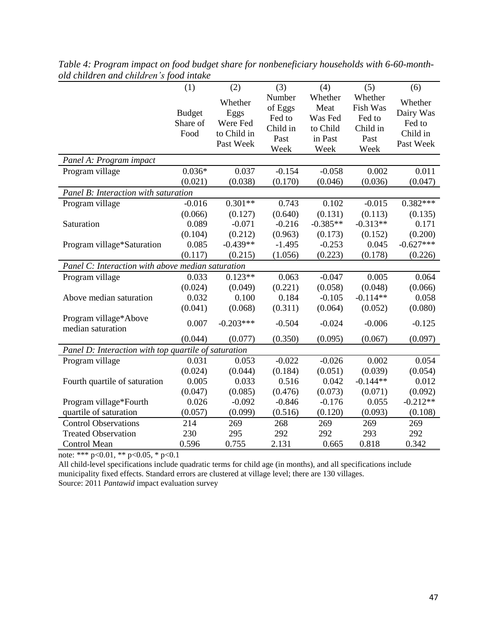|                                                      | (1)                               | (2)                                                     | (3)                                                     | (4)                                                       | (5)                                                       | (6)                                                     |
|------------------------------------------------------|-----------------------------------|---------------------------------------------------------|---------------------------------------------------------|-----------------------------------------------------------|-----------------------------------------------------------|---------------------------------------------------------|
|                                                      | <b>Budget</b><br>Share of<br>Food | Whether<br>Eggs<br>Were Fed<br>to Child in<br>Past Week | Number<br>of Eggs<br>Fed to<br>Child in<br>Past<br>Week | Whether<br>Meat<br>Was Fed<br>to Child<br>in Past<br>Week | Whether<br>Fish Was<br>Fed to<br>Child in<br>Past<br>Week | Whether<br>Dairy Was<br>Fed to<br>Child in<br>Past Week |
| Panel A: Program impact                              |                                   |                                                         |                                                         |                                                           |                                                           |                                                         |
| Program village                                      | $0.036*$<br>(0.021)               | 0.037<br>(0.038)                                        | $-0.154$<br>(0.170)                                     | $-0.058$<br>(0.046)                                       | 0.002<br>(0.036)                                          | 0.011<br>(0.047)                                        |
| Panel B: Interaction with saturation                 |                                   |                                                         |                                                         |                                                           |                                                           |                                                         |
| Program village                                      | $-0.016$<br>(0.066)               | $0.301**$<br>(0.127)                                    | 0.743<br>(0.640)                                        | 0.102<br>(0.131)                                          | $-0.015$<br>(0.113)                                       | $0.382***$<br>(0.135)                                   |
| Saturation                                           | 0.089<br>(0.104)                  | $-0.071$<br>(0.212)                                     | $-0.216$<br>(0.963)                                     | $-0.385**$<br>(0.173)                                     | $-0.313**$<br>(0.152)                                     | 0.171<br>(0.200)                                        |
| Program village*Saturation                           | 0.085                             | $-0.439**$                                              | $-1.495$                                                | $-0.253$                                                  | 0.045                                                     | $-0.627***$                                             |
|                                                      | (0.117)                           | (0.215)                                                 | (1.056)                                                 | (0.223)                                                   | (0.178)                                                   | (0.226)                                                 |
| Panel C: Interaction with above median saturation    |                                   |                                                         |                                                         |                                                           |                                                           |                                                         |
| Program village                                      | 0.033                             | $0.123**$                                               | 0.063                                                   | $-0.047$                                                  | 0.005                                                     | 0.064                                                   |
| Above median saturation                              | (0.024)<br>0.032<br>(0.041)       | (0.049)<br>0.100<br>(0.068)                             | (0.221)<br>0.184<br>(0.311)                             | (0.058)<br>$-0.105$<br>(0.064)                            | (0.048)<br>$-0.114**$<br>(0.052)                          | (0.066)<br>0.058<br>(0.080)                             |
| Program village*Above<br>median saturation           | 0.007                             | $-0.203***$                                             | $-0.504$                                                | $-0.024$                                                  | $-0.006$                                                  | $-0.125$                                                |
|                                                      | (0.044)                           | (0.077)                                                 | (0.350)                                                 | (0.095)                                                   | (0.067)                                                   | (0.097)                                                 |
| Panel D: Interaction with top quartile of saturation |                                   |                                                         |                                                         |                                                           |                                                           |                                                         |
| Program village                                      | 0.031                             | 0.053                                                   | $-0.022$                                                | $-0.026$                                                  | 0.002                                                     | 0.054                                                   |
|                                                      | (0.024)                           | (0.044)                                                 | (0.184)                                                 | (0.051)                                                   | (0.039)                                                   | (0.054)                                                 |
| Fourth quartile of saturation                        | 0.005                             | 0.033                                                   | 0.516                                                   | 0.042                                                     | $-0.144**$                                                | 0.012                                                   |
|                                                      | (0.047)                           | (0.085)                                                 | (0.476)                                                 | (0.073)                                                   | (0.071)                                                   | (0.092)                                                 |
| Program village*Fourth                               | 0.026                             | $-0.092$                                                | $-0.846$                                                | $-0.176$                                                  | 0.055                                                     | $-0.212**$                                              |
| quartile of saturation                               | (0.057)                           | (0.099)                                                 | (0.516)                                                 | (0.120)                                                   | (0.093)                                                   | (0.108)                                                 |
| <b>Control Observations</b>                          | 214                               | 269                                                     | 268                                                     | 269                                                       | 269                                                       | 269                                                     |
| <b>Treated Observation</b>                           | 230                               | 295                                                     | 292                                                     | 292                                                       | 293                                                       | 292                                                     |
| Control Mean                                         | 0.596                             | 0.755                                                   | 2.131                                                   | 0.665                                                     | 0.818                                                     | 0.342                                                   |

*Table 4: Program impact on food budget share for nonbeneficiary households with 6-60-monthold children and children's food intake*

All child-level specifications include quadratic terms for child age (in months), and all specifications include municipality fixed effects. Standard errors are clustered at village level; there are 130 villages.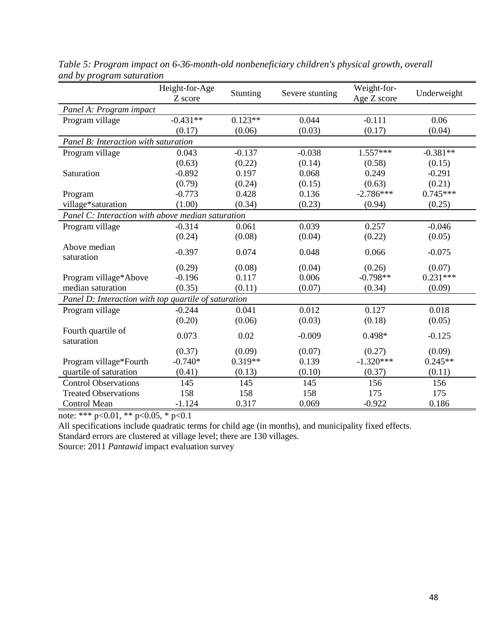|                                                      | Height-for-Age<br>Z score | Stunting  | Severe stunting | Weight-for-<br>Age Z score | Underweight |
|------------------------------------------------------|---------------------------|-----------|-----------------|----------------------------|-------------|
| Panel A: Program impact                              |                           |           |                 |                            |             |
| Program village                                      | $-0.431**$                | $0.123**$ | 0.044           | $-0.111$                   | 0.06        |
|                                                      | (0.17)                    | (0.06)    | (0.03)          | (0.17)                     | (0.04)      |
| Panel B: Interaction with saturation                 |                           |           |                 |                            |             |
| Program village                                      | 0.043                     | $-0.137$  | $-0.038$        | $1.557***$                 | $-0.381**$  |
|                                                      | (0.63)                    | (0.22)    | (0.14)          | (0.58)                     | (0.15)      |
| Saturation                                           | $-0.892$                  | 0.197     | 0.068           | 0.249                      | $-0.291$    |
|                                                      | (0.79)                    | (0.24)    | (0.15)          | (0.63)                     | (0.21)      |
| Program                                              | $-0.773$                  | 0.428     | 0.136           | $-2.786***$                | $0.745***$  |
| village*saturation                                   | (1.00)                    | (0.34)    | (0.23)          | (0.94)                     | (0.25)      |
| Panel C: Interaction with above median saturation    |                           |           |                 |                            |             |
| Program village                                      | $-0.314$                  | 0.061     | 0.039           | 0.257                      | $-0.046$    |
|                                                      | (0.24)                    | (0.08)    | (0.04)          | (0.22)                     | (0.05)      |
| Above median<br>saturation                           | $-0.397$                  | 0.074     | 0.048           | 0.066                      | $-0.075$    |
|                                                      | (0.29)                    | (0.08)    | (0.04)          | (0.26)                     | (0.07)      |
| Program village*Above                                | $-0.196$                  | 0.117     | 0.006           | $-0.798**$                 | $0.231***$  |
| median saturation                                    | (0.35)                    | (0.11)    | (0.07)          | (0.34)                     | (0.09)      |
| Panel D: Interaction with top quartile of saturation |                           |           |                 |                            |             |
| Program village                                      | $-0.244$                  | 0.041     | 0.012           | 0.127                      | 0.018       |
|                                                      | (0.20)                    | (0.06)    | (0.03)          | (0.18)                     | (0.05)      |
| Fourth quartile of<br>saturation                     | 0.073                     | 0.02      | $-0.009$        | 0.498*                     | $-0.125$    |
|                                                      | (0.37)                    | (0.09)    | (0.07)          | (0.27)                     | (0.09)      |
| Program village*Fourth                               | $-0.740*$                 | $0.319**$ | 0.139           | $-1.320***$                | $0.245**$   |
| quartile of saturation                               | (0.41)                    | (0.13)    | (0.10)          | (0.37)                     | (0.11)      |
| <b>Control Observations</b>                          | 145                       | 145       | 145             | 156                        | 156         |
| <b>Treated Observations</b>                          | 158                       | 158       | 158             | 175                        | 175         |
| <b>Control Mean</b>                                  | $-1.124$                  | 0.317     | 0.069           | $-0.922$                   | 0.186       |

*Table 5: Program impact on 6-36-month-old nonbeneficiary children's physical growth, overall and by program saturation*

All specifications include quadratic terms for child age (in months), and municipality fixed effects.

Standard errors are clustered at village level; there are 130 villages.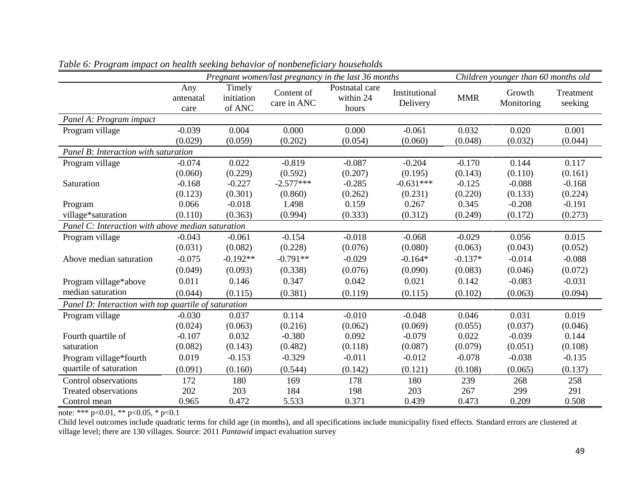|                                                      |                          | Pregnant women/last pregnancy in the last 36 months |                           |                                      |                           |            | Children younger than 60 months old |                      |
|------------------------------------------------------|--------------------------|-----------------------------------------------------|---------------------------|--------------------------------------|---------------------------|------------|-------------------------------------|----------------------|
|                                                      | Any<br>antenatal<br>care | Timely<br>initiation<br>of ANC                      | Content of<br>care in ANC | Postnatal care<br>within 24<br>hours | Institutional<br>Delivery | <b>MMR</b> | Growth<br>Monitoring                | Treatment<br>seeking |
| Panel A: Program impact                              |                          |                                                     |                           |                                      |                           |            |                                     |                      |
| Program village                                      | $-0.039$                 | 0.004                                               | 0.000                     | 0.000                                | $-0.061$                  | 0.032      | 0.020                               | 0.001                |
|                                                      | (0.029)                  | (0.059)                                             | (0.202)                   | (0.054)                              | (0.060)                   | (0.048)    | (0.032)                             | (0.044)              |
| Panel B: Interaction with saturation                 |                          |                                                     |                           |                                      |                           |            |                                     |                      |
| Program village                                      | $-0.074$                 | 0.022                                               | $-0.819$                  | $-0.087$                             | $-0.204$                  | $-0.170$   | 0.144                               | 0.117                |
|                                                      | (0.060)                  | (0.229)                                             | (0.592)                   | (0.207)                              | (0.195)                   | (0.143)    | (0.110)                             | (0.161)              |
| Saturation                                           | $-0.168$                 | $-0.227$                                            | $-2.577***$               | $-0.285$                             | $-0.631***$               | $-0.125$   | $-0.088$                            | $-0.168$             |
|                                                      | (0.123)                  | (0.301)                                             | (0.860)                   | (0.262)                              | (0.231)                   | (0.220)    | (0.133)                             | (0.224)              |
| Program                                              | 0.066                    | $-0.018$                                            | 1.498                     | 0.159                                | 0.267                     | 0.345      | $-0.208$                            | $-0.191$             |
| village*saturation                                   | (0.110)                  | (0.363)                                             | (0.994)                   | (0.333)                              | (0.312)                   | (0.249)    | (0.172)                             | (0.273)              |
| Panel C: Interaction with above median saturation    |                          |                                                     |                           |                                      |                           |            |                                     |                      |
| Program village                                      | $-0.043$                 | $-0.061$                                            | $-0.154$                  | $-0.018$                             | $-0.068$                  | $-0.029$   | 0.056                               | 0.015                |
|                                                      | (0.031)                  | (0.082)                                             | (0.228)                   | (0.076)                              | (0.080)                   | (0.063)    | (0.043)                             | (0.052)              |
| Above median saturation                              | $-0.075$                 | $-0.192**$                                          | $-0.791**$                | $-0.029$                             | $-0.164*$                 | $-0.137*$  | $-0.014$                            | $-0.088$             |
|                                                      | (0.049)                  | (0.093)                                             | (0.338)                   | (0.076)                              | (0.090)                   | (0.083)    | (0.046)                             | (0.072)              |
| Program village*above                                | 0.011                    | 0.146                                               | 0.347                     | 0.042                                | 0.021                     | 0.142      | $-0.083$                            | $-0.031$             |
| median saturation                                    | (0.044)                  | (0.115)                                             | (0.381)                   | (0.119)                              | (0.115)                   | (0.102)    | (0.063)                             | (0.094)              |
| Panel D: Interaction with top quartile of saturation |                          |                                                     |                           |                                      |                           |            |                                     |                      |
| Program village                                      | $-0.030$                 | 0.037                                               | 0.114                     | $-0.010$                             | $-0.048$                  | 0.046      | 0.031                               | 0.019                |
|                                                      | (0.024)                  | (0.063)                                             | (0.216)                   | (0.062)                              | (0.069)                   | (0.055)    | (0.037)                             | (0.046)              |
| Fourth quartile of                                   | $-0.107$                 | 0.032                                               | $-0.380$                  | 0.092                                | $-0.079$                  | 0.022      | $-0.039$                            | 0.144                |
| saturation                                           | (0.082)                  | (0.143)                                             | (0.482)                   | (0.118)                              | (0.087)                   | (0.079)    | (0.051)                             | (0.108)              |
| Program village*fourth                               | 0.019                    | $-0.153$                                            | $-0.329$                  | $-0.011$                             | $-0.012$                  | $-0.078$   | $-0.038$                            | $-0.135$             |
| quartile of saturation                               | (0.091)                  | (0.160)                                             | (0.544)                   | (0.142)                              | (0.121)                   | (0.108)    | (0.065)                             | (0.137)              |
| Control observations                                 | 172                      | 180                                                 | 169                       | 178                                  | 180                       | 239        | 268                                 | 258                  |
| <b>Treated observations</b>                          | 202                      | 203                                                 | 184                       | 198                                  | 203                       | 267        | 299                                 | 291                  |
| Control mean                                         | 0.965                    | 0.472                                               | 5.533                     | 0.371                                | 0.439                     | 0.473      | 0.209                               | 0.508                |

*Table 6: Program impact on health seeking behavior of nonbeneficiary households*

Child level outcomes include quadratic terms for child age (in months), and all specifications include municipality fixed effects. Standard errors are clustered at village level; there are 130 villages. Source: 2011 *Pantawid* impact evaluation survey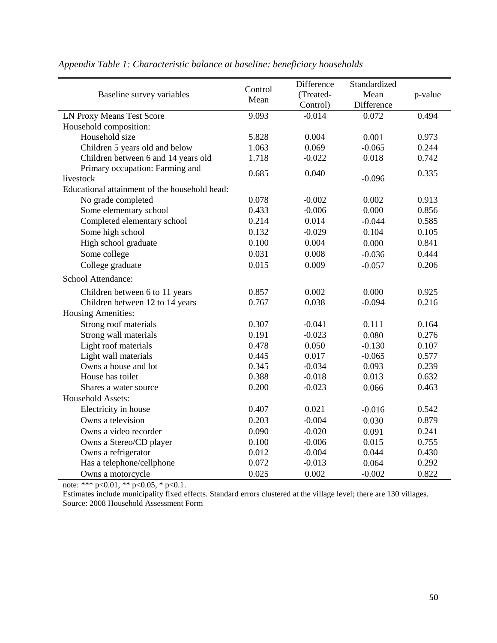|                                               | Control | Difference            | Standardized       |         |
|-----------------------------------------------|---------|-----------------------|--------------------|---------|
| Baseline survey variables                     | Mean    | (Treated-<br>Control) | Mean<br>Difference | p-value |
| LN Proxy Means Test Score                     | 9.093   | $-0.014$              | 0.072              | 0.494   |
| Household composition:                        |         |                       |                    |         |
| Household size                                | 5.828   | 0.004                 | 0.001              | 0.973   |
| Children 5 years old and below                | 1.063   | 0.069                 | $-0.065$           | 0.244   |
| Children between 6 and 14 years old           | 1.718   | $-0.022$              | 0.018              | 0.742   |
| Primary occupation: Farming and               |         |                       |                    |         |
| livestock                                     | 0.685   | 0.040                 | $-0.096$           | 0.335   |
| Educational attainment of the household head: |         |                       |                    |         |
| No grade completed                            | 0.078   | $-0.002$              | 0.002              | 0.913   |
| Some elementary school                        | 0.433   | $-0.006$              | 0.000              | 0.856   |
| Completed elementary school                   | 0.214   | 0.014                 | $-0.044$           | 0.585   |
| Some high school                              | 0.132   | $-0.029$              | 0.104              | 0.105   |
| High school graduate                          | 0.100   | 0.004                 | 0.000              | 0.841   |
| Some college                                  | 0.031   | 0.008                 | $-0.036$           | 0.444   |
| College graduate                              | 0.015   | 0.009                 | $-0.057$           | 0.206   |
| School Attendance:                            |         |                       |                    |         |
| Children between 6 to 11 years                | 0.857   | 0.002                 | 0.000              | 0.925   |
| Children between 12 to 14 years               | 0.767   | 0.038                 | $-0.094$           | 0.216   |
| <b>Housing Amenities:</b>                     |         |                       |                    |         |
| Strong roof materials                         | 0.307   | $-0.041$              | 0.111              | 0.164   |
| Strong wall materials                         | 0.191   | $-0.023$              | 0.080              | 0.276   |
| Light roof materials                          | 0.478   | 0.050                 | $-0.130$           | 0.107   |
| Light wall materials                          | 0.445   | 0.017                 | $-0.065$           | 0.577   |
| Owns a house and lot                          | 0.345   | $-0.034$              | 0.093              | 0.239   |
| House has toilet                              | 0.388   | $-0.018$              | 0.013              | 0.632   |
| Shares a water source                         | 0.200   | $-0.023$              | 0.066              | 0.463   |
| Household Assets:                             |         |                       |                    |         |
| Electricity in house                          | 0.407   | 0.021                 | $-0.016$           | 0.542   |
| Owns a television                             | 0.203   | $-0.004$              | 0.030              | 0.879   |
| Owns a video recorder                         | 0.090   | $-0.020$              | 0.091              | 0.241   |
| Owns a Stereo/CD player                       | 0.100   | $-0.006$              | 0.015              | 0.755   |
| Owns a refrigerator                           | 0.012   | $-0.004$              | 0.044              | 0.430   |
| Has a telephone/cellphone                     | 0.072   | $-0.013$              | 0.064              | 0.292   |
| Owns a motorcycle                             | 0.025   | 0.002                 | $-0.002$           | 0.822   |

### *Appendix Table 1: Characteristic balance at baseline: beneficiary households*

note: \*\*\* p<0.01, \*\* p<0.05, \* p<0.1.

Estimates include municipality fixed effects. Standard errors clustered at the village level; there are 130 villages. Source: 2008 Household Assessment Form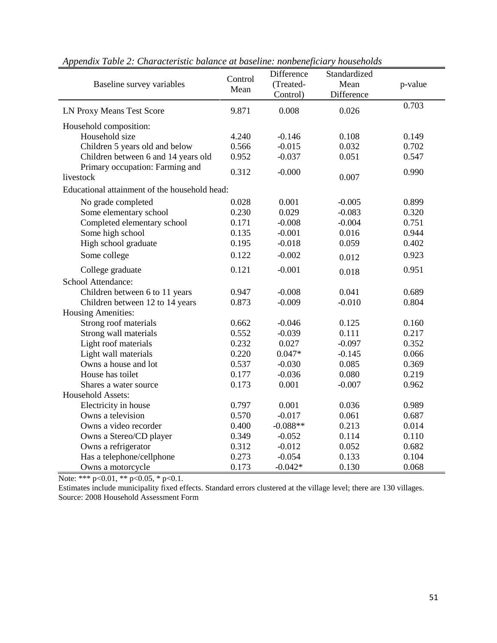| Baseline survey variables                     | Control<br>Mean | Difference<br>(Treated-<br>Control) | Standardized<br>Mean<br>Difference | p-value |
|-----------------------------------------------|-----------------|-------------------------------------|------------------------------------|---------|
| LN Proxy Means Test Score                     | 9.871           | 0.008                               | 0.026                              | 0.703   |
| Household composition:                        |                 |                                     |                                    |         |
| Household size                                | 4.240           | $-0.146$                            | 0.108                              | 0.149   |
| Children 5 years old and below                | 0.566           | $-0.015$                            | 0.032                              | 0.702   |
| Children between 6 and 14 years old           | 0.952           | $-0.037$                            | 0.051                              | 0.547   |
| Primary occupation: Farming and<br>livestock  | 0.312           | $-0.000$                            | 0.007                              | 0.990   |
| Educational attainment of the household head: |                 |                                     |                                    |         |
| No grade completed                            | 0.028           | 0.001                               | $-0.005$                           | 0.899   |
| Some elementary school                        | 0.230           | 0.029                               | $-0.083$                           | 0.320   |
| Completed elementary school                   | 0.171           | $-0.008$                            | $-0.004$                           | 0.751   |
| Some high school                              | 0.135           | $-0.001$                            | 0.016                              | 0.944   |
| High school graduate                          | 0.195           | $-0.018$                            | 0.059                              | 0.402   |
| Some college                                  | 0.122           | $-0.002$                            | 0.012                              | 0.923   |
| College graduate                              | 0.121           | $-0.001$                            | 0.018                              | 0.951   |
| School Attendance:                            |                 |                                     |                                    |         |
| Children between 6 to 11 years                | 0.947           | $-0.008$                            | 0.041                              | 0.689   |
| Children between 12 to 14 years               | 0.873           | $-0.009$                            | $-0.010$                           | 0.804   |
| <b>Housing Amenities:</b>                     |                 |                                     |                                    |         |
| Strong roof materials                         | 0.662           | $-0.046$                            | 0.125                              | 0.160   |
| Strong wall materials                         | 0.552           | $-0.039$                            | 0.111                              | 0.217   |
| Light roof materials                          | 0.232           | 0.027                               | $-0.097$                           | 0.352   |
| Light wall materials                          | 0.220           | $0.047*$                            | $-0.145$                           | 0.066   |
| Owns a house and lot                          | 0.537           | $-0.030$                            | 0.085                              | 0.369   |
| House has toilet                              | 0.177           | $-0.036$                            | 0.080                              | 0.219   |
| Shares a water source                         | 0.173           | 0.001                               | $-0.007$                           | 0.962   |
| Household Assets:                             |                 |                                     |                                    |         |
| Electricity in house                          | 0.797           | 0.001                               | 0.036                              | 0.989   |
| Owns a television                             | 0.570           | $-0.017$                            | 0.061                              | 0.687   |
| Owns a video recorder                         | 0.400           | $-0.088**$                          | 0.213                              | 0.014   |
| Owns a Stereo/CD player                       | 0.349           | $-0.052$                            | 0.114                              | 0.110   |
| Owns a refrigerator                           | 0.312           | $-0.012$                            | 0.052                              | 0.682   |
| Has a telephone/cellphone                     | 0.273           | $-0.054$                            | 0.133                              | 0.104   |
| Owns a motorcycle                             | 0.173           | $-0.042*$                           | 0.130                              | 0.068   |

*Appendix Table 2: Characteristic balance at baseline: nonbeneficiary households*

Estimates include municipality fixed effects. Standard errors clustered at the village level; there are 130 villages. Source: 2008 Household Assessment Form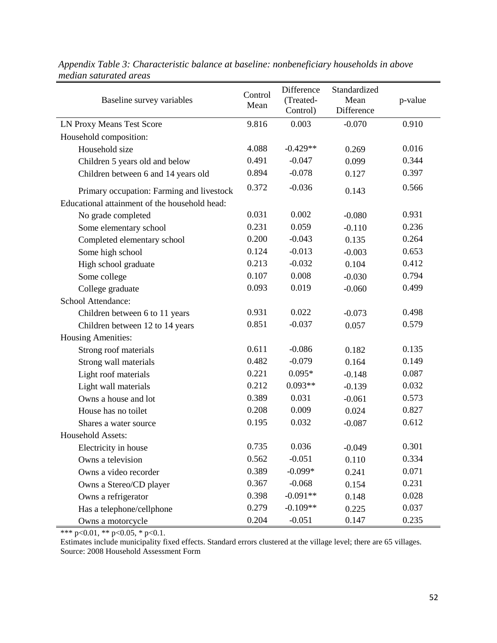| Baseline survey variables                     | Control<br>Mean | Difference<br>(Treated-<br>Control) | Standardized<br>Mean<br>Difference | p-value |
|-----------------------------------------------|-----------------|-------------------------------------|------------------------------------|---------|
| LN Proxy Means Test Score                     | 9.816           | 0.003                               | $-0.070$                           | 0.910   |
| Household composition:                        |                 |                                     |                                    |         |
| Household size                                | 4.088           | $-0.429**$                          | 0.269                              | 0.016   |
| Children 5 years old and below                | 0.491           | $-0.047$                            | 0.099                              | 0.344   |
| Children between 6 and 14 years old           | 0.894           | $-0.078$                            | 0.127                              | 0.397   |
| Primary occupation: Farming and livestock     | 0.372           | $-0.036$                            | 0.143                              | 0.566   |
| Educational attainment of the household head: |                 |                                     |                                    |         |
| No grade completed                            | 0.031           | 0.002                               | $-0.080$                           | 0.931   |
| Some elementary school                        | 0.231           | 0.059                               | $-0.110$                           | 0.236   |
| Completed elementary school                   | 0.200           | $-0.043$                            | 0.135                              | 0.264   |
| Some high school                              | 0.124           | $-0.013$                            | $-0.003$                           | 0.653   |
| High school graduate                          | 0.213           | $-0.032$                            | 0.104                              | 0.412   |
| Some college                                  | 0.107           | 0.008                               | $-0.030$                           | 0.794   |
| College graduate                              | 0.093           | 0.019                               | $-0.060$                           | 0.499   |
| School Attendance:                            |                 |                                     |                                    |         |
| Children between 6 to 11 years                | 0.931           | 0.022                               | $-0.073$                           | 0.498   |
| Children between 12 to 14 years               | 0.851           | $-0.037$                            | 0.057                              | 0.579   |
| <b>Housing Amenities:</b>                     |                 |                                     |                                    |         |
| Strong roof materials                         | 0.611           | $-0.086$                            | 0.182                              | 0.135   |
| Strong wall materials                         | 0.482           | $-0.079$                            | 0.164                              | 0.149   |
| Light roof materials                          | 0.221           | $0.095*$                            | $-0.148$                           | 0.087   |
| Light wall materials                          | 0.212           | $0.093**$                           | $-0.139$                           | 0.032   |
| Owns a house and lot                          | 0.389           | 0.031                               | $-0.061$                           | 0.573   |
| House has no toilet                           | 0.208           | 0.009                               | 0.024                              | 0.827   |
| Shares a water source                         | 0.195           | 0.032                               | $-0.087$                           | 0.612   |
| Household Assets:                             |                 |                                     |                                    |         |
| Electricity in house                          | 0.735           | 0.036                               | $-0.049$                           | 0.301   |
| Owns a television                             | 0.562           | $-0.051$                            | 0.110                              | 0.334   |
| Owns a video recorder                         | 0.389           | $-0.099*$                           | 0.241                              | 0.071   |
| Owns a Stereo/CD player                       | 0.367           | $-0.068$                            | 0.154                              | 0.231   |
| Owns a refrigerator                           | 0.398           | $-0.091**$                          | 0.148                              | 0.028   |
| Has a telephone/cellphone                     | 0.279           | $-0.109**$                          | 0.225                              | 0.037   |
| Owns a motorcycle                             | 0.204           | $-0.051$                            | 0.147                              | 0.235   |

| Appendix Table 3: Characteristic balance at baseline: nonbeneficiary households in above |  |  |
|------------------------------------------------------------------------------------------|--|--|
| median saturated areas                                                                   |  |  |

Estimates include municipality fixed effects. Standard errors clustered at the village level; there are 65 villages. Source: 2008 Household Assessment Form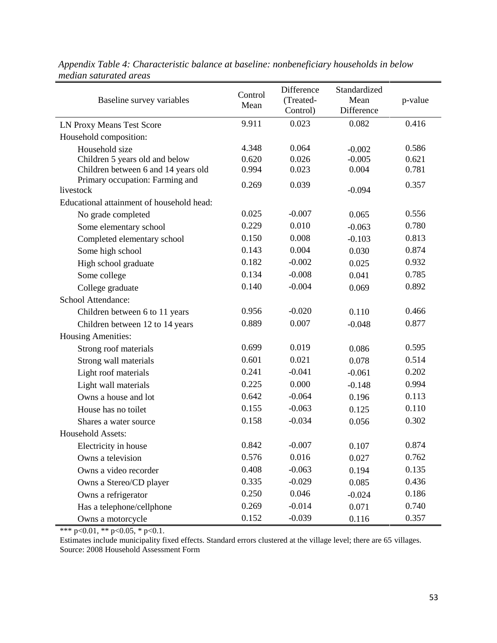| Baseline survey variables                    | Control<br>Mean | Difference<br>(Treated-<br>Control) | Standardized<br>Mean<br>Difference | p-value |
|----------------------------------------------|-----------------|-------------------------------------|------------------------------------|---------|
| LN Proxy Means Test Score                    | 9.911           | 0.023                               | 0.082                              | 0.416   |
| Household composition:                       |                 |                                     |                                    |         |
| Household size                               | 4.348           | 0.064                               | $-0.002$                           | 0.586   |
| Children 5 years old and below               | 0.620           | 0.026                               | $-0.005$                           | 0.621   |
| Children between 6 and 14 years old          | 0.994           | 0.023                               | 0.004                              | 0.781   |
| Primary occupation: Farming and<br>livestock | 0.269           | 0.039                               | $-0.094$                           | 0.357   |
| Educational attainment of household head:    |                 |                                     |                                    |         |
| No grade completed                           | 0.025           | $-0.007$                            | 0.065                              | 0.556   |
| Some elementary school                       | 0.229           | 0.010                               | $-0.063$                           | 0.780   |
| Completed elementary school                  | 0.150           | 0.008                               | $-0.103$                           | 0.813   |
| Some high school                             | 0.143           | 0.004                               | 0.030                              | 0.874   |
| High school graduate                         | 0.182           | $-0.002$                            | 0.025                              | 0.932   |
| Some college                                 | 0.134           | $-0.008$                            | 0.041                              | 0.785   |
| College graduate                             | 0.140           | $-0.004$                            | 0.069                              | 0.892   |
| School Attendance:                           |                 |                                     |                                    |         |
| Children between 6 to 11 years               | 0.956           | $-0.020$                            | 0.110                              | 0.466   |
| Children between 12 to 14 years              | 0.889           | 0.007                               | $-0.048$                           | 0.877   |
| <b>Housing Amenities:</b>                    |                 |                                     |                                    |         |
| Strong roof materials                        | 0.699           | 0.019                               | 0.086                              | 0.595   |
| Strong wall materials                        | 0.601           | 0.021                               | 0.078                              | 0.514   |
| Light roof materials                         | 0.241           | $-0.041$                            | $-0.061$                           | 0.202   |
| Light wall materials                         | 0.225           | 0.000                               | $-0.148$                           | 0.994   |
| Owns a house and lot                         | 0.642           | $-0.064$                            | 0.196                              | 0.113   |
| House has no toilet                          | 0.155           | $-0.063$                            | 0.125                              | 0.110   |
| Shares a water source                        | 0.158           | $-0.034$                            | 0.056                              | 0.302   |
| Household Assets:                            |                 |                                     |                                    |         |
| Electricity in house                         | 0.842           | $-0.007$                            | 0.107                              | 0.874   |
| Owns a television                            | 0.576           | 0.016                               | 0.027                              | 0.762   |
| Owns a video recorder                        | 0.408           | $-0.063$                            | 0.194                              | 0.135   |
| Owns a Stereo/CD player                      | 0.335           | $-0.029$                            | 0.085                              | 0.436   |
| Owns a refrigerator                          | 0.250           | 0.046                               | $-0.024$                           | 0.186   |
| Has a telephone/cellphone                    | 0.269           | $-0.014$                            | 0.071                              | 0.740   |
| Owns a motorcycle                            | 0.152           | $-0.039$                            | 0.116                              | 0.357   |

*Appendix Table 4: Characteristic balance at baseline: nonbeneficiary households in below median saturated areas*

Estimates include municipality fixed effects. Standard errors clustered at the village level; there are 65 villages. Source: 2008 Household Assessment Form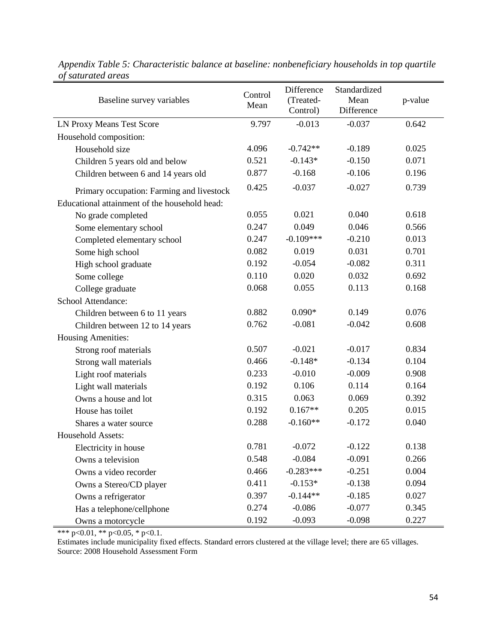| Baseline survey variables                     | Control<br>Mean | Difference<br>(Treated-<br>Control) | Standardized<br>Mean<br>Difference | p-value |
|-----------------------------------------------|-----------------|-------------------------------------|------------------------------------|---------|
| LN Proxy Means Test Score                     | 9.797           | $-0.013$                            | $-0.037$                           | 0.642   |
| Household composition:                        |                 |                                     |                                    |         |
| Household size                                | 4.096           | $-0.742**$                          | $-0.189$                           | 0.025   |
| Children 5 years old and below                | 0.521           | $-0.143*$                           | $-0.150$                           | 0.071   |
| Children between 6 and 14 years old           | 0.877           | $-0.168$                            | $-0.106$                           | 0.196   |
| Primary occupation: Farming and livestock     | 0.425           | $-0.037$                            | $-0.027$                           | 0.739   |
| Educational attainment of the household head: |                 |                                     |                                    |         |
| No grade completed                            | 0.055           | 0.021                               | 0.040                              | 0.618   |
| Some elementary school                        | 0.247           | 0.049                               | 0.046                              | 0.566   |
| Completed elementary school                   | 0.247           | $-0.109***$                         | $-0.210$                           | 0.013   |
| Some high school                              | 0.082           | 0.019                               | 0.031                              | 0.701   |
| High school graduate                          | 0.192           | $-0.054$                            | $-0.082$                           | 0.311   |
| Some college                                  | 0.110           | 0.020                               | 0.032                              | 0.692   |
| College graduate                              | 0.068           | 0.055                               | 0.113                              | 0.168   |
| School Attendance:                            |                 |                                     |                                    |         |
| Children between 6 to 11 years                | 0.882           | $0.090*$                            | 0.149                              | 0.076   |
| Children between 12 to 14 years               | 0.762           | $-0.081$                            | $-0.042$                           | 0.608   |
| <b>Housing Amenities:</b>                     |                 |                                     |                                    |         |
| Strong roof materials                         | 0.507           | $-0.021$                            | $-0.017$                           | 0.834   |
| Strong wall materials                         | 0.466           | $-0.148*$                           | $-0.134$                           | 0.104   |
| Light roof materials                          | 0.233           | $-0.010$                            | $-0.009$                           | 0.908   |
| Light wall materials                          | 0.192           | 0.106                               | 0.114                              | 0.164   |
| Owns a house and lot                          | 0.315           | 0.063                               | 0.069                              | 0.392   |
| House has toilet                              | 0.192           | $0.167**$                           | 0.205                              | 0.015   |
| Shares a water source                         | 0.288           | $-0.160**$                          | $-0.172$                           | 0.040   |
| Household Assets:                             |                 |                                     |                                    |         |
| Electricity in house                          | 0.781           | $-0.072$                            | $-0.122$                           | 0.138   |
| Owns a television                             | 0.548           | $-0.084$                            | $-0.091$                           | 0.266   |
| Owns a video recorder                         | 0.466           | $-0.283***$                         | $-0.251$                           | 0.004   |
| Owns a Stereo/CD player                       | 0.411           | $-0.153*$                           | $-0.138$                           | 0.094   |
| Owns a refrigerator                           | 0.397           | $-0.144**$                          | $-0.185$                           | 0.027   |
| Has a telephone/cellphone                     | 0.274           | $-0.086$                            | $-0.077$                           | 0.345   |
| Owns a motorcycle                             | 0.192           | $-0.093$                            | $-0.098$                           | 0.227   |

| Appendix Table 5: Characteristic balance at baseline: nonbeneficiary households in top quartile |  |  |  |
|-------------------------------------------------------------------------------------------------|--|--|--|
| of saturated areas                                                                              |  |  |  |

Estimates include municipality fixed effects. Standard errors clustered at the village level; there are 65 villages. Source: 2008 Household Assessment Form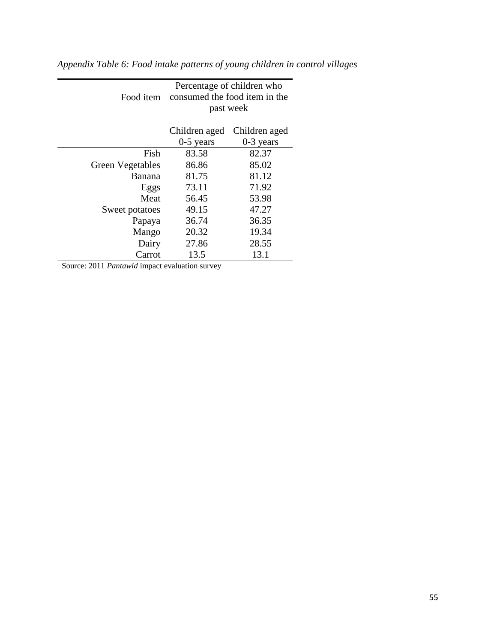| Food item               | Percentage of children who<br>consumed the food item in the<br>past week |               |  |  |  |
|-------------------------|--------------------------------------------------------------------------|---------------|--|--|--|
|                         | Children aged                                                            | Children aged |  |  |  |
|                         | $0-5$ years                                                              | $0-3$ years   |  |  |  |
| Fish                    | 83.58                                                                    | 82.37         |  |  |  |
| <b>Green Vegetables</b> | 86.86                                                                    | 85.02         |  |  |  |
| Banana                  | 81.75                                                                    | 81.12         |  |  |  |
| Eggs                    | 73.11                                                                    | 71.92         |  |  |  |
| Meat                    | 56.45                                                                    | 53.98         |  |  |  |
| Sweet potatoes          | 49.15                                                                    | 47.27         |  |  |  |
| Papaya                  | 36.74                                                                    | 36.35         |  |  |  |
| Mango                   | 20.32                                                                    | 19.34         |  |  |  |
| Dairy                   | 27.86                                                                    | 28.55         |  |  |  |
| Carrot                  | 13.5                                                                     | 13.1          |  |  |  |

*Appendix Table 6: Food intake patterns of young children in control villages*

—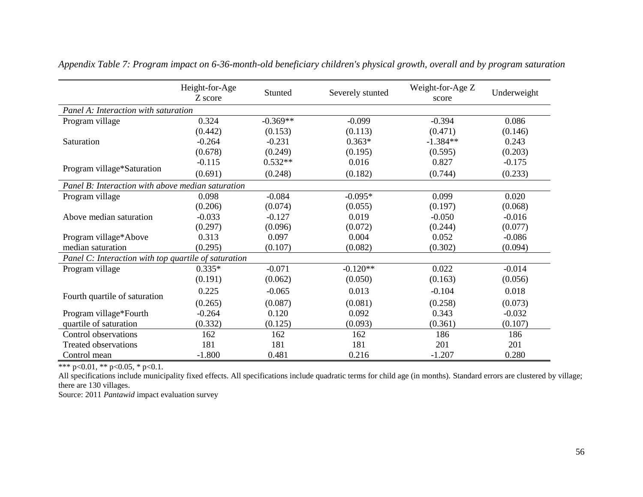|                                                      | Height-for-Age<br>Z score | Stunted    | Severely stunted | Weight-for-Age Z<br>score | Underweight |
|------------------------------------------------------|---------------------------|------------|------------------|---------------------------|-------------|
| Panel A: Interaction with saturation                 |                           |            |                  |                           |             |
| Program village                                      | 0.324                     | $-0.369**$ | $-0.099$         | $-0.394$                  | 0.086       |
|                                                      | (0.442)                   | (0.153)    | (0.113)          | (0.471)                   | (0.146)     |
| Saturation                                           | $-0.264$                  | $-0.231$   | $0.363*$         | $-1.384**$                | 0.243       |
|                                                      | (0.678)                   | (0.249)    | (0.195)          | (0.595)                   | (0.203)     |
|                                                      | $-0.115$                  | $0.532**$  | 0.016            | 0.827                     | $-0.175$    |
| Program village*Saturation                           | (0.691)                   | (0.248)    | (0.182)          | (0.744)                   | (0.233)     |
| Panel B: Interaction with above median saturation    |                           |            |                  |                           |             |
| Program village                                      | 0.098                     | $-0.084$   | $-0.095*$        | 0.099                     | 0.020       |
|                                                      | (0.206)                   | (0.074)    | (0.055)          | (0.197)                   | (0.068)     |
| Above median saturation                              | $-0.033$                  | $-0.127$   | 0.019            | $-0.050$                  | $-0.016$    |
|                                                      | (0.297)                   | (0.096)    | (0.072)          | (0.244)                   | (0.077)     |
| Program village*Above                                | 0.313                     | 0.097      | 0.004            | 0.052                     | $-0.086$    |
| median saturation                                    | (0.295)                   | (0.107)    | (0.082)          | (0.302)                   | (0.094)     |
| Panel C: Interaction with top quartile of saturation |                           |            |                  |                           |             |
| Program village                                      | $0.335*$                  | $-0.071$   | $-0.120**$       | 0.022                     | $-0.014$    |
|                                                      | (0.191)                   | (0.062)    | (0.050)          | (0.163)                   | (0.056)     |
| Fourth quartile of saturation                        | 0.225                     | $-0.065$   | 0.013            | $-0.104$                  | 0.018       |
|                                                      | (0.265)                   | (0.087)    | (0.081)          | (0.258)                   | (0.073)     |
| Program village*Fourth                               | $-0.264$                  | 0.120      | 0.092            | 0.343                     | $-0.032$    |
| quartile of saturation                               | (0.332)                   | (0.125)    | (0.093)          | (0.361)                   | (0.107)     |
| Control observations                                 | 162                       | 162        | 162              | 186                       | 186         |
| <b>Treated observations</b>                          | 181                       | 181        | 181              | 201                       | 201         |
| Control mean                                         | $-1.800$                  | 0.481      | 0.216            | $-1.207$                  | 0.280       |

*Appendix Table 7: Program impact on 6-36-month-old beneficiary children's physical growth, overall and by program saturation*

All specifications include municipality fixed effects. All specifications include quadratic terms for child age (in months). Standard errors are clustered by village; there are 130 villages.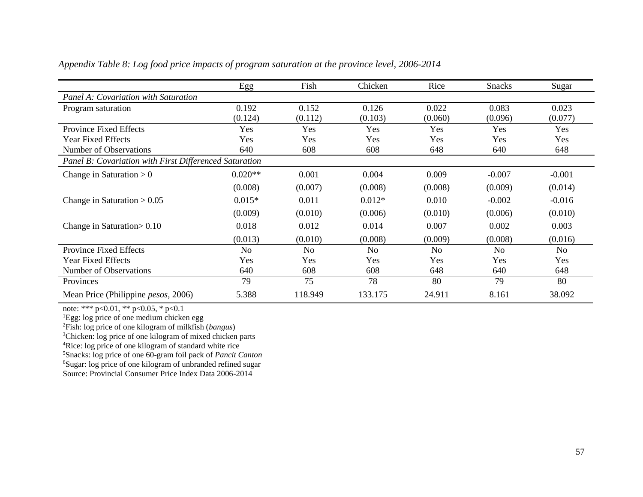|                                                        | Egg            | Fish           | Chicken        | Rice    | <b>Snacks</b> | Sugar          |
|--------------------------------------------------------|----------------|----------------|----------------|---------|---------------|----------------|
| Panel A: Covariation with Saturation                   |                |                |                |         |               |                |
| Program saturation                                     | 0.192          | 0.152          | 0.126          | 0.022   | 0.083         | 0.023          |
|                                                        | (0.124)        | (0.112)        | (0.103)        | (0.060) | (0.096)       | (0.077)        |
| Province Fixed Effects                                 | Yes            | Yes            | Yes            | Yes     | Yes           | Yes            |
| <b>Year Fixed Effects</b>                              | Yes            | Yes            | Yes            | Yes     | Yes           | Yes            |
| Number of Observations                                 | 640            | 608            | 608            | 648     | 640           | 648            |
| Panel B: Covariation with First Differenced Saturation |                |                |                |         |               |                |
| Change in Saturation $> 0$                             | $0.020**$      | 0.001          | 0.004          | 0.009   | $-0.007$      | $-0.001$       |
|                                                        | (0.008)        | (0.007)        | (0.008)        | (0.008) | (0.009)       | (0.014)        |
| Change in Saturation $> 0.05$                          | $0.015*$       | 0.011          | $0.012*$       | 0.010   | $-0.002$      | $-0.016$       |
|                                                        | (0.009)        | (0.010)        | (0.006)        | (0.010) | (0.006)       | (0.010)        |
| Change in Saturation $> 0.10$                          | 0.018          | 0.012          | 0.014          | 0.007   | 0.002         | 0.003          |
|                                                        | (0.013)        | (0.010)        | (0.008)        | (0.009) | (0.008)       | (0.016)        |
| Province Fixed Effects                                 | N <sub>o</sub> | N <sub>o</sub> | N <sub>o</sub> | No      | No            | N <sub>o</sub> |
| <b>Year Fixed Effects</b>                              | Yes            | Yes            | Yes            | Yes     | Yes           | Yes            |
| Number of Observations                                 | 640            | 608            | 608            | 648     | 640           | 648            |
| Provinces                                              | 79             | 75             | 78             | 80      | 79            | 80             |
| Mean Price (Philippine <i>pesos</i> , 2006)            | 5.388          | 118.949        | 133.175        | 24.911  | 8.161         | 38.092         |

*Appendix Table 8: Log food price impacts of program saturation at the province level, 2006-2014*

<sup>1</sup>Egg: log price of one medium chicken egg

<sup>2</sup>Fish: log price of one kilogram of milkfish (*bangus*)

<sup>3</sup>Chicken: log price of one kilogram of mixed chicken parts

<sup>4</sup>Rice: log price of one kilogram of standard white rice

<sup>5</sup>Snacks: log price of one 60-gram foil pack of *Pancit Canton*

<sup>6</sup>Sugar: log price of one kilogram of unbranded refined sugar

Source: Provincial Consumer Price Index Data 2006-2014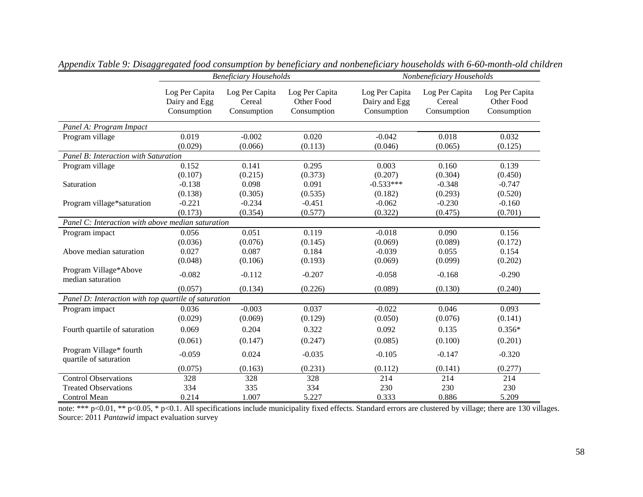|                                                      |                                                | <b>Beneficiary Households</b>           |                                             | Nonbeneficiary Households                      |                                         |                                             |  |
|------------------------------------------------------|------------------------------------------------|-----------------------------------------|---------------------------------------------|------------------------------------------------|-----------------------------------------|---------------------------------------------|--|
|                                                      | Log Per Capita<br>Dairy and Egg<br>Consumption | Log Per Capita<br>Cereal<br>Consumption | Log Per Capita<br>Other Food<br>Consumption | Log Per Capita<br>Dairy and Egg<br>Consumption | Log Per Capita<br>Cereal<br>Consumption | Log Per Capita<br>Other Food<br>Consumption |  |
| Panel A: Program Impact                              |                                                |                                         |                                             |                                                |                                         |                                             |  |
| Program village                                      | 0.019                                          | $-0.002$                                | 0.020                                       | $-0.042$                                       | 0.018                                   | 0.032                                       |  |
|                                                      | (0.029)                                        | (0.066)                                 | (0.113)                                     | (0.046)                                        | (0.065)                                 | (0.125)                                     |  |
| Panel B: Interaction with Saturation                 |                                                |                                         |                                             |                                                |                                         |                                             |  |
| Program village                                      | 0.152                                          | 0.141                                   | 0.295                                       | 0.003                                          | 0.160                                   | 0.139                                       |  |
|                                                      | (0.107)                                        | (0.215)                                 | (0.373)                                     | (0.207)                                        | (0.304)                                 | (0.450)                                     |  |
| Saturation                                           | $-0.138$                                       | 0.098                                   | 0.091                                       | $-0.533***$                                    | $-0.348$                                | $-0.747$                                    |  |
|                                                      | (0.138)                                        | (0.305)                                 | (0.535)                                     | (0.182)                                        | (0.293)                                 | (0.520)                                     |  |
| Program village*saturation                           | $-0.221$                                       | $-0.234$                                | $-0.451$                                    | $-0.062$                                       | $-0.230$                                | $-0.160$                                    |  |
|                                                      | (0.173)                                        | (0.354)                                 | (0.577)                                     | (0.322)                                        | (0.475)                                 | (0.701)                                     |  |
| Panel C: Interaction with above median saturation    |                                                |                                         |                                             |                                                |                                         |                                             |  |
| Program impact                                       | 0.056                                          | 0.051                                   | 0.119                                       | $-0.018$                                       | 0.090                                   | 0.156                                       |  |
|                                                      | (0.036)                                        | (0.076)                                 | (0.145)                                     | (0.069)                                        | (0.089)                                 | (0.172)                                     |  |
| Above median saturation                              | 0.027                                          | 0.087                                   | 0.184                                       | $-0.039$                                       | 0.055                                   | 0.154                                       |  |
|                                                      | (0.048)                                        | (0.106)                                 | (0.193)                                     | (0.069)                                        | (0.099)                                 | (0.202)                                     |  |
| Program Village*Above<br>median saturation           | $-0.082$                                       | $-0.112$                                | $-0.207$                                    | $-0.058$                                       | $-0.168$                                | $-0.290$                                    |  |
|                                                      | (0.057)                                        | (0.134)                                 | (0.226)                                     | (0.089)                                        | (0.130)                                 | (0.240)                                     |  |
| Panel D: Interaction with top quartile of saturation |                                                |                                         |                                             |                                                |                                         |                                             |  |
| Program impact                                       | 0.036                                          | $-0.003$                                | 0.037                                       | $-0.022$                                       | 0.046                                   | 0.093                                       |  |
|                                                      | (0.029)                                        | (0.069)                                 | (0.129)                                     | (0.050)                                        | (0.076)                                 | (0.141)                                     |  |
| Fourth quartile of saturation                        | 0.069                                          | 0.204                                   | 0.322                                       | 0.092                                          | 0.135                                   | $0.356*$                                    |  |
|                                                      | (0.061)                                        | (0.147)                                 | (0.247)                                     | (0.085)                                        | (0.100)                                 | (0.201)                                     |  |
| Program Village* fourth<br>quartile of saturation    | $-0.059$                                       | 0.024                                   | $-0.035$                                    | $-0.105$                                       | $-0.147$                                | $-0.320$                                    |  |
|                                                      | (0.075)                                        | (0.163)                                 | (0.231)                                     | (0.112)                                        | (0.141)                                 | (0.277)                                     |  |
| <b>Control Observations</b>                          | 328                                            | 328                                     | 328                                         | 214                                            | 214                                     | 214                                         |  |
| <b>Treated Observations</b>                          | 334                                            | 335                                     | 334                                         | 230                                            | 230                                     | 230                                         |  |
| Control Mean                                         | 0.214                                          | 1.007                                   | 5.227                                       | 0.333                                          | 0.886                                   | 5.209                                       |  |

*Appendix Table 9: Disaggregated food consumption by beneficiary and nonbeneficiary households with 6-60-month-old children*

note: \*\*\* p<0.01, \*\* p<0.05, \* p<0.1. All specifications include municipality fixed effects. Standard errors are clustered by village; there are 130 villages. Source: 2011 *Pantawid* impact evaluation survey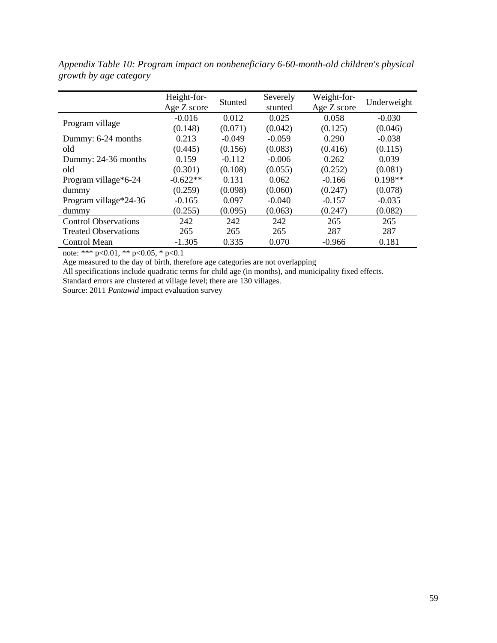|                             | Height-for- | Stunted  | Severely | Weight-for- |             |
|-----------------------------|-------------|----------|----------|-------------|-------------|
|                             | Age Z score |          | stunted  | Age Z score | Underweight |
|                             | $-0.016$    | 0.012    | 0.025    | 0.058       | $-0.030$    |
| Program village             | (0.148)     | (0.071)  | (0.042)  | (0.125)     | (0.046)     |
| Dummy: 6-24 months          | 0.213       | $-0.049$ | $-0.059$ | 0.290       | $-0.038$    |
| old                         | (0.445)     | (0.156)  | (0.083)  | (0.416)     | (0.115)     |
| Dummy: 24-36 months         | 0.159       | $-0.112$ | $-0.006$ | 0.262       | 0.039       |
| old                         | (0.301)     | (0.108)  | (0.055)  | (0.252)     | (0.081)     |
| Program village*6-24        | $-0.622**$  | 0.131    | 0.062    | $-0.166$    | $0.198**$   |
| dummy                       | (0.259)     | (0.098)  | (0.060)  | (0.247)     | (0.078)     |
| Program village*24-36       | $-0.165$    | 0.097    | $-0.040$ | $-0.157$    | $-0.035$    |
| dummy                       | (0.255)     | (0.095)  | (0.063)  | (0.247)     | (0.082)     |
| <b>Control Observations</b> | 242         | 242      | 242      | 265         | 265         |
| <b>Treated Observations</b> | 265         | 265      | 265      | 287         | 287         |
| <b>Control Mean</b>         | $-1.305$    | 0.335    | 0.070    | $-0.966$    | 0.181       |

*Appendix Table 10: Program impact on nonbeneficiary 6-60-month-old children's physical growth by age category*

Age measured to the day of birth, therefore age categories are not overlapping

All specifications include quadratic terms for child age (in months), and municipality fixed effects.

Standard errors are clustered at village level; there are 130 villages.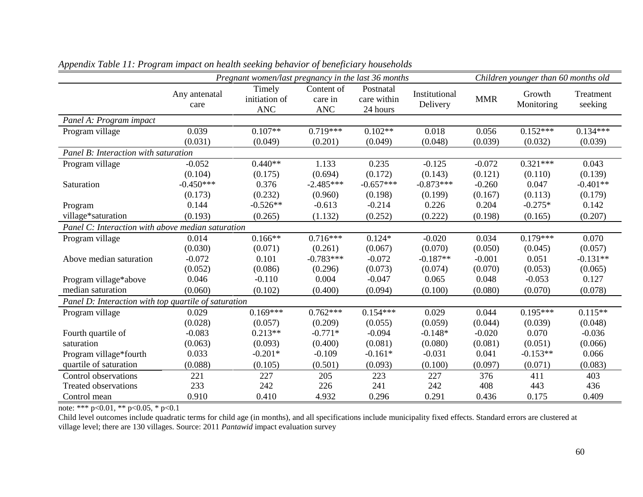|                                                      |                       | Pregnant women/last pregnancy in the last 36 months |                                     |                                      |                           |            | Children younger than 60 months old |                      |
|------------------------------------------------------|-----------------------|-----------------------------------------------------|-------------------------------------|--------------------------------------|---------------------------|------------|-------------------------------------|----------------------|
|                                                      | Any antenatal<br>care | Timely<br>initiation of<br><b>ANC</b>               | Content of<br>care in<br><b>ANC</b> | Postnatal<br>care within<br>24 hours | Institutional<br>Delivery | <b>MMR</b> | Growth<br>Monitoring                | Treatment<br>seeking |
| Panel A: Program impact                              |                       |                                                     |                                     |                                      |                           |            |                                     |                      |
| Program village                                      | 0.039                 | $0.107**$                                           | $0.719***$                          | $0.102**$                            | 0.018                     | 0.056      | $0.152***$                          | $0.134***$           |
|                                                      | (0.031)               | (0.049)                                             | (0.201)                             | (0.049)                              | (0.048)                   | (0.039)    | (0.032)                             | (0.039)              |
| Panel B: Interaction with saturation                 |                       |                                                     |                                     |                                      |                           |            |                                     |                      |
| Program village                                      | $-0.052$              | $0.440**$                                           | 1.133                               | 0.235                                | $-0.125$                  | $-0.072$   | $0.321***$                          | 0.043                |
|                                                      | (0.104)               | (0.175)                                             | (0.694)                             | (0.172)                              | (0.143)                   | (0.121)    | (0.110)                             | (0.139)              |
| Saturation                                           | $-0.450***$           | 0.376                                               | $-2.485***$                         | $-0.657***$                          | $-0.873***$               | $-0.260$   | 0.047                               | $-0.401**$           |
|                                                      | (0.173)               | (0.232)                                             | (0.960)                             | (0.198)                              | (0.199)                   | (0.167)    | (0.113)                             | (0.179)              |
| Program                                              | 0.144                 | $-0.526**$                                          | $-0.613$                            | $-0.214$                             | 0.226                     | 0.204      | $-0.275*$                           | 0.142                |
| village*saturation                                   | (0.193)               | (0.265)                                             | (1.132)                             | (0.252)                              | (0.222)                   | (0.198)    | (0.165)                             | (0.207)              |
| Panel C: Interaction with above median saturation    |                       |                                                     |                                     |                                      |                           |            |                                     |                      |
| Program village                                      | 0.014                 | $0.166**$                                           | $0.716***$                          | $0.124*$                             | $-0.020$                  | 0.034      | $0.179***$                          | 0.070                |
|                                                      | (0.030)               | (0.071)                                             | (0.261)                             | (0.067)                              | (0.070)                   | (0.050)    | (0.045)                             | (0.057)              |
| Above median saturation                              | $-0.072$              | 0.101                                               | $-0.783***$                         | $-0.072$                             | $-0.187**$                | $-0.001$   | 0.051                               | $-0.131**$           |
|                                                      | (0.052)               | (0.086)                                             | (0.296)                             | (0.073)                              | (0.074)                   | (0.070)    | (0.053)                             | (0.065)              |
| Program village*above                                | 0.046                 | $-0.110$                                            | 0.004                               | $-0.047$                             | 0.065                     | 0.048      | $-0.053$                            | 0.127                |
| median saturation                                    | (0.060)               | (0.102)                                             | (0.400)                             | (0.094)                              | (0.100)                   | (0.080)    | (0.070)                             | (0.078)              |
| Panel D: Interaction with top quartile of saturation |                       |                                                     |                                     |                                      |                           |            |                                     |                      |
| Program village                                      | 0.029                 | $0.169***$                                          | $0.762***$                          | $0.154***$                           | 0.029                     | 0.044      | $0.195***$                          | $0.115**$            |
|                                                      | (0.028)               | (0.057)                                             | (0.209)                             | (0.055)                              | (0.059)                   | (0.044)    | (0.039)                             | (0.048)              |
| Fourth quartile of                                   | $-0.083$              | $0.213**$                                           | $-0.771*$                           | $-0.094$                             | $-0.148*$                 | $-0.020$   | 0.070                               | $-0.036$             |
| saturation                                           | (0.063)               | (0.093)                                             | (0.400)                             | (0.081)                              | (0.080)                   | (0.081)    | (0.051)                             | (0.066)              |
| Program village*fourth                               | 0.033                 | $-0.201*$                                           | $-0.109$                            | $-0.161*$                            | $-0.031$                  | 0.041      | $-0.153**$                          | 0.066                |
| quartile of saturation                               | (0.088)               | (0.105)                                             | (0.501)                             | (0.093)                              | (0.100)                   | (0.097)    | (0.071)                             | (0.083)              |
| Control observations                                 | 221                   | 227                                                 | 205                                 | 223                                  | 227                       | 376        | 411                                 | 403                  |
| <b>Treated observations</b>                          | 233                   | 242                                                 | 226                                 | 241                                  | 242                       | 408        | 443                                 | 436                  |
| Control mean                                         | 0.910                 | 0.410                                               | 4.932                               | 0.296                                | 0.291                     | 0.436      | 0.175                               | 0.409                |

*Appendix Table 11: Program impact on health seeking behavior of beneficiary households*

Child level outcomes include quadratic terms for child age (in months), and all specifications include municipality fixed effects. Standard errors are clustered at village level; there are 130 villages. Source: 2011 *Pantawid* impact evaluation survey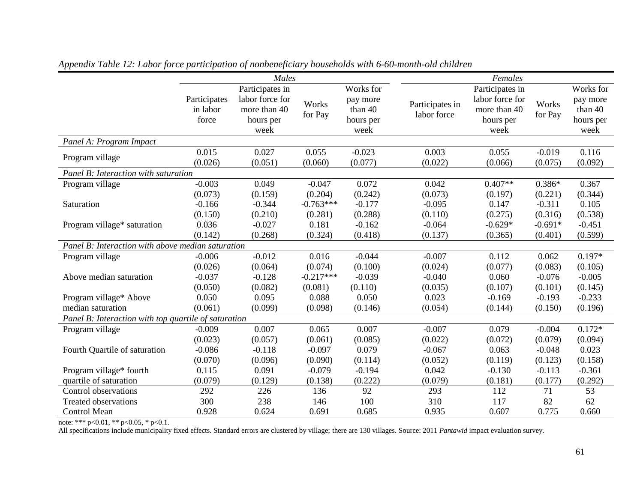|                                                      |                                   | Males                                                |                  |                                          |                                | Females                                              |                     |                                          |
|------------------------------------------------------|-----------------------------------|------------------------------------------------------|------------------|------------------------------------------|--------------------------------|------------------------------------------------------|---------------------|------------------------------------------|
|                                                      |                                   | Participates in                                      |                  | Works for                                |                                | Participates in                                      |                     | Works for                                |
|                                                      | Participates<br>in labor<br>force | labor force for<br>more than 40<br>hours per<br>week | Works<br>for Pay | pay more<br>than 40<br>hours per<br>week | Participates in<br>labor force | labor force for<br>more than 40<br>hours per<br>week | Works<br>for Pay    | pay more<br>than 40<br>hours per<br>week |
| Panel A: Program Impact                              |                                   |                                                      |                  |                                          |                                |                                                      |                     |                                          |
| Program village                                      | 0.015<br>(0.026)                  | 0.027<br>(0.051)                                     | 0.055<br>(0.060) | $-0.023$<br>(0.077)                      | 0.003<br>(0.022)               | 0.055<br>(0.066)                                     | $-0.019$<br>(0.075) | 0.116<br>(0.092)                         |
| Panel B: Interaction with saturation                 |                                   |                                                      |                  |                                          |                                |                                                      |                     |                                          |
| Program village                                      | $-0.003$                          | 0.049                                                | $-0.047$         | 0.072                                    | 0.042                          | $0.407**$                                            | $0.386*$            | 0.367                                    |
|                                                      | (0.073)                           | (0.159)                                              | (0.204)          | (0.242)                                  | (0.073)                        | (0.197)                                              | (0.221)             | (0.344)                                  |
| Saturation                                           | $-0.166$                          | $-0.344$                                             | $-0.763***$      | $-0.177$                                 | $-0.095$                       | 0.147                                                | $-0.311$            | 0.105                                    |
|                                                      | (0.150)                           | (0.210)                                              | (0.281)          | (0.288)                                  | (0.110)                        | (0.275)                                              | (0.316)             | (0.538)                                  |
| Program village* saturation                          | 0.036                             | $-0.027$                                             | 0.181            | $-0.162$                                 | $-0.064$                       | $-0.629*$                                            | $-0.691*$           | $-0.451$                                 |
|                                                      | (0.142)                           | (0.268)                                              | (0.324)          | (0.418)                                  | (0.137)                        | (0.365)                                              | (0.401)             | (0.599)                                  |
| Panel B: Interaction with above median saturation    |                                   |                                                      |                  |                                          |                                |                                                      |                     |                                          |
| Program village                                      | $-0.006$                          | $-0.012$                                             | 0.016            | $-0.044$                                 | $-0.007$                       | 0.112                                                | 0.062               | $0.197*$                                 |
|                                                      | (0.026)                           | (0.064)                                              | (0.074)          | (0.100)                                  | (0.024)                        | (0.077)                                              | (0.083)             | (0.105)                                  |
| Above median saturation                              | $-0.037$                          | $-0.128$                                             | $-0.217***$      | $-0.039$                                 | $-0.040$                       | 0.060                                                | $-0.076$            | $-0.005$                                 |
|                                                      | (0.050)                           | (0.082)                                              | (0.081)          | (0.110)                                  | (0.035)                        | (0.107)                                              | (0.101)             | (0.145)                                  |
| Program village* Above                               | 0.050                             | 0.095                                                | 0.088            | 0.050                                    | 0.023                          | $-0.169$                                             | $-0.193$            | $-0.233$                                 |
| median saturation                                    | (0.061)                           | (0.099)                                              | (0.098)          | (0.146)                                  | (0.054)                        | (0.144)                                              | (0.150)             | (0.196)                                  |
| Panel B: Interaction with top quartile of saturation |                                   |                                                      |                  |                                          |                                |                                                      |                     |                                          |
| Program village                                      | $-0.009$                          | 0.007                                                | 0.065            | 0.007                                    | $-0.007$                       | 0.079                                                | $-0.004$            | $0.172*$                                 |
|                                                      | (0.023)                           | (0.057)                                              | (0.061)          | (0.085)                                  | (0.022)                        | (0.072)                                              | (0.079)             | (0.094)                                  |
| Fourth Quartile of saturation                        | $-0.086$                          | $-0.118$                                             | $-0.097$         | 0.079                                    | $-0.067$                       | 0.063                                                | $-0.048$            | 0.023                                    |
|                                                      | (0.070)                           | (0.096)                                              | (0.090)          | (0.114)                                  | (0.052)                        | (0.119)                                              | (0.123)             | (0.158)                                  |
| Program village* fourth                              | 0.115                             | 0.091                                                | $-0.079$         | $-0.194$                                 | 0.042                          | $-0.130$                                             | $-0.113$            | $-0.361$                                 |
| quartile of saturation                               | (0.079)                           | (0.129)                                              | (0.138)          | (0.222)                                  | (0.079)                        | (0.181)                                              | (0.177)             | (0.292)                                  |
| Control observations                                 | 292                               | 226                                                  | 136              | 92                                       | 293                            | 112                                                  | 71                  | 53                                       |
| <b>Treated observations</b>                          | 300                               | 238                                                  | 146              | 100                                      | 310                            | 117                                                  | 82                  | 62                                       |
| Control Mean                                         | 0.928                             | 0.624                                                | 0.691            | 0.685                                    | 0.935                          | 0.607                                                | 0.775               | 0.660                                    |

*Appendix Table 12: Labor force participation of nonbeneficiary households with 6-60-month-old children*

All specifications include municipality fixed effects. Standard errors are clustered by village; there are 130 villages. Source: 2011 *Pantawid* impact evaluation survey.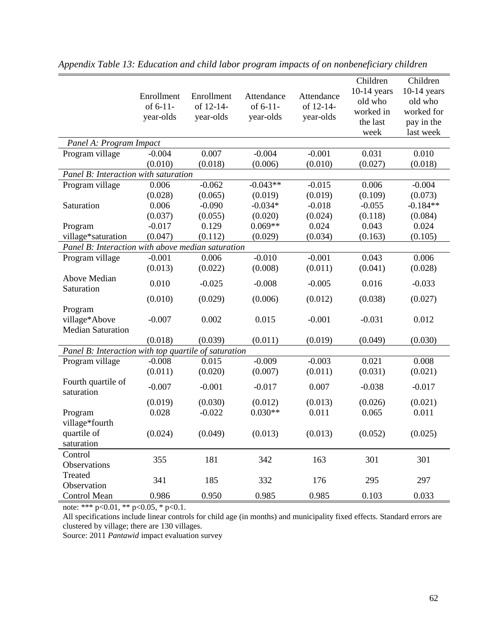|                                                      | Enrollment<br>of 6-11-<br>year-olds | Enrollment<br>of 12-14-<br>year-olds | Attendance<br>of $6-11-$<br>year-olds | Attendance<br>of 12-14-<br>year-olds | Children<br>$10-14$ years<br>old who<br>worked in<br>the last<br>week | Children<br>$10-14$ years<br>old who<br>worked for<br>pay in the<br>last week |
|------------------------------------------------------|-------------------------------------|--------------------------------------|---------------------------------------|--------------------------------------|-----------------------------------------------------------------------|-------------------------------------------------------------------------------|
| Panel A: Program Impact                              |                                     |                                      |                                       |                                      |                                                                       |                                                                               |
| Program village                                      | $-0.004$                            | 0.007                                | $-0.004$                              | $-0.001$                             | 0.031                                                                 | 0.010                                                                         |
|                                                      | (0.010)                             | (0.018)                              | (0.006)                               | (0.010)                              | (0.027)                                                               | (0.018)                                                                       |
| Panel B: Interaction with saturation                 |                                     |                                      |                                       |                                      |                                                                       |                                                                               |
| Program village                                      | 0.006                               | $-0.062$                             | $-0.043**$                            | $-0.015$                             | 0.006                                                                 | $-0.004$                                                                      |
|                                                      | (0.028)                             | (0.065)                              | (0.019)                               | (0.019)                              | (0.109)                                                               | (0.073)                                                                       |
| Saturation                                           | 0.006                               | $-0.090$                             | $-0.034*$                             | $-0.018$                             | $-0.055$                                                              | $-0.184**$                                                                    |
|                                                      | (0.037)                             | (0.055)                              | (0.020)                               | (0.024)                              | (0.118)                                                               | (0.084)                                                                       |
| Program                                              | $-0.017$                            | 0.129                                | $0.069**$                             | 0.024                                | 0.043                                                                 | 0.024                                                                         |
| village*saturation                                   | (0.047)                             | (0.112)                              | (0.029)                               | (0.034)                              | (0.163)                                                               | (0.105)                                                                       |
| Panel B: Interaction with above median saturation    |                                     |                                      |                                       |                                      |                                                                       |                                                                               |
| Program village                                      | $-0.001$                            | 0.006                                | $-0.010$                              | $-0.001$                             | 0.043                                                                 | 0.006                                                                         |
|                                                      | (0.013)                             | (0.022)                              | (0.008)                               | (0.011)                              | (0.041)                                                               | (0.028)                                                                       |
| <b>Above Median</b><br>Saturation                    | 0.010                               | $-0.025$                             | $-0.008$                              | $-0.005$                             | 0.016                                                                 | $-0.033$                                                                      |
|                                                      | (0.010)                             | (0.029)                              | (0.006)                               | (0.012)                              | (0.038)                                                               | (0.027)                                                                       |
| Program<br>village*Above<br><b>Median Saturation</b> | $-0.007$                            | 0.002                                | 0.015                                 | $-0.001$                             | $-0.031$                                                              | 0.012                                                                         |
|                                                      | (0.018)                             | (0.039)                              | (0.011)                               | (0.019)                              | (0.049)                                                               | (0.030)                                                                       |
| Panel B: Interaction with top quartile of saturation |                                     |                                      |                                       |                                      |                                                                       |                                                                               |
| Program village                                      | $-0.008$                            | 0.015                                | $-0.009$                              | $-0.003$                             | 0.021                                                                 | 0.008                                                                         |
|                                                      | (0.011)                             | (0.020)                              | (0.007)                               | (0.011)                              | (0.031)                                                               | (0.021)                                                                       |
| Fourth quartile of<br>saturation                     | $-0.007$                            | $-0.001$                             | $-0.017$                              | 0.007                                | $-0.038$                                                              | $-0.017$                                                                      |
|                                                      | (0.019)                             | (0.030)                              | (0.012)                               | (0.013)                              | (0.026)                                                               | (0.021)                                                                       |
| Program                                              | 0.028                               | $-0.022$                             | $0.030**$                             | 0.011                                | 0.065                                                                 | 0.011                                                                         |
| village*fourth                                       |                                     |                                      |                                       |                                      |                                                                       |                                                                               |
| quartile of                                          | (0.024)                             | (0.049)                              | (0.013)                               | (0.013)                              | (0.052)                                                               | (0.025)                                                                       |
| saturation                                           |                                     |                                      |                                       |                                      |                                                                       |                                                                               |
| Control                                              |                                     |                                      |                                       |                                      |                                                                       |                                                                               |
| Observations                                         | 355                                 | 181                                  | 342                                   | 163                                  | 301                                                                   | 301                                                                           |
| Treated                                              |                                     |                                      |                                       |                                      |                                                                       |                                                                               |
| Observation                                          | 341                                 | 185                                  | 332                                   | 176                                  | 295                                                                   | 297                                                                           |
| Control Mean                                         | 0.986                               | 0.950                                | 0.985                                 | 0.985                                | 0.103                                                                 | 0.033                                                                         |

*Appendix Table 13: Education and child labor program impacts of on nonbeneficiary children*

All specifications include linear controls for child age (in months) and municipality fixed effects. Standard errors are clustered by village; there are 130 villages.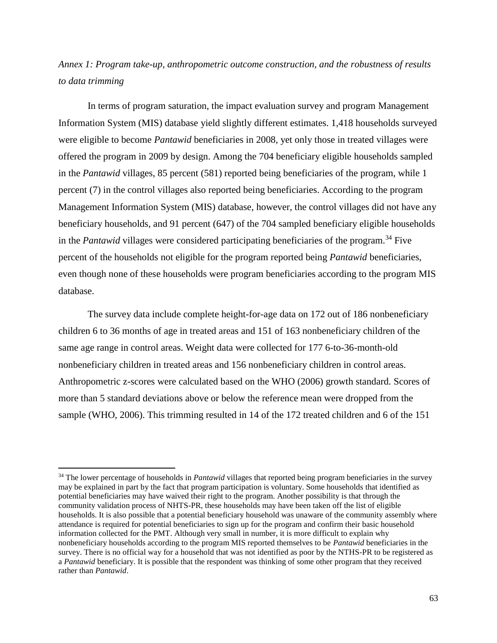# *Annex 1: Program take-up, anthropometric outcome construction, and the robustness of results to data trimming*

In terms of program saturation, the impact evaluation survey and program Management Information System (MIS) database yield slightly different estimates. 1,418 households surveyed were eligible to become *Pantawid* beneficiaries in 2008, yet only those in treated villages were offered the program in 2009 by design. Among the 704 beneficiary eligible households sampled in the *Pantawid* villages, 85 percent (581) reported being beneficiaries of the program, while 1 percent (7) in the control villages also reported being beneficiaries. According to the program Management Information System (MIS) database, however, the control villages did not have any beneficiary households, and 91 percent (647) of the 704 sampled beneficiary eligible households in the *Pantawid* villages were considered participating beneficiaries of the program.<sup>34</sup> Five percent of the households not eligible for the program reported being *Pantawid* beneficiaries, even though none of these households were program beneficiaries according to the program MIS database.

The survey data include complete height-for-age data on 172 out of 186 nonbeneficiary children 6 to 36 months of age in treated areas and 151 of 163 nonbeneficiary children of the same age range in control areas. Weight data were collected for 177 6-to-36-month-old nonbeneficiary children in treated areas and 156 nonbeneficiary children in control areas. Anthropometric z-scores were calculated based on the WHO (2006) growth standard. Scores of more than 5 standard deviations above or below the reference mean were dropped from the sample (WHO, 2006). This trimming resulted in 14 of the 172 treated children and 6 of the 151

 $\overline{\phantom{a}}$ 

<sup>&</sup>lt;sup>34</sup> The lower percentage of households in *Pantawid* villages that reported being program beneficiaries in the survey may be explained in part by the fact that program participation is voluntary. Some households that identified as potential beneficiaries may have waived their right to the program. Another possibility is that through the community validation process of NHTS-PR, these households may have been taken off the list of eligible households. It is also possible that a potential beneficiary household was unaware of the community assembly where attendance is required for potential beneficiaries to sign up for the program and confirm their basic household information collected for the PMT. Although very small in number, it is more difficult to explain why nonbeneficiary households according to the program MIS reported themselves to be *Pantawid* beneficiaries in the survey. There is no official way for a household that was not identified as poor by the NTHS-PR to be registered as a *Pantawid* beneficiary. It is possible that the respondent was thinking of some other program that they received rather than *Pantawid*.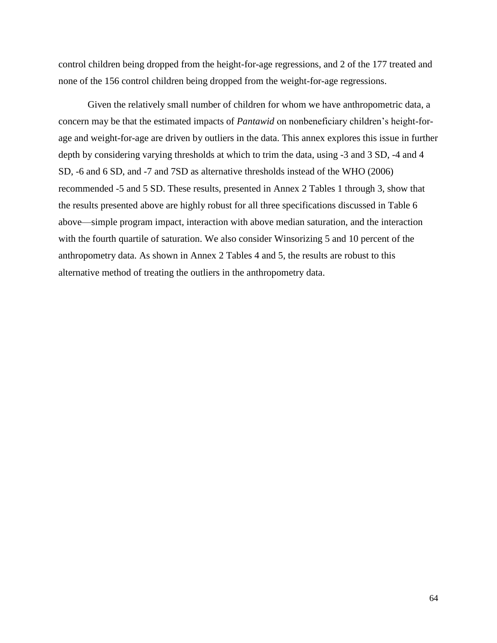control children being dropped from the height-for-age regressions, and 2 of the 177 treated and none of the 156 control children being dropped from the weight-for-age regressions.

Given the relatively small number of children for whom we have anthropometric data, a concern may be that the estimated impacts of *Pantawid* on nonbeneficiary children's height-forage and weight-for-age are driven by outliers in the data. This annex explores this issue in further depth by considering varying thresholds at which to trim the data, using -3 and 3 SD, -4 and 4 SD, -6 and 6 SD, and -7 and 7SD as alternative thresholds instead of the WHO (2006) recommended -5 and 5 SD. These results, presented in Annex 2 Tables 1 through 3, show that the results presented above are highly robust for all three specifications discussed in Table 6 above—simple program impact, interaction with above median saturation, and the interaction with the fourth quartile of saturation. We also consider Winsorizing 5 and 10 percent of the anthropometry data. As shown in Annex 2 Tables 4 and 5, the results are robust to this alternative method of treating the outliers in the anthropometry data.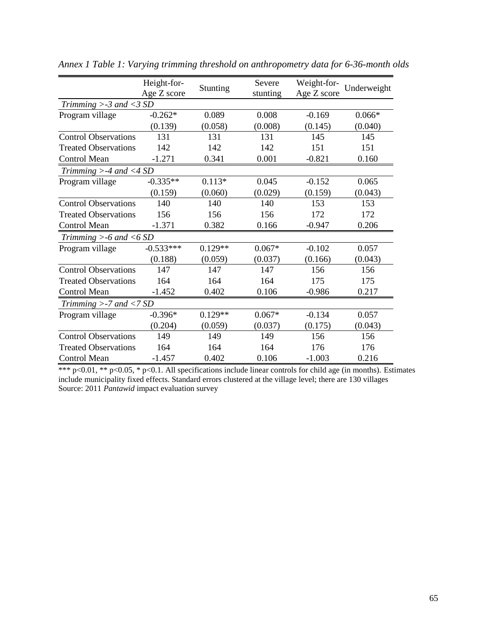|                              | Height-for- | Stunting  | Severe   | Weight-for- | Underweight |
|------------------------------|-------------|-----------|----------|-------------|-------------|
|                              | Age Z score |           | stunting | Age Z score |             |
| Trimming $> -3$ and $<$ 3 SD |             |           |          |             |             |
| Program village              | $-0.262*$   | 0.089     | 0.008    | $-0.169$    | $0.066*$    |
|                              | (0.139)     | (0.058)   | (0.008)  | (0.145)     | (0.040)     |
| <b>Control Observations</b>  | 131         | 131       | 131      | 145         | 145         |
| <b>Treated Observations</b>  | 142         | 142       | 142      | 151         | 151         |
| <b>Control Mean</b>          | $-1.271$    | 0.341     | 0.001    | $-0.821$    | 0.160       |
| Trimming $>$ -4 and <4 SD    |             |           |          |             |             |
| Program village              | $-0.335**$  | $0.113*$  | 0.045    | $-0.152$    | 0.065       |
|                              | (0.159)     | (0.060)   | (0.029)  | (0.159)     | (0.043)     |
| <b>Control Observations</b>  | 140         | 140       | 140      | 153         | 153         |
| <b>Treated Observations</b>  | 156         | 156       | 156      | 172         | 172         |
| <b>Control Mean</b>          | $-1.371$    | 0.382     | 0.166    | $-0.947$    | 0.206       |
| Trimming $>$ -6 and <6 SD    |             |           |          |             |             |
| Program village              | $-0.533***$ | $0.129**$ | $0.067*$ | $-0.102$    | 0.057       |
|                              | (0.188)     | (0.059)   | (0.037)  | (0.166)     | (0.043)     |
| <b>Control Observations</b>  | 147         | 147       | 147      | 156         | 156         |
| <b>Treated Observations</b>  | 164         | 164       | 164      | 175         | 175         |
| <b>Control Mean</b>          | $-1.452$    | 0.402     | 0.106    | $-0.986$    | 0.217       |
| Trimming $>$ -7 and $<$ 7 SD |             |           |          |             |             |
| Program village              | $-0.396*$   | $0.129**$ | $0.067*$ | $-0.134$    | 0.057       |
|                              | (0.204)     | (0.059)   | (0.037)  | (0.175)     | (0.043)     |
| <b>Control Observations</b>  | 149         | 149       | 149      | 156         | 156         |
| <b>Treated Observations</b>  | 164         | 164       | 164      | 176         | 176         |
| Control Mean                 | -1.457      | 0.402     | 0.106    | $-1.003$    | 0.216       |

*Annex 1 Table 1: Varying trimming threshold on anthropometry data for 6-36-month olds*

\*\*\* p<0.01, \*\* p<0.05, \* p<0.1. All specifications include linear controls for child age (in months). Estimates include municipality fixed effects. Standard errors clustered at the village level; there are 130 villages Source: 2011 *Pantawid* impact evaluation survey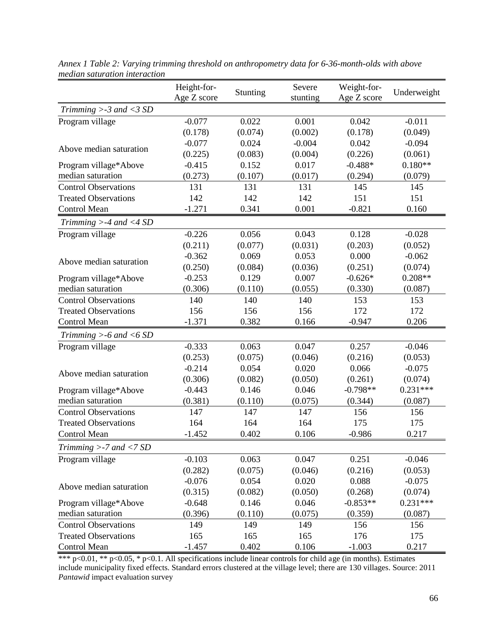|                              | Height-for-<br>Age Z score | Stunting | Severe<br>stunting | Weight-for-<br>Age Z score | Underweight |
|------------------------------|----------------------------|----------|--------------------|----------------------------|-------------|
| Trimming $> -3$ and $<$ 3 SD |                            |          |                    |                            |             |
| Program village              | $-0.077$                   | 0.022    | 0.001              | 0.042                      | $-0.011$    |
|                              | (0.178)                    | (0.074)  | (0.002)            | (0.178)                    | (0.049)     |
|                              | $-0.077$                   | 0.024    | $-0.004$           | 0.042                      | $-0.094$    |
| Above median saturation      | (0.225)                    | (0.083)  | (0.004)            | (0.226)                    | (0.061)     |
| Program village*Above        | $-0.415$                   | 0.152    | 0.017              | $-0.488*$                  | $0.180**$   |
| median saturation            | (0.273)                    | (0.107)  | (0.017)            | (0.294)                    | (0.079)     |
| <b>Control Observations</b>  | 131                        | 131      | 131                | 145                        | 145         |
| <b>Treated Observations</b>  | 142                        | 142      | 142                | 151                        | 151         |
| <b>Control Mean</b>          | $-1.271$                   | 0.341    | 0.001              | $-0.821$                   | 0.160       |
| Trimming $>$ -4 and <4 SD    |                            |          |                    |                            |             |
| Program village              | $-0.226$                   | 0.056    | 0.043              | 0.128                      | $-0.028$    |
|                              | (0.211)                    | (0.077)  | (0.031)            | (0.203)                    | (0.052)     |
| Above median saturation      | $-0.362$                   | 0.069    | 0.053              | 0.000                      | $-0.062$    |
|                              | (0.250)                    | (0.084)  | (0.036)            | (0.251)                    | (0.074)     |
| Program village*Above        | $-0.253$                   | 0.129    | 0.007              | $-0.626*$                  | $0.208**$   |
| median saturation            | (0.306)                    | (0.110)  | (0.055)            | (0.330)                    | (0.087)     |
| <b>Control Observations</b>  | 140                        | 140      | 140                | 153                        | 153         |
| <b>Treated Observations</b>  | 156                        | 156      | 156                | 172                        | 172         |
| Control Mean                 | $-1.371$                   | 0.382    | 0.166              | $-0.947$                   | 0.206       |
| Trimming $>$ -6 and <6 SD    |                            |          |                    |                            |             |
| Program village              | $-0.333$                   | 0.063    | 0.047              | 0.257                      | $-0.046$    |
|                              | (0.253)                    | (0.075)  | (0.046)            | (0.216)                    | (0.053)     |
| Above median saturation      | $-0.214$                   | 0.054    | 0.020              | 0.066                      | $-0.075$    |
|                              | (0.306)                    | (0.082)  | (0.050)            | (0.261)                    | (0.074)     |
| Program village*Above        | $-0.443$                   | 0.146    | 0.046              | $-0.798**$                 | $0.231***$  |
| median saturation            | (0.381)                    | (0.110)  | (0.075)            | (0.344)                    | (0.087)     |
| <b>Control Observations</b>  | 147                        | 147      | 147                | 156                        | 156         |
| <b>Treated Observations</b>  | 164                        | 164      | 164                | 175                        | 175         |
| <b>Control Mean</b>          | $-1.452$                   | 0.402    | 0.106              | $-0.986$                   | 0.217       |
| Trimming $>$ -7 and <7 SD    |                            |          |                    |                            |             |
| Program village              | $-0.103$                   | 0.063    | 0.047              | 0.251                      | $-0.046$    |
|                              | (0.282)                    | (0.075)  | (0.046)            | (0.216)                    | (0.053)     |
| Above median saturation      | $-0.076$                   | 0.054    | 0.020              | 0.088                      | $-0.075$    |
|                              | (0.315)                    | (0.082)  | (0.050)            | (0.268)                    | (0.074)     |
| Program village*Above        | $-0.648$                   | 0.146    | 0.046              | $-0.853**$                 | $0.231***$  |
| median saturation            | (0.396)                    | (0.110)  | (0.075)            | (0.359)                    | (0.087)     |
| <b>Control Observations</b>  | 149                        | 149      | 149                | 156                        | 156         |
| <b>Treated Observations</b>  | 165                        | 165      | 165                | 176                        | 175         |
| <b>Control Mean</b>          | $-1.457$                   | 0.402    | 0.106              | $-1.003$                   | 0.217       |

*Annex 1 Table 2: Varying trimming threshold on anthropometry data for 6-36-month-olds with above median saturation interaction*

\*\*\* p<0.01, \*\* p<0.05, \* p<0.1. All specifications include linear controls for child age (in months). Estimates include municipality fixed effects. Standard errors clustered at the village level; there are 130 villages. Source: 2011 *Pantawid* impact evaluation survey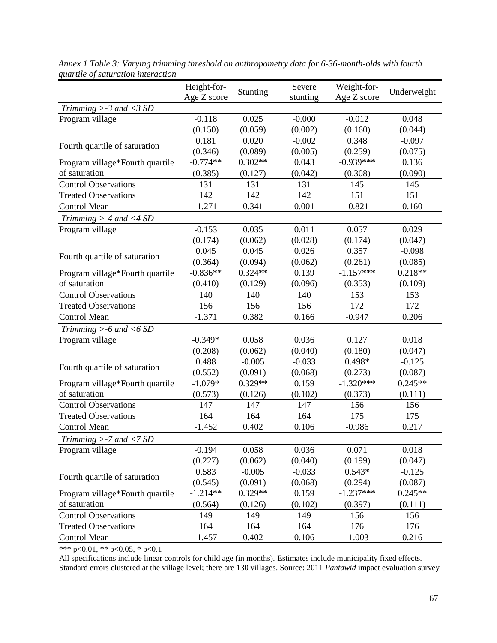|                                 | Height-for- |           | Severe   | Weight-for- |             |
|---------------------------------|-------------|-----------|----------|-------------|-------------|
|                                 | Age Z score | Stunting  | stunting | Age Z score | Underweight |
| Trimming $>$ -3 and <3 SD       |             |           |          |             |             |
| Program village                 | $-0.118$    | 0.025     | $-0.000$ | $-0.012$    | 0.048       |
|                                 | (0.150)     | (0.059)   | (0.002)  | (0.160)     | (0.044)     |
| Fourth quartile of saturation   | 0.181       | 0.020     | $-0.002$ | 0.348       | $-0.097$    |
|                                 | (0.346)     | (0.089)   | (0.005)  | (0.259)     | (0.075)     |
| Program village*Fourth quartile | $-0.774**$  | $0.302**$ | 0.043    | $-0.939***$ | 0.136       |
| of saturation                   | (0.385)     | (0.127)   | (0.042)  | (0.308)     | (0.090)     |
| <b>Control Observations</b>     | 131         | 131       | 131      | 145         | 145         |
| <b>Treated Observations</b>     | 142         | 142       | 142      | 151         | 151         |
| <b>Control Mean</b>             | $-1.271$    | 0.341     | 0.001    | $-0.821$    | 0.160       |
| Trimming $>$ -4 and <4 SD       |             |           |          |             |             |
| Program village                 | $-0.153$    | 0.035     | 0.011    | 0.057       | 0.029       |
|                                 | (0.174)     | (0.062)   | (0.028)  | (0.174)     | (0.047)     |
|                                 | 0.045       | 0.045     | 0.026    | 0.357       | $-0.098$    |
| Fourth quartile of saturation   | (0.364)     | (0.094)   | (0.062)  | (0.261)     | (0.085)     |
| Program village*Fourth quartile | $-0.836**$  | $0.324**$ | 0.139    | $-1.157***$ | $0.218**$   |
| of saturation                   | (0.410)     | (0.129)   | (0.096)  | (0.353)     | (0.109)     |
| <b>Control Observations</b>     | 140         | 140       | 140      | 153         | 153         |
| <b>Treated Observations</b>     | 156         | 156       | 156      | 172         | 172         |
| Control Mean                    | $-1.371$    | 0.382     | 0.166    | $-0.947$    | 0.206       |
| Trimming $>$ -6 and <6 SD       |             |           |          |             |             |
| Program village                 | $-0.349*$   | 0.058     | 0.036    | 0.127       | 0.018       |
|                                 | (0.208)     | (0.062)   | (0.040)  | (0.180)     | (0.047)     |
|                                 | 0.488       | $-0.005$  | $-0.033$ | 0.498*      | $-0.125$    |
| Fourth quartile of saturation   | (0.552)     | (0.091)   | (0.068)  | (0.273)     | (0.087)     |
| Program village*Fourth quartile | $-1.079*$   | $0.329**$ | 0.159    | $-1.320***$ | $0.245**$   |
| of saturation                   | (0.573)     | (0.126)   | (0.102)  | (0.373)     | (0.111)     |
| <b>Control Observations</b>     | 147         | 147       | 147      | 156         | 156         |
| <b>Treated Observations</b>     | 164         | 164       | 164      | 175         | 175         |
| <b>Control Mean</b>             | $-1.452$    | 0.402     | 0.106    | $-0.986$    | 0.217       |
| Trimming $>$ -7 and <7 SD       |             |           |          |             |             |
| Program village                 | $-0.194$    | 0.058     | 0.036    | 0.071       | 0.018       |
|                                 | (0.227)     | (0.062)   | (0.040)  | (0.199)     | (0.047)     |
| Fourth quartile of saturation   | 0.583       | $-0.005$  | $-0.033$ | $0.543*$    | $-0.125$    |
|                                 | (0.545)     | (0.091)   | (0.068)  | (0.294)     | (0.087)     |
| Program village*Fourth quartile | $-1.214**$  | $0.329**$ | 0.159    | $-1.237***$ | $0.245**$   |
| of saturation                   | (0.564)     | (0.126)   | (0.102)  | (0.397)     | (0.111)     |
| <b>Control Observations</b>     | 149         | 149       | 149      | 156         | 156         |
| <b>Treated Observations</b>     | 164         | 164       | 164      | 176         | 176         |
| Control Mean                    | $-1.457$    | 0.402     | 0.106    | $-1.003$    | 0.216       |

*Annex 1 Table 3: Varying trimming threshold on anthropometry data for 6-36-month-olds with fourth quartile of saturation interaction*

All specifications include linear controls for child age (in months). Estimates include municipality fixed effects. Standard errors clustered at the village level; there are 130 villages. Source: 2011 *Pantawid* impact evaluation survey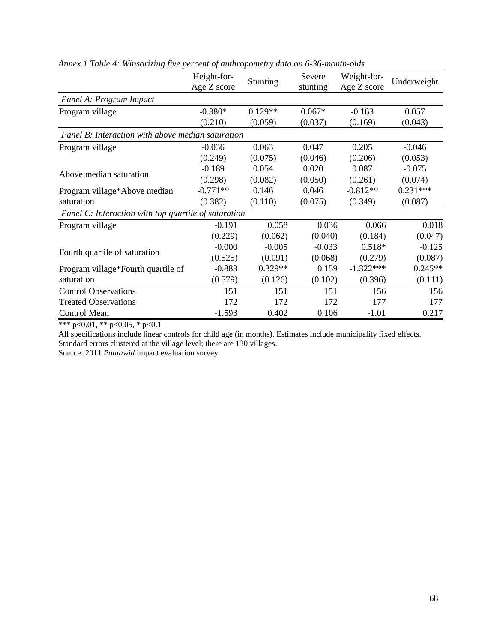|                                                      | Height-for-<br>Age Z score | <b>Stunting</b> | Severe<br>stunting | Weight-for-<br>Age Z score | Underweight |  |  |
|------------------------------------------------------|----------------------------|-----------------|--------------------|----------------------------|-------------|--|--|
| Panel A: Program Impact                              |                            |                 |                    |                            |             |  |  |
| Program village                                      | $-0.380*$                  | $0.129**$       | $0.067*$           | $-0.163$                   | 0.057       |  |  |
|                                                      | (0.210)                    | (0.059)         | (0.037)            | (0.169)                    | (0.043)     |  |  |
| Panel B: Interaction with above median saturation    |                            |                 |                    |                            |             |  |  |
| Program village                                      | $-0.036$                   | 0.063           | 0.047              | 0.205                      | $-0.046$    |  |  |
|                                                      | (0.249)                    | (0.075)         | (0.046)            | (0.206)                    | (0.053)     |  |  |
| Above median saturation                              | $-0.189$                   | 0.054           | 0.020              | 0.087                      | $-0.075$    |  |  |
|                                                      | (0.298)                    | (0.082)         | (0.050)            | (0.261)                    | (0.074)     |  |  |
| Program village*Above median                         | $-0.771**$                 | 0.146           | 0.046              | $-0.812**$                 | $0.231***$  |  |  |
| saturation                                           | (0.382)                    | (0.110)         | (0.075)            | (0.349)                    | (0.087)     |  |  |
| Panel C: Interaction with top quartile of saturation |                            |                 |                    |                            |             |  |  |
| Program village                                      | $-0.191$                   | 0.058           | 0.036              | 0.066                      | 0.018       |  |  |
|                                                      | (0.229)                    | (0.062)         | (0.040)            | (0.184)                    | (0.047)     |  |  |
| Fourth quartile of saturation                        | $-0.000$                   | $-0.005$        | $-0.033$           | $0.518*$                   | $-0.125$    |  |  |
|                                                      | (0.525)                    | (0.091)         | (0.068)            | (0.279)                    | (0.087)     |  |  |
| Program village*Fourth quartile of                   | $-0.883$                   | $0.329**$       | 0.159              | $-1.322***$                | $0.245**$   |  |  |
| saturation                                           | (0.579)                    | (0.126)         | (0.102)            | (0.396)                    | (0.111)     |  |  |
| <b>Control Observations</b>                          | 151                        | 151             | 151                | 156                        | 156         |  |  |
| <b>Treated Observations</b>                          | 172                        | 172             | 172                | 177                        | 177         |  |  |
| Control Mean                                         | $-1.593$                   | 0.402           | 0.106              | $-1.01$                    | 0.217       |  |  |

*Annex 1 Table 4: Winsorizing five percent of anthropometry data on 6-36-month-olds* 

All specifications include linear controls for child age (in months). Estimates include municipality fixed effects. Standard errors clustered at the village level; there are 130 villages.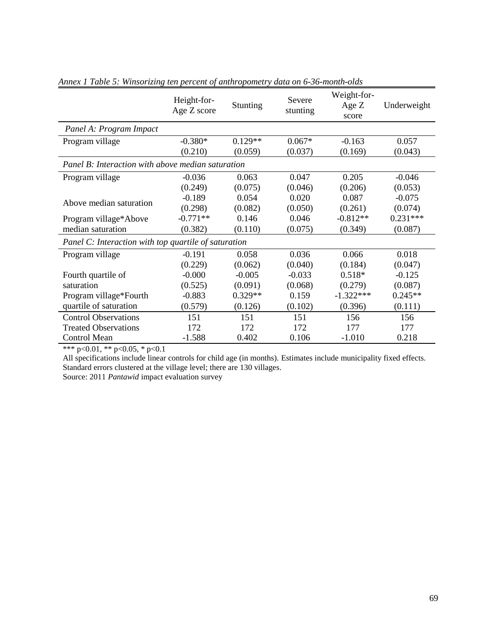|                                                      | Height-for-<br>Age Z score | Stunting  | Severe<br>stunting | Weight-for-<br>Age $Z$<br>score | Underweight |  |  |
|------------------------------------------------------|----------------------------|-----------|--------------------|---------------------------------|-------------|--|--|
| Panel A: Program Impact                              |                            |           |                    |                                 |             |  |  |
| Program village                                      | $-0.380*$                  | $0.129**$ | $0.067*$           | $-0.163$                        | 0.057       |  |  |
|                                                      | (0.210)                    | (0.059)   | (0.037)            | (0.169)                         | (0.043)     |  |  |
| Panel B: Interaction with above median saturation    |                            |           |                    |                                 |             |  |  |
| Program village                                      | $-0.036$                   | 0.063     | 0.047              | 0.205                           | $-0.046$    |  |  |
|                                                      | (0.249)                    | (0.075)   | (0.046)            | (0.206)                         | (0.053)     |  |  |
| Above median saturation                              | $-0.189$                   | 0.054     | 0.020              | 0.087                           | $-0.075$    |  |  |
|                                                      | (0.298)                    | (0.082)   | (0.050)            | (0.261)                         | (0.074)     |  |  |
| Program village*Above                                | $-0.771**$                 | 0.146     | 0.046              | $-0.812**$                      | $0.231***$  |  |  |
| median saturation                                    | (0.382)                    | (0.110)   | (0.075)            | (0.349)                         | (0.087)     |  |  |
| Panel C: Interaction with top quartile of saturation |                            |           |                    |                                 |             |  |  |
| Program village                                      | $-0.191$                   | 0.058     | 0.036              | 0.066                           | 0.018       |  |  |
|                                                      | (0.229)                    | (0.062)   | (0.040)            | (0.184)                         | (0.047)     |  |  |
| Fourth quartile of                                   | $-0.000$                   | $-0.005$  | $-0.033$           | $0.518*$                        | $-0.125$    |  |  |
| saturation                                           | (0.525)                    | (0.091)   | (0.068)            | (0.279)                         | (0.087)     |  |  |
| Program village*Fourth                               | $-0.883$                   | $0.329**$ | 0.159              | $-1.322***$                     | $0.245**$   |  |  |
| quartile of saturation                               | (0.579)                    | (0.126)   | (0.102)            | (0.396)                         | (0.111)     |  |  |
| <b>Control Observations</b>                          | 151                        | 151       | 151                | 156                             | 156         |  |  |
| <b>Treated Observations</b>                          | 172                        | 172       | 172                | 177                             | 177         |  |  |
| Control Mean                                         | $-1.588$                   | 0.402     | 0.106              | $-1.010$                        | 0.218       |  |  |

*Annex 1 Table 5: Winsorizing ten percent of anthropometry data on 6-36-month-olds*

All specifications include linear controls for child age (in months). Estimates include municipality fixed effects. Standard errors clustered at the village level; there are 130 villages.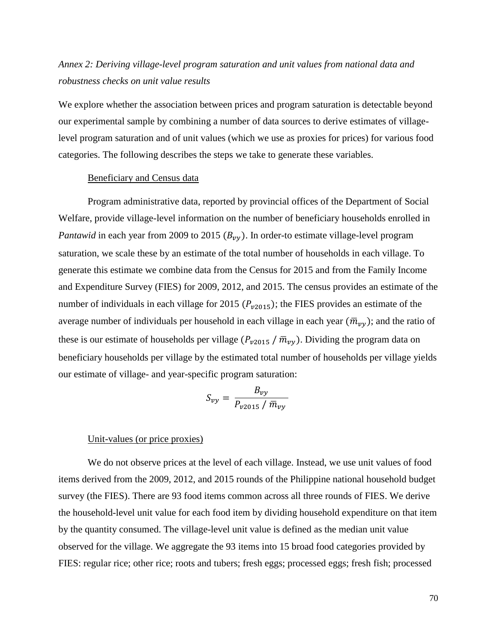# *Annex 2: Deriving village-level program saturation and unit values from national data and robustness checks on unit value results*

We explore whether the association between prices and program saturation is detectable beyond our experimental sample by combining a number of data sources to derive estimates of villagelevel program saturation and of unit values (which we use as proxies for prices) for various food categories. The following describes the steps we take to generate these variables.

#### Beneficiary and Census data

Program administrative data, reported by provincial offices of the Department of Social Welfare, provide village-level information on the number of beneficiary households enrolled in *Pantawid* in each year from 2009 to 2015  $(B_{\nu\nu})$ . In order-to estimate village-level program saturation, we scale these by an estimate of the total number of households in each village. To generate this estimate we combine data from the Census for 2015 and from the Family Income and Expenditure Survey (FIES) for 2009, 2012, and 2015. The census provides an estimate of the number of individuals in each village for 2015 ( $P_{\nu 2015}$ ); the FIES provides an estimate of the average number of individuals per household in each village in each year  $(\bar{m}_{\nu y})$ ; and the ratio of these is our estimate of households per village  $(P_{\nu 2015} / \bar{m}_{\nu\nu})$ . Dividing the program data on beneficiary households per village by the estimated total number of households per village yields our estimate of village- and year-specific program saturation:

$$
S_{vy} = \frac{B_{vy}}{P_{v2015} / \bar{m}_{vy}}
$$

#### Unit-values (or price proxies)

We do not observe prices at the level of each village. Instead, we use unit values of food items derived from the 2009, 2012, and 2015 rounds of the Philippine national household budget survey (the FIES). There are 93 food items common across all three rounds of FIES. We derive the household-level unit value for each food item by dividing household expenditure on that item by the quantity consumed. The village-level unit value is defined as the median unit value observed for the village. We aggregate the 93 items into 15 broad food categories provided by FIES: regular rice; other rice; roots and tubers; fresh eggs; processed eggs; fresh fish; processed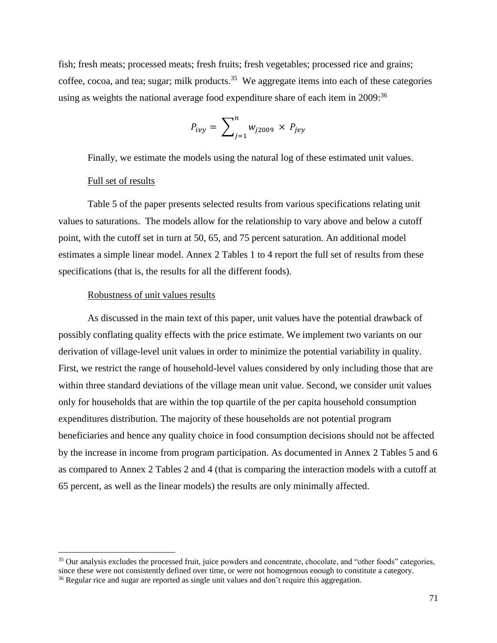fish; fresh meats; processed meats; fresh fruits; fresh vegetables; processed rice and grains; coffee, cocoa, and tea; sugar; milk products.<sup>35</sup> We aggregate items into each of these categories using as weights the national average food expenditure share of each item in 2009:<sup>36</sup>

$$
P_{ivy} = \sum_{j=1}^{n} w_{j2009} \times P_{jvy}
$$

Finally, we estimate the models using the natural log of these estimated unit values.

## Full set of results

 $\overline{\phantom{a}}$ 

Table 5 of the paper presents selected results from various specifications relating unit values to saturations. The models allow for the relationship to vary above and below a cutoff point, with the cutoff set in turn at 50, 65, and 75 percent saturation. An additional model estimates a simple linear model. Annex 2 Tables 1 to 4 report the full set of results from these specifications (that is, the results for all the different foods).

## Robustness of unit values results

As discussed in the main text of this paper, unit values have the potential drawback of possibly conflating quality effects with the price estimate. We implement two variants on our derivation of village-level unit values in order to minimize the potential variability in quality. First, we restrict the range of household-level values considered by only including those that are within three standard deviations of the village mean unit value. Second, we consider unit values only for households that are within the top quartile of the per capita household consumption expenditures distribution. The majority of these households are not potential program beneficiaries and hence any quality choice in food consumption decisions should not be affected by the increase in income from program participation. As documented in Annex 2 Tables 5 and 6 as compared to Annex 2 Tables 2 and 4 (that is comparing the interaction models with a cutoff at 65 percent, as well as the linear models) the results are only minimally affected.

<sup>&</sup>lt;sup>35</sup> Our analysis excludes the processed fruit, juice powders and concentrate, chocolate, and "other foods" categories, since these were not consistently defined over time, or were not homogenous enough to constitute a category. <sup>36</sup> Regular rice and sugar are reported as single unit values and don't require this aggregation.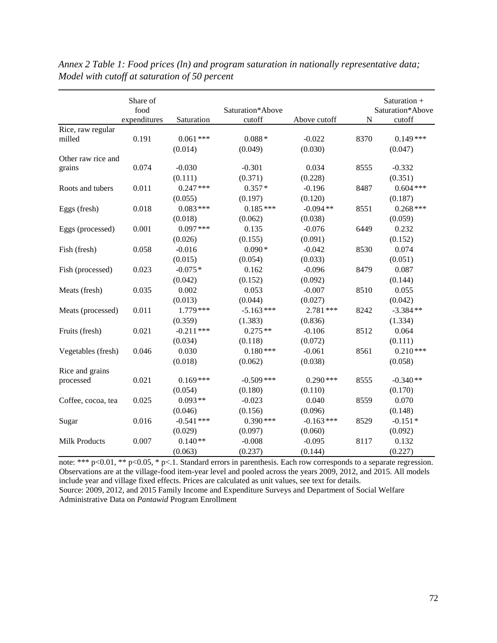| Share of |                                                                                                       |                                                                                                                                                                                                                                      |                                                                                                                                                                                                                                                                |                                                                                                                                                                                                                                        | Saturation $+$                                                            |
|----------|-------------------------------------------------------------------------------------------------------|--------------------------------------------------------------------------------------------------------------------------------------------------------------------------------------------------------------------------------------|----------------------------------------------------------------------------------------------------------------------------------------------------------------------------------------------------------------------------------------------------------------|----------------------------------------------------------------------------------------------------------------------------------------------------------------------------------------------------------------------------------------|---------------------------------------------------------------------------|
|          |                                                                                                       |                                                                                                                                                                                                                                      |                                                                                                                                                                                                                                                                |                                                                                                                                                                                                                                        | Saturation*Above                                                          |
|          |                                                                                                       |                                                                                                                                                                                                                                      |                                                                                                                                                                                                                                                                |                                                                                                                                                                                                                                        | cutoff                                                                    |
|          |                                                                                                       |                                                                                                                                                                                                                                      |                                                                                                                                                                                                                                                                |                                                                                                                                                                                                                                        |                                                                           |
|          |                                                                                                       |                                                                                                                                                                                                                                      |                                                                                                                                                                                                                                                                |                                                                                                                                                                                                                                        | $0.149***$                                                                |
|          |                                                                                                       |                                                                                                                                                                                                                                      |                                                                                                                                                                                                                                                                |                                                                                                                                                                                                                                        | (0.047)                                                                   |
|          |                                                                                                       |                                                                                                                                                                                                                                      |                                                                                                                                                                                                                                                                |                                                                                                                                                                                                                                        |                                                                           |
|          |                                                                                                       |                                                                                                                                                                                                                                      |                                                                                                                                                                                                                                                                |                                                                                                                                                                                                                                        | $-0.332$                                                                  |
|          |                                                                                                       |                                                                                                                                                                                                                                      |                                                                                                                                                                                                                                                                |                                                                                                                                                                                                                                        | (0.351)                                                                   |
|          |                                                                                                       |                                                                                                                                                                                                                                      |                                                                                                                                                                                                                                                                |                                                                                                                                                                                                                                        | $0.604$ ***                                                               |
|          | (0.055)                                                                                               | (0.197)                                                                                                                                                                                                                              | (0.120)                                                                                                                                                                                                                                                        |                                                                                                                                                                                                                                        | (0.187)                                                                   |
| 0.018    | $0.083***$                                                                                            | $0.185***$                                                                                                                                                                                                                           | $-0.094**$                                                                                                                                                                                                                                                     | 8551                                                                                                                                                                                                                                   | $0.268***$                                                                |
|          | (0.018)                                                                                               | (0.062)                                                                                                                                                                                                                              | (0.038)                                                                                                                                                                                                                                                        |                                                                                                                                                                                                                                        | (0.059)                                                                   |
| 0.001    | $0.097***$                                                                                            | 0.135                                                                                                                                                                                                                                | $-0.076$                                                                                                                                                                                                                                                       | 6449                                                                                                                                                                                                                                   | 0.232                                                                     |
|          | (0.026)                                                                                               | (0.155)                                                                                                                                                                                                                              | (0.091)                                                                                                                                                                                                                                                        |                                                                                                                                                                                                                                        | (0.152)                                                                   |
| 0.058    | $-0.016$                                                                                              | $0.090*$                                                                                                                                                                                                                             | $-0.042$                                                                                                                                                                                                                                                       | 8530                                                                                                                                                                                                                                   | 0.074                                                                     |
|          | (0.015)                                                                                               | (0.054)                                                                                                                                                                                                                              | (0.033)                                                                                                                                                                                                                                                        |                                                                                                                                                                                                                                        | (0.051)                                                                   |
| 0.023    | $-0.075*$                                                                                             | 0.162                                                                                                                                                                                                                                | $-0.096$                                                                                                                                                                                                                                                       | 8479                                                                                                                                                                                                                                   | 0.087                                                                     |
|          | (0.042)                                                                                               | (0.152)                                                                                                                                                                                                                              | (0.092)                                                                                                                                                                                                                                                        |                                                                                                                                                                                                                                        | (0.144)                                                                   |
| 0.035    | 0.002                                                                                                 | 0.053                                                                                                                                                                                                                                | $-0.007$                                                                                                                                                                                                                                                       | 8510                                                                                                                                                                                                                                   | 0.055                                                                     |
|          |                                                                                                       |                                                                                                                                                                                                                                      |                                                                                                                                                                                                                                                                |                                                                                                                                                                                                                                        | (0.042)                                                                   |
|          | $1.779***$                                                                                            |                                                                                                                                                                                                                                      |                                                                                                                                                                                                                                                                |                                                                                                                                                                                                                                        | $-3.384**$                                                                |
|          |                                                                                                       |                                                                                                                                                                                                                                      |                                                                                                                                                                                                                                                                |                                                                                                                                                                                                                                        | (1.334)                                                                   |
|          |                                                                                                       |                                                                                                                                                                                                                                      |                                                                                                                                                                                                                                                                |                                                                                                                                                                                                                                        | 0.064                                                                     |
|          |                                                                                                       |                                                                                                                                                                                                                                      |                                                                                                                                                                                                                                                                |                                                                                                                                                                                                                                        | (0.111)                                                                   |
|          |                                                                                                       |                                                                                                                                                                                                                                      |                                                                                                                                                                                                                                                                |                                                                                                                                                                                                                                        | $0.210***$                                                                |
|          |                                                                                                       |                                                                                                                                                                                                                                      |                                                                                                                                                                                                                                                                |                                                                                                                                                                                                                                        | (0.058)                                                                   |
|          |                                                                                                       |                                                                                                                                                                                                                                      |                                                                                                                                                                                                                                                                |                                                                                                                                                                                                                                        |                                                                           |
| 0.021    | $0.169***$                                                                                            | $-0.509$ ***                                                                                                                                                                                                                         | $0.290$ ***                                                                                                                                                                                                                                                    | 8555                                                                                                                                                                                                                                   | $-0.340**$                                                                |
|          |                                                                                                       |                                                                                                                                                                                                                                      |                                                                                                                                                                                                                                                                |                                                                                                                                                                                                                                        | (0.170)                                                                   |
|          |                                                                                                       |                                                                                                                                                                                                                                      |                                                                                                                                                                                                                                                                |                                                                                                                                                                                                                                        | 0.070                                                                     |
|          |                                                                                                       |                                                                                                                                                                                                                                      |                                                                                                                                                                                                                                                                |                                                                                                                                                                                                                                        | (0.148)                                                                   |
|          |                                                                                                       |                                                                                                                                                                                                                                      |                                                                                                                                                                                                                                                                |                                                                                                                                                                                                                                        | $-0.151*$                                                                 |
|          |                                                                                                       |                                                                                                                                                                                                                                      |                                                                                                                                                                                                                                                                |                                                                                                                                                                                                                                        | (0.092)                                                                   |
|          |                                                                                                       |                                                                                                                                                                                                                                      |                                                                                                                                                                                                                                                                |                                                                                                                                                                                                                                        | 0.132                                                                     |
|          |                                                                                                       |                                                                                                                                                                                                                                      |                                                                                                                                                                                                                                                                |                                                                                                                                                                                                                                        | (0.227)                                                                   |
|          | food<br>expenditures<br>0.191<br>0.074<br>0.011<br>0.011<br>0.021<br>0.046<br>0.025<br>0.016<br>0.007 | Saturation<br>$0.061$ ***<br>(0.014)<br>$-0.030$<br>(0.111)<br>$0.247***$<br>(0.013)<br>(0.359)<br>$-0.211$ ***<br>(0.034)<br>0.030<br>(0.018)<br>(0.054)<br>$0.093**$<br>(0.046)<br>$-0.541$ ***<br>(0.029)<br>$0.140**$<br>(0.063) | Saturation*Above<br>cutoff<br>$0.088*$<br>(0.049)<br>$-0.301$<br>(0.371)<br>$0.357*$<br>(0.044)<br>$-5.163$ ***<br>(1.383)<br>$0.275**$<br>(0.118)<br>$0.180***$<br>(0.062)<br>(0.180)<br>$-0.023$<br>(0.156)<br>$0.390$ ***<br>(0.097)<br>$-0.008$<br>(0.237) | Above cutoff<br>$-0.022$<br>(0.030)<br>0.034<br>(0.228)<br>$-0.196$<br>(0.027)<br>$2.781***$<br>(0.836)<br>$-0.106$<br>(0.072)<br>$-0.061$<br>(0.038)<br>(0.110)<br>0.040<br>(0.096)<br>$-0.163$ ***<br>(0.060)<br>$-0.095$<br>(0.144) | N<br>8370<br>8555<br>8487<br>8242<br>8512<br>8561<br>8559<br>8529<br>8117 |

*Annex 2 Table 1: Food prices (ln) and program saturation in nationally representative data; Model with cutoff at saturation of 50 percent*

note: \*\*\* p<0.01, \*\* p<0.05, \* p<.1. Standard errors in parenthesis. Each row corresponds to a separate regression. Observations are at the village-food item-year level and pooled across the years 2009, 2012, and 2015. All models include year and village fixed effects. Prices are calculated as unit values, see text for details. Source: 2009, 2012, and 2015 Family Income and Expenditure Surveys and Department of Social Welfare Administrative Data on *Pantawid* Program Enrollment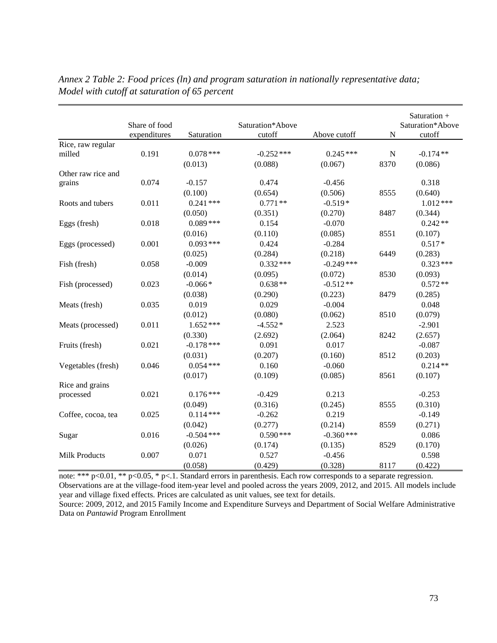|                      | Share of food<br>expenditures | Saturation   | Saturation*Above<br>cutoff | Above cutoff | $\mathbf N$ | Saturation +<br>Saturation*Above<br>cutoff |
|----------------------|-------------------------------|--------------|----------------------------|--------------|-------------|--------------------------------------------|
| Rice, raw regular    |                               |              |                            |              |             |                                            |
| milled               | 0.191                         | $0.078***$   | $-0.252$ ***               | $0.245***$   | $\mathbf N$ | $-0.174**$                                 |
|                      |                               | (0.013)      | (0.088)                    | (0.067)      | 8370        | (0.086)                                    |
| Other raw rice and   |                               |              |                            |              |             |                                            |
| grains               | 0.074                         | $-0.157$     | 0.474                      | $-0.456$     |             | 0.318                                      |
|                      |                               | (0.100)      | (0.654)                    | (0.506)      | 8555        | (0.640)                                    |
| Roots and tubers     | 0.011                         | $0.241***$   | $0.771**$                  | $-0.519*$    |             | $1.012***$                                 |
|                      |                               | (0.050)      | (0.351)                    | (0.270)      | 8487        | (0.344)                                    |
| Eggs (fresh)         | 0.018                         | $0.089***$   | 0.154                      | $-0.070$     |             | $0.242**$                                  |
|                      |                               | (0.016)      | (0.110)                    | (0.085)      | 8551        | (0.107)                                    |
| Eggs (processed)     | 0.001                         | $0.093***$   | 0.424                      | $-0.284$     |             | $0.517*$                                   |
|                      |                               | (0.025)      | (0.284)                    | (0.218)      | 6449        | (0.283)                                    |
| Fish (fresh)         | 0.058                         | $-0.009$     | $0.332***$                 | $-0.249$ *** |             | $0.323***$                                 |
|                      |                               | (0.014)      | (0.095)                    | (0.072)      | 8530        | (0.093)                                    |
| Fish (processed)     | 0.023                         | $-0.066*$    | $0.638**$                  | $-0.512**$   |             | $0.572**$                                  |
|                      |                               | (0.038)      | (0.290)                    | (0.223)      | 8479        | (0.285)                                    |
| Meats (fresh)        | 0.035                         | 0.019        | 0.029                      | $-0.004$     |             | 0.048                                      |
|                      |                               | (0.012)      | (0.080)                    | (0.062)      | 8510        | (0.079)                                    |
| Meats (processed)    | 0.011                         | $1.652***$   | $-4.552*$                  | 2.523        |             | $-2.901$                                   |
|                      |                               | (0.330)      | (2.692)                    | (2.064)      | 8242        | (2.657)                                    |
| Fruits (fresh)       | 0.021                         | $-0.178$ *** | 0.091                      | 0.017        |             | $-0.087$                                   |
|                      |                               | (0.031)      | (0.207)                    | (0.160)      | 8512        | (0.203)                                    |
| Vegetables (fresh)   | 0.046                         | $0.054***$   | 0.160                      | $-0.060$     |             | $0.214**$                                  |
|                      |                               | (0.017)      | (0.109)                    | (0.085)      | 8561        | (0.107)                                    |
| Rice and grains      |                               |              |                            |              |             |                                            |
| processed            | 0.021                         | $0.176***$   | $-0.429$                   | 0.213        |             | $-0.253$                                   |
|                      |                               | (0.049)      | (0.316)                    | (0.245)      | 8555        | (0.310)                                    |
| Coffee, cocoa, tea   | 0.025                         | $0.114***$   | $-0.262$                   | 0.219        |             | $-0.149$                                   |
|                      |                               | (0.042)      | (0.277)                    | (0.214)      | 8559        | (0.271)                                    |
| Sugar                | 0.016                         | $-0.504$ *** | $0.590***$                 | $-0.360$ *** |             | 0.086                                      |
|                      |                               | (0.026)      | (0.174)                    | (0.135)      | 8529        | (0.170)                                    |
| <b>Milk Products</b> | 0.007                         | 0.071        | 0.527                      | $-0.456$     |             | 0.598                                      |
|                      |                               | (0.058)      | (0.429)                    | (0.328)      | 8117        | (0.422)                                    |

*Annex 2 Table 2: Food prices (ln) and program saturation in nationally representative data; Model with cutoff at saturation of 65 percent*

note: \*\*\* p<0.01, \*\* p<0.05, \* p<.1. Standard errors in parenthesis. Each row corresponds to a separate regression. Observations are at the village-food item-year level and pooled across the years 2009, 2012, and 2015. All models include year and village fixed effects. Prices are calculated as unit values, see text for details.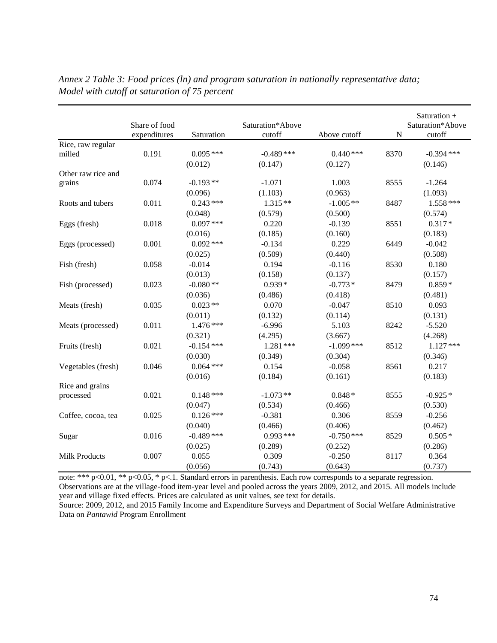|                             | Share of food |                       | Saturation*Above        |                       |             | Saturation +<br>Saturation*Above |
|-----------------------------|---------------|-----------------------|-------------------------|-----------------------|-------------|----------------------------------|
|                             | expenditures  | Saturation            | cutoff                  | Above cutoff          | $\mathbf N$ | cutoff                           |
| Rice, raw regular<br>milled | 0.191         | $0.095***$<br>(0.012) | $-0.489$ ***<br>(0.147) | $0.440***$<br>(0.127) | 8370        | $-0.394$ ***<br>(0.146)          |
| Other raw rice and          |               |                       |                         |                       |             |                                  |
| grains                      | 0.074         | $-0.193**$            | $-1.071$                | 1.003                 | 8555        | $-1.264$                         |
|                             |               | (0.096)               | (1.103)                 | (0.963)               |             | (1.093)                          |
| Roots and tubers            | 0.011         | $0.243***$            | $1.315**$               | $-1.005**$            | 8487        | $1.558***$                       |
|                             |               | (0.048)               | (0.579)                 | (0.500)               |             | (0.574)                          |
| Eggs (fresh)                | 0.018         | $0.097***$            | 0.220                   | $-0.139$              | 8551        | $0.317*$                         |
|                             |               | (0.016)               | (0.185)                 | (0.160)               |             | (0.183)                          |
| Eggs (processed)            | 0.001         | $0.092$ ***           | $-0.134$                | 0.229                 | 6449        | $-0.042$                         |
|                             |               | (0.025)               | (0.509)                 | (0.440)               |             | (0.508)                          |
| Fish (fresh)                | 0.058         | $-0.014$              | 0.194                   | $-0.116$              | 8530        | 0.180                            |
|                             |               | (0.013)               | (0.158)                 | (0.137)               |             | (0.157)                          |
| Fish (processed)            | 0.023         | $-0.080**$            | $0.939*$                | $-0.773*$             | 8479        | $0.859*$                         |
|                             |               | (0.036)               | (0.486)                 | (0.418)               |             | (0.481)                          |
| Meats (fresh)               | 0.035         | $0.023**$             | 0.070                   | $-0.047$              | 8510        | 0.093                            |
|                             |               | (0.011)               | (0.132)                 | (0.114)               |             | (0.131)                          |
| Meats (processed)           | 0.011         | $1.476***$            | $-6.996$                | 5.103                 | 8242        | $-5.520$                         |
|                             |               | (0.321)               | (4.295)                 | (3.667)               |             | (4.268)                          |
| Fruits (fresh)              | 0.021         | $-0.154$ ***          | $1.281***$              | $-1.099$ ***          | 8512        | $1.127***$                       |
|                             |               | (0.030)               | (0.349)                 | (0.304)               |             | (0.346)                          |
| Vegetables (fresh)          | 0.046         | $0.064$ ***           | 0.154                   | $-0.058$              | 8561        | 0.217                            |
|                             |               | (0.016)               | (0.184)                 | (0.161)               |             | (0.183)                          |
| Rice and grains             |               |                       |                         |                       |             |                                  |
| processed                   | 0.021         | $0.148***$            | $-1.073**$              | $0.848*$              | 8555        | $-0.925*$                        |
|                             |               | (0.047)               | (0.534)                 | (0.466)               |             | (0.530)                          |
| Coffee, cocoa, tea          | 0.025         | $0.126***$            | $-0.381$                | 0.306                 | 8559        | $-0.256$                         |
|                             |               | (0.040)               | (0.466)                 | (0.406)               |             | (0.462)                          |
| Sugar                       | 0.016         | $-0.489$ ***          | $0.993***$              | $-0.750$ ***          | 8529        | $0.505*$                         |
|                             |               | (0.025)               | (0.289)                 | (0.252)               |             | (0.286)                          |
| <b>Milk Products</b>        | 0.007         | 0.055                 | 0.309                   | $-0.250$              | 8117        | 0.364                            |
|                             |               | (0.056)               | (0.743)                 | (0.643)               |             | (0.737)                          |

*Annex 2 Table 3: Food prices (ln) and program saturation in nationally representative data; Model with cutoff at saturation of 75 percent*

note: \*\*\* p<0.01, \*\* p<0.05, \* p<.1. Standard errors in parenthesis. Each row corresponds to a separate regression. Observations are at the village-food item-year level and pooled across the years 2009, 2012, and 2015. All models include year and village fixed effects. Prices are calculated as unit values, see text for details.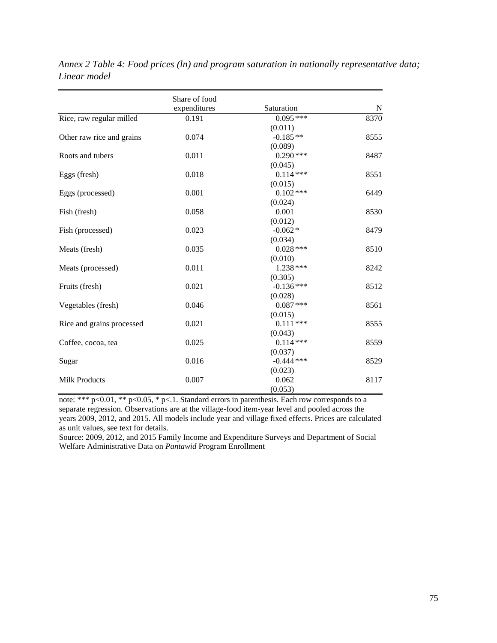|                           | Share of food<br>expenditures | Saturation   | N    |
|---------------------------|-------------------------------|--------------|------|
| Rice, raw regular milled  | 0.191                         | $0.095***$   | 8370 |
|                           |                               | (0.011)      |      |
| Other raw rice and grains | 0.074                         | $-0.185**$   | 8555 |
|                           |                               | (0.089)      |      |
| Roots and tubers          | 0.011                         | $0.290$ ***  | 8487 |
|                           |                               | (0.045)      |      |
| Eggs (fresh)              | 0.018                         | $0.114***$   | 8551 |
|                           |                               | (0.015)      |      |
| Eggs (processed)          | 0.001                         | $0.102$ ***  | 6449 |
|                           |                               | (0.024)      |      |
| Fish (fresh)              | 0.058                         | 0.001        | 8530 |
|                           |                               | (0.012)      |      |
| Fish (processed)          | 0.023                         | $-0.062*$    | 8479 |
|                           |                               | (0.034)      |      |
| Meats (fresh)             | 0.035                         | $0.028***$   | 8510 |
|                           |                               | (0.010)      |      |
| Meats (processed)         | 0.011                         | 1.238 ***    | 8242 |
|                           |                               | (0.305)      |      |
| Fruits (fresh)            | 0.021                         | $-0.136***$  | 8512 |
|                           |                               | (0.028)      |      |
| Vegetables (fresh)        | 0.046                         | $0.087***$   | 8561 |
|                           |                               | (0.015)      |      |
| Rice and grains processed | 0.021                         | $0.111***$   | 8555 |
|                           |                               | (0.043)      |      |
| Coffee, cocoa, tea        | 0.025                         | $0.114***$   | 8559 |
|                           |                               | (0.037)      |      |
| Sugar                     | 0.016                         | $-0.444$ *** | 8529 |
|                           |                               | (0.023)      |      |
| <b>Milk Products</b>      | 0.007                         | 0.062        | 8117 |
|                           |                               | (0.053)      |      |

*Annex 2 Table 4: Food prices (ln) and program saturation in nationally representative data; Linear model* 

note: \*\*\*  $p<0.01$ , \*\*  $p<0.05$ , \*  $p<0.1$ . Standard errors in parenthesis. Each row corresponds to a separate regression. Observations are at the village-food item-year level and pooled across the years 2009, 2012, and 2015. All models include year and village fixed effects. Prices are calculated as unit values, see text for details.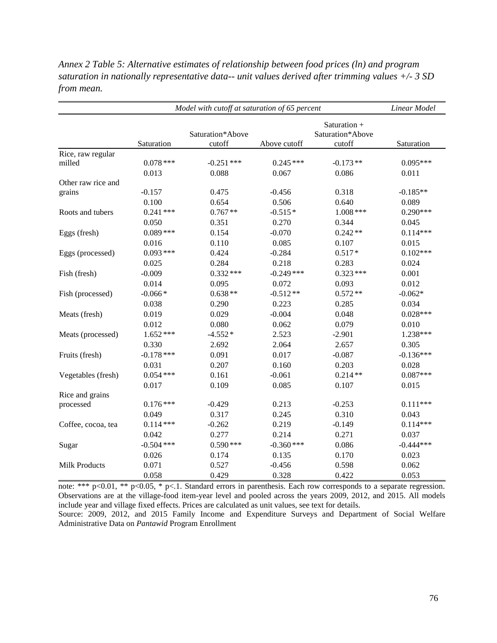| Annex 2 Table 5: Alternative estimates of relationship between food prices (ln) and program               |
|-----------------------------------------------------------------------------------------------------------|
| saturation in nationally representative data-- unit values derived after trimming values $+\prime$ - 3 SD |
| from mean.                                                                                                |

| Model with cutoff at saturation of 65 percent |              |                            |              |                                            | Linear Model |
|-----------------------------------------------|--------------|----------------------------|--------------|--------------------------------------------|--------------|
|                                               | Saturation   | Saturation*Above<br>cutoff | Above cutoff | Saturation +<br>Saturation*Above<br>cutoff | Saturation   |
| Rice, raw regular                             |              |                            |              |                                            |              |
| milled                                        | $0.078$ ***  | $-0.251$ ***               | $0.245***$   | $-0.173**$                                 | $0.095***$   |
|                                               | 0.013        | 0.088                      | 0.067        | 0.086                                      | 0.011        |
| Other raw rice and                            |              |                            |              |                                            |              |
| grains                                        | $-0.157$     | 0.475                      | $-0.456$     | 0.318                                      | $-0.185**$   |
|                                               | 0.100        | 0.654                      | 0.506        | 0.640                                      | 0.089        |
| Roots and tubers                              | $0.241$ ***  | $0.767**$                  | $-0.515*$    | $1.008$ ***                                | $0.290***$   |
|                                               | 0.050        | 0.351                      | 0.270        | 0.344                                      | 0.045        |
| Eggs (fresh)                                  | $0.089***$   | 0.154                      | $-0.070$     | $0.242**$                                  | $0.114***$   |
|                                               | 0.016        | 0.110                      | 0.085        | 0.107                                      | 0.015        |
| Eggs (processed)                              | $0.093***$   | 0.424                      | $-0.284$     | $0.517*$                                   | $0.102***$   |
|                                               | 0.025        | 0.284                      | 0.218        | 0.283                                      | 0.024        |
| Fish (fresh)                                  | $-0.009$     | $0.332***$                 | $-0.249$ *** | $0.323***$                                 | 0.001        |
|                                               | 0.014        | 0.095                      | 0.072        | 0.093                                      | 0.012        |
| Fish (processed)                              | $-0.066*$    | $0.638**$                  | $-0.512**$   | $0.572**$                                  | $-0.062*$    |
|                                               | 0.038        | 0.290                      | 0.223        | 0.285                                      | 0.034        |
| Meats (fresh)                                 | 0.019        | 0.029                      | $-0.004$     | 0.048                                      | $0.028***$   |
|                                               | 0.012        | 0.080                      | 0.062        | 0.079                                      | 0.010        |
| Meats (processed)                             | $1.652***$   | $-4.552*$                  | 2.523        | $-2.901$                                   | 1.238***     |
|                                               | 0.330        | 2.692                      | 2.064        | 2.657                                      | 0.305        |
| Fruits (fresh)                                | $-0.178$ *** | 0.091                      | 0.017        | $-0.087$                                   | $-0.136***$  |
|                                               | 0.031        | 0.207                      | 0.160        | 0.203                                      | 0.028        |
| Vegetables (fresh)                            | $0.054$ ***  | 0.161                      | $-0.061$     | $0.214**$                                  | $0.087***$   |
|                                               | 0.017        | 0.109                      | 0.085        | 0.107                                      | 0.015        |
| Rice and grains                               |              |                            |              |                                            |              |
| processed                                     | $0.176***$   | $-0.429$                   | 0.213        | $-0.253$                                   | $0.111***$   |
|                                               | 0.049        | 0.317                      | 0.245        | 0.310                                      | 0.043        |
| Coffee, cocoa, tea                            | $0.114***$   | $-0.262$                   | 0.219        | $-0.149$                                   | $0.114***$   |
|                                               | 0.042        | 0.277                      | 0.214        | 0.271                                      | 0.037        |
| Sugar                                         | $-0.504$ *** | $0.590$ ***                | $-0.360$ *** | 0.086                                      | $-0.444***$  |
|                                               | 0.026        | 0.174                      | 0.135        | 0.170                                      | 0.023        |
| <b>Milk Products</b>                          | 0.071        | 0.527                      | $-0.456$     | 0.598                                      | 0.062        |
|                                               | 0.058        | 0.429                      | 0.328        | 0.422                                      | 0.053        |

note: \*\*\*  $p<0.01$ , \*\*  $p<0.05$ , \*  $p<1$ . Standard errors in parenthesis. Each row corresponds to a separate regression. Observations are at the village-food item-year level and pooled across the years 2009, 2012, and 2015. All models include year and village fixed effects. Prices are calculated as unit values, see text for details.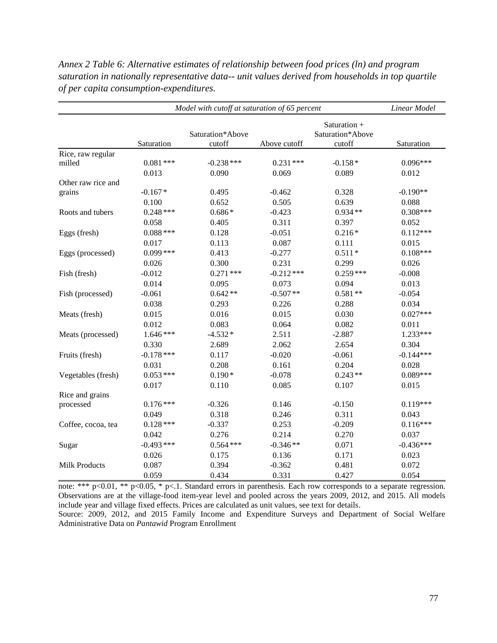| Model with cutoff at saturation of 65 percent |              |                            |              |                                            | Linear Model |
|-----------------------------------------------|--------------|----------------------------|--------------|--------------------------------------------|--------------|
|                                               | Saturation   | Saturation*Above<br>cutoff | Above cutoff | Saturation +<br>Saturation*Above<br>cutoff | Saturation   |
| Rice, raw regular                             |              |                            |              |                                            |              |
| milled                                        | $0.081$ ***  | $-0.238$ ***               | $0.231***$   | $-0.158*$                                  | $0.096***$   |
|                                               | 0.013        | 0.090                      | 0.069        | 0.089                                      | 0.012        |
| Other raw rice and                            |              |                            |              |                                            |              |
| grains                                        | $-0.167*$    | 0.495                      | $-0.462$     | 0.328                                      | $-0.190**$   |
|                                               | 0.100        | 0.652                      | 0.505        | 0.639                                      | 0.088        |
| Roots and tubers                              | $0.248$ ***  | $0.686*$                   | $-0.423$     | $0.934**$                                  | $0.308***$   |
|                                               | 0.058        | 0.405                      | 0.311        | 0.397                                      | 0.052        |
| Eggs (fresh)                                  | $0.088$ ***  | 0.128                      | $-0.051$     | $0.216*$                                   | $0.112***$   |
|                                               | 0.017        | 0.113                      | 0.087        | 0.111                                      | 0.015        |
| Eggs (processed)                              | $0.099***$   | 0.413                      | $-0.277$     | $0.511*$                                   | $0.108***$   |
|                                               | 0.026        | 0.300                      | 0.231        | 0.299                                      | 0.026        |
| Fish (fresh)                                  | $-0.012$     | $0.271$ ***                | $-0.212***$  | $0.259***$                                 | $-0.008$     |
|                                               | 0.014        | 0.095                      | 0.073        | 0.094                                      | 0.013        |
| Fish (processed)                              | $-0.061$     | $0.642**$                  | $-0.507**$   | $0.581**$                                  | $-0.054$     |
|                                               | 0.038        | 0.293                      | 0.226        | 0.288                                      | 0.034        |
| Meats (fresh)                                 | 0.015        | 0.016                      | 0.015        | 0.030                                      | $0.027***$   |
|                                               | 0.012        | 0.083                      | 0.064        | 0.082                                      | 0.011        |
| Meats (processed)                             | $1.646***$   | $-4.532*$                  | 2.511        | $-2.887$                                   | $1.233***$   |
|                                               | 0.330        | 2.689                      | 2.062        | 2.654                                      | 0.304        |
| Fruits (fresh)                                | $-0.178$ *** | 0.117                      | $-0.020$     | $-0.061$                                   | $-0.144***$  |
|                                               | 0.031        | 0.208                      | 0.161        | 0.204                                      | 0.028        |
| Vegetables (fresh)                            | $0.053***$   | $0.190*$                   | $-0.078$     | $0.243**$                                  | $0.089***$   |
|                                               | 0.017        | 0.110                      | 0.085        | 0.107                                      | 0.015        |
| Rice and grains                               |              |                            |              |                                            |              |
| processed                                     | $0.176***$   | $-0.326$                   | 0.146        | $-0.150$                                   | $0.119***$   |
|                                               | 0.049        | 0.318                      | 0.246        | 0.311                                      | 0.043        |
| Coffee, cocoa, tea                            | $0.128***$   | $-0.337$                   | 0.253        | $-0.209$                                   | $0.116***$   |
|                                               | 0.042        | 0.276                      | 0.214        | 0.270                                      | 0.037        |
| Sugar                                         | $-0.493$ *** | $0.564$ ***                | $-0.346**$   | 0.071                                      | $-0.436***$  |
|                                               | 0.026        | 0.175                      | 0.136        | 0.171                                      | 0.023        |
| <b>Milk Products</b>                          | 0.087        | 0.394                      | $-0.362$     | 0.481                                      | 0.072        |
|                                               | 0.059        | 0.434                      | 0.331        | 0.427                                      | 0.054        |

*Annex 2 Table 6: Alternative estimates of relationship between food prices (ln) and program saturation in nationally representative data-- unit values derived from households in top quartile of per capita consumption-expenditures.*

note: \*\*\* p<0.01, \*\* p<0.05, \* p<.1. Standard errors in parenthesis. Each row corresponds to a separate regression. Observations are at the village-food item-year level and pooled across the years 2009, 2012, and 2015. All models include year and village fixed effects. Prices are calculated as unit values, see text for details.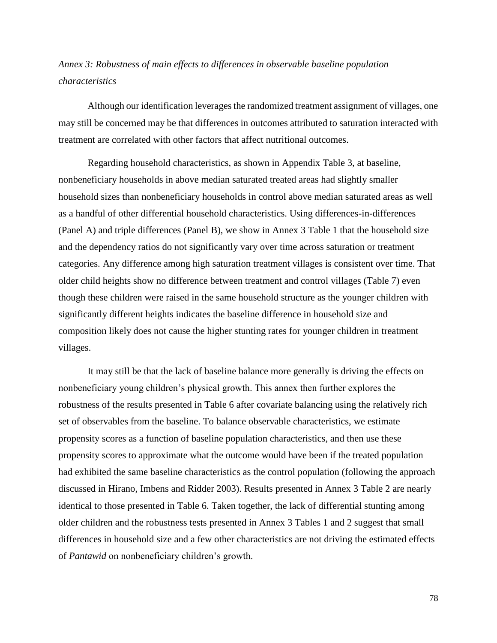# *Annex 3: Robustness of main effects to differences in observable baseline population characteristics*

Although our identification leverages the randomized treatment assignment of villages, one may still be concerned may be that differences in outcomes attributed to saturation interacted with treatment are correlated with other factors that affect nutritional outcomes.

Regarding household characteristics, as shown in Appendix Table 3, at baseline, nonbeneficiary households in above median saturated treated areas had slightly smaller household sizes than nonbeneficiary households in control above median saturated areas as well as a handful of other differential household characteristics. Using differences-in-differences (Panel A) and triple differences (Panel B), we show in Annex 3 Table 1 that the household size and the dependency ratios do not significantly vary over time across saturation or treatment categories. Any difference among high saturation treatment villages is consistent over time. That older child heights show no difference between treatment and control villages (Table 7) even though these children were raised in the same household structure as the younger children with significantly different heights indicates the baseline difference in household size and composition likely does not cause the higher stunting rates for younger children in treatment villages.

It may still be that the lack of baseline balance more generally is driving the effects on nonbeneficiary young children's physical growth. This annex then further explores the robustness of the results presented in Table 6 after covariate balancing using the relatively rich set of observables from the baseline. To balance observable characteristics, we estimate propensity scores as a function of baseline population characteristics, and then use these propensity scores to approximate what the outcome would have been if the treated population had exhibited the same baseline characteristics as the control population (following the approach discussed in Hirano, Imbens and Ridder 2003). Results presented in Annex 3 Table 2 are nearly identical to those presented in Table 6. Taken together, the lack of differential stunting among older children and the robustness tests presented in Annex 3 Tables 1 and 2 suggest that small differences in household size and a few other characteristics are not driving the estimated effects of *Pantawid* on nonbeneficiary children's growth.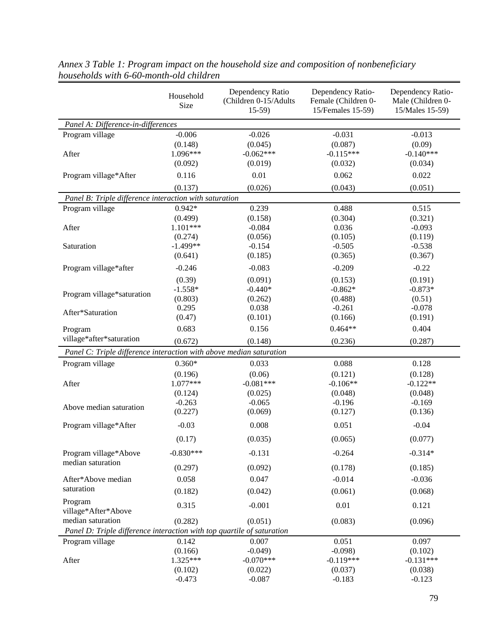|                                                                        | Household<br>Size   | Dependency Ratio<br>(Children 0-15/Adults<br>$15-59$ | Dependency Ratio-<br>Female (Children 0-<br>15/Females 15-59) | Dependency Ratio-<br>Male (Children 0-<br>15/Males 15-59) |
|------------------------------------------------------------------------|---------------------|------------------------------------------------------|---------------------------------------------------------------|-----------------------------------------------------------|
| Panel A: Difference-in-differences                                     |                     |                                                      |                                                               |                                                           |
| Program village                                                        | $-0.006$<br>(0.148) | $-0.026$<br>(0.045)                                  | $-0.031$<br>(0.087)                                           | $-0.013$<br>(0.09)                                        |
| After                                                                  | 1.096***<br>(0.092) | $-0.062***$<br>(0.019)                               | $-0.115***$<br>(0.032)                                        | $-0.140***$<br>(0.034)                                    |
| Program village*After                                                  | 0.116               | 0.01                                                 | 0.062                                                         | 0.022                                                     |
|                                                                        | (0.137)             | (0.026)                                              | (0.043)                                                       | (0.051)                                                   |
| Panel B: Triple difference interaction with saturation                 |                     |                                                      |                                                               |                                                           |
| Program village                                                        | $0.942*$            | 0.239                                                | 0.488                                                         | 0.515                                                     |
|                                                                        | (0.499)             | (0.158)                                              | (0.304)                                                       | (0.321)                                                   |
| After                                                                  | $1.101***$          | $-0.084$                                             | 0.036                                                         | $-0.093$                                                  |
|                                                                        | (0.274)             | (0.056)                                              | (0.105)                                                       | (0.119)                                                   |
| Saturation                                                             | $-1.499**$          | $-0.154$                                             | $-0.505$                                                      | $-0.538$                                                  |
|                                                                        | (0.641)             | (0.185)                                              | (0.365)                                                       | (0.367)                                                   |
| Program village*after                                                  | $-0.246$            | $-0.083$                                             | $-0.209$                                                      | $-0.22$                                                   |
|                                                                        | (0.39)              | (0.091)                                              | (0.153)                                                       | (0.191)                                                   |
| Program village*saturation                                             | $-1.558*$           | $-0.440*$                                            | $-0.862*$                                                     | $-0.873*$                                                 |
|                                                                        | (0.803)             | (0.262)                                              | (0.488)                                                       | (0.51)                                                    |
| After*Saturation                                                       | 0.295               | 0.038                                                | $-0.261$                                                      | $-0.078$                                                  |
|                                                                        | (0.47)              | (0.101)                                              | (0.166)                                                       | (0.191)                                                   |
| Program                                                                | 0.683               | 0.156                                                | $0.464**$                                                     | 0.404                                                     |
| village*after*saturation                                               | (0.672)             | (0.148)                                              | (0.236)                                                       | (0.287)                                                   |
| Panel C: Triple difference interaction with above median saturation    |                     |                                                      |                                                               |                                                           |
| Program village                                                        | $0.360*$            | 0.033                                                | 0.088                                                         | 0.128                                                     |
|                                                                        | (0.196)             | (0.06)                                               | (0.121)                                                       | (0.128)                                                   |
| After                                                                  | 1.077***            | $-0.081***$                                          | $-0.106**$                                                    | $-0.122**$                                                |
|                                                                        | (0.124)             | (0.025)                                              | (0.048)                                                       | (0.048)                                                   |
| Above median saturation                                                | $-0.263$            | $-0.065$                                             | $-0.196$                                                      | $-0.169$                                                  |
|                                                                        | (0.227)             | (0.069)                                              | (0.127)                                                       | (0.136)                                                   |
| Program village*After                                                  | $-0.03$             | 0.008                                                | 0.051                                                         | $-0.04$                                                   |
|                                                                        | (0.17)              | (0.035)                                              | (0.065)                                                       | (0.077)                                                   |
| Program village*Above                                                  | $-0.830***$         | $-0.131$                                             | $-0.264$                                                      | $-0.314*$                                                 |
| median saturation                                                      | (0.297)             | (0.092)                                              | (0.178)                                                       | (0.185)                                                   |
| After*Above median                                                     | 0.058               | 0.047                                                | $-0.014$                                                      | $-0.036$                                                  |
| saturation                                                             | (0.182)             | (0.042)                                              | (0.061)                                                       | (0.068)                                                   |
| Program<br>village*After*Above                                         | 0.315               | $-0.001$                                             | 0.01                                                          | 0.121                                                     |
| median saturation                                                      | (0.282)             | (0.051)                                              | (0.083)                                                       | (0.096)                                                   |
| Panel D: Triple difference interaction with top quartile of saturation |                     |                                                      |                                                               |                                                           |
| Program village                                                        | 0.142               | 0.007                                                | 0.051                                                         | 0.097                                                     |
|                                                                        | (0.166)             | $-0.049$ )                                           | $-0.098$                                                      | (0.102)                                                   |
| After                                                                  | $1.325***$          | $-0.070***$                                          | $-0.119***$                                                   | $-0.131***$                                               |
|                                                                        | (0.102)             | (0.022)                                              | (0.037)                                                       | (0.038)                                                   |
|                                                                        | $-0.473$            | $-0.087$                                             | $-0.183$                                                      | $-0.123$                                                  |

*Annex 3 Table 1: Program impact on the household size and composition of nonbeneficiary households with 6-60-month-old children*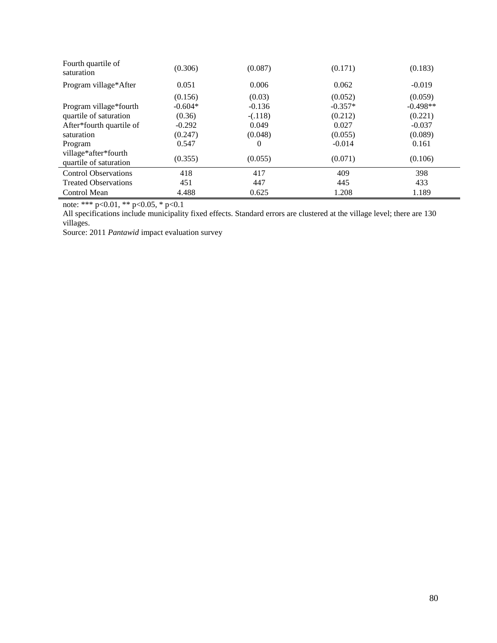| Fourth quartile of<br>saturation               | (0.306)   | (0.087)   | (0.171)   | (0.183)    |
|------------------------------------------------|-----------|-----------|-----------|------------|
| Program village*After                          | 0.051     | 0.006     | 0.062     | $-0.019$   |
|                                                | (0.156)   | (0.03)    | (0.052)   | (0.059)    |
| Program village*fourth                         | $-0.604*$ | $-0.136$  | $-0.357*$ | $-0.498**$ |
| quartile of saturation                         | (0.36)    | $-(.118)$ | (0.212)   | (0.221)    |
| After*fourth quartile of                       | $-0.292$  | 0.049     | 0.027     | $-0.037$   |
| saturation                                     | (0.247)   | (0.048)   | (0.055)   | (0.089)    |
| Program                                        | 0.547     | 0         | $-0.014$  | 0.161      |
| village*after*fourth<br>quartile of saturation | (0.355)   | (0.055)   | (0.071)   | (0.106)    |
| <b>Control Observations</b>                    | 418       | 417       | 409       | 398        |
| <b>Treated Observations</b>                    | 451       | 447       | 445       | 433        |
| <b>Control Mean</b>                            | 4.488     | 0.625     | 1.208     | 1.189      |

note: \*\*\* p<0.01, \*\* p<0.05, \* p<0.1

All specifications include municipality fixed effects. Standard errors are clustered at the village level; there are 130 villages.

Source: 2011 *Pantawid* impact evaluation survey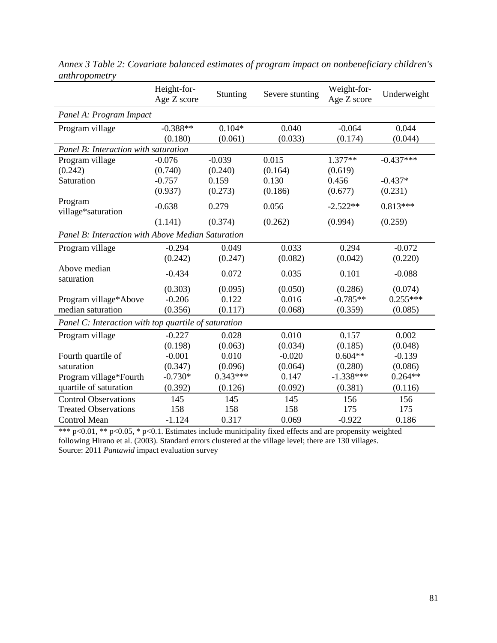|                                                      | Height-for-<br>Age Z score | Stunting   | Severe stunting | Weight-for-<br>Age Z score | Underweight |  |
|------------------------------------------------------|----------------------------|------------|-----------------|----------------------------|-------------|--|
| Panel A: Program Impact                              |                            |            |                 |                            |             |  |
| Program village                                      | $-0.388**$                 | $0.104*$   | 0.040           | $-0.064$                   | 0.044       |  |
|                                                      | (0.180)                    | (0.061)    | (0.033)         | (0.174)                    | (0.044)     |  |
| Panel B: Interaction with saturation                 |                            |            |                 |                            |             |  |
| Program village                                      | $-0.076$                   | $-0.039$   | 0.015           | $1.377**$                  | $-0.437***$ |  |
| (0.242)                                              | (0.740)                    | (0.240)    | (0.164)         | (0.619)                    |             |  |
| Saturation                                           | $-0.757$                   | 0.159      | 0.130           | 0.456                      | $-0.437*$   |  |
|                                                      | (0.937)                    | (0.273)    | (0.186)         | (0.677)                    | (0.231)     |  |
| Program<br>village*saturation                        | $-0.638$                   | 0.279      | 0.056           | $-2.522**$                 | $0.813***$  |  |
|                                                      | (1.141)                    | (0.374)    | (0.262)         | (0.994)                    | (0.259)     |  |
| Panel B: Interaction with Above Median Saturation    |                            |            |                 |                            |             |  |
| Program village                                      | $-0.294$                   | 0.049      | 0.033           | 0.294                      | $-0.072$    |  |
|                                                      | (0.242)                    | (0.247)    | (0.082)         | (0.042)                    | (0.220)     |  |
| Above median<br>saturation                           | $-0.434$                   | 0.072      | 0.035           | 0.101                      | $-0.088$    |  |
|                                                      | (0.303)                    | (0.095)    | (0.050)         | (0.286)                    | (0.074)     |  |
| Program village*Above                                | $-0.206$                   | 0.122      | 0.016           | $-0.785**$                 | $0.255***$  |  |
| median saturation                                    | (0.356)                    | (0.117)    | (0.068)         | (0.359)                    | (0.085)     |  |
| Panel C: Interaction with top quartile of saturation |                            |            |                 |                            |             |  |
| Program village                                      | $-0.227$                   | 0.028      | 0.010           | 0.157                      | 0.002       |  |
|                                                      | (0.198)                    | (0.063)    | (0.034)         | (0.185)                    | (0.048)     |  |
| Fourth quartile of                                   | $-0.001$                   | 0.010      | $-0.020$        | $0.604**$                  | $-0.139$    |  |
| saturation                                           | (0.347)                    | (0.096)    | (0.064)         | (0.280)                    | (0.086)     |  |
| Program village*Fourth                               | $-0.730*$                  | $0.343***$ | 0.147           | $-1.338***$                | $0.264**$   |  |
| quartile of saturation                               | (0.392)                    | (0.126)    | (0.092)         | (0.381)                    | (0.116)     |  |
| <b>Control Observations</b>                          | 145                        | 145        | 145             | 156                        | 156         |  |
| <b>Treated Observations</b>                          | 158                        | 158        | 158             | 175                        | 175         |  |
| <b>Control Mean</b>                                  | $-1.124$                   | 0.317      | 0.069           | $-0.922$                   | 0.186       |  |

*Annex 3 Table 2: Covariate balanced estimates of program impact on nonbeneficiary children's anthropometry*

\*\*\* p<0.01, \*\* p<0.05, \* p<0.1. Estimates include municipality fixed effects and are propensity weighted following Hirano et al. (2003). Standard errors clustered at the village level; there are 130 villages. Source: 2011 *Pantawid* impact evaluation survey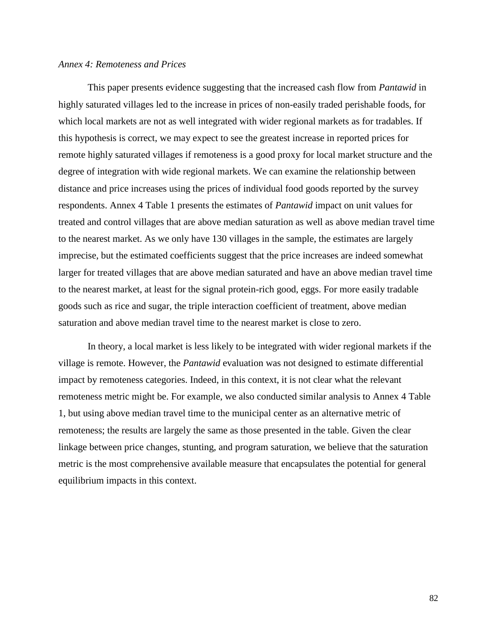### *Annex 4: Remoteness and Prices*

This paper presents evidence suggesting that the increased cash flow from *Pantawid* in highly saturated villages led to the increase in prices of non-easily traded perishable foods, for which local markets are not as well integrated with wider regional markets as for tradables. If this hypothesis is correct, we may expect to see the greatest increase in reported prices for remote highly saturated villages if remoteness is a good proxy for local market structure and the degree of integration with wide regional markets. We can examine the relationship between distance and price increases using the prices of individual food goods reported by the survey respondents. Annex 4 Table 1 presents the estimates of *Pantawid* impact on unit values for treated and control villages that are above median saturation as well as above median travel time to the nearest market. As we only have 130 villages in the sample, the estimates are largely imprecise, but the estimated coefficients suggest that the price increases are indeed somewhat larger for treated villages that are above median saturated and have an above median travel time to the nearest market, at least for the signal protein-rich good, eggs. For more easily tradable goods such as rice and sugar, the triple interaction coefficient of treatment, above median saturation and above median travel time to the nearest market is close to zero.

In theory, a local market is less likely to be integrated with wider regional markets if the village is remote. However, the *Pantawid* evaluation was not designed to estimate differential impact by remoteness categories. Indeed, in this context, it is not clear what the relevant remoteness metric might be. For example, we also conducted similar analysis to Annex 4 Table 1, but using above median travel time to the municipal center as an alternative metric of remoteness; the results are largely the same as those presented in the table. Given the clear linkage between price changes, stunting, and program saturation, we believe that the saturation metric is the most comprehensive available measure that encapsulates the potential for general equilibrium impacts in this context.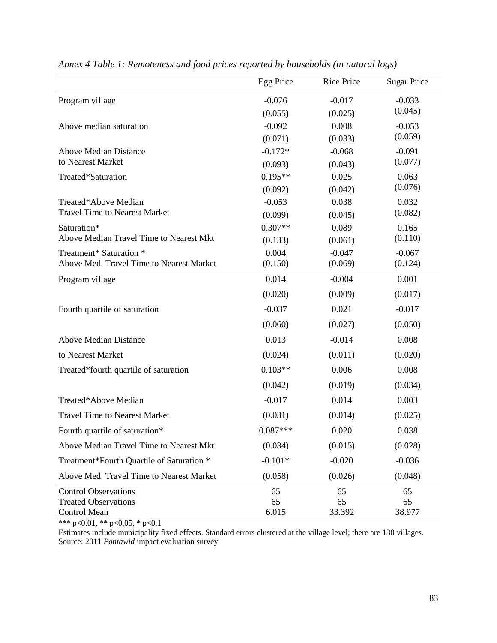|                                             | Egg Price   | <b>Rice Price</b> | <b>Sugar Price</b> |
|---------------------------------------------|-------------|-------------------|--------------------|
| Program village                             | $-0.076$    | $-0.017$          | $-0.033$           |
|                                             | (0.055)     | (0.025)           | (0.045)            |
| Above median saturation                     | $-0.092$    | 0.008             | $-0.053$           |
|                                             | (0.071)     | (0.033)           | (0.059)            |
| <b>Above Median Distance</b>                | $-0.172*$   | $-0.068$          | $-0.091$           |
| to Nearest Market                           | (0.093)     | (0.043)           | (0.077)            |
| Treated*Saturation                          | $0.195**$   | 0.025             | 0.063              |
|                                             | (0.092)     | (0.042)           | (0.076)            |
| Treated*Above Median                        | $-0.053$    | 0.038             | 0.032              |
| <b>Travel Time to Nearest Market</b>        | (0.099)     | (0.045)           | (0.082)            |
| Saturation*                                 | $0.307**$   | 0.089             | 0.165              |
| Above Median Travel Time to Nearest Mkt     | (0.133)     | (0.061)           | (0.110)            |
| Treatment* Saturation *                     | 0.004       | $-0.047$          | $-0.067$           |
| Above Med. Travel Time to Nearest Market    | (0.150)     | (0.069)           | (0.124)            |
| Program village                             | 0.014       | $-0.004$          | 0.001              |
|                                             | (0.020)     | (0.009)           | (0.017)            |
| Fourth quartile of saturation               | $-0.037$    | 0.021             | $-0.017$           |
|                                             | (0.060)     | (0.027)           | (0.050)            |
| <b>Above Median Distance</b>                | 0.013       | $-0.014$          | 0.008              |
| to Nearest Market                           | (0.024)     | (0.011)           | (0.020)            |
| Treated*fourth quartile of saturation       | $0.103**$   | 0.006             | 0.008              |
|                                             | (0.042)     | (0.019)           | (0.034)            |
| Treated*Above Median                        | $-0.017$    | 0.014             | 0.003              |
| <b>Travel Time to Nearest Market</b>        | (0.031)     | (0.014)           | (0.025)            |
| Fourth quartile of saturation*              | $0.087***$  | 0.020             | 0.038              |
| Above Median Travel Time to Nearest Mkt     | (0.034)     | (0.015)           | (0.028)            |
| Treatment*Fourth Quartile of Saturation *   | $-0.101*$   | $-0.020$          | $-0.036$           |
| Above Med. Travel Time to Nearest Market    | (0.058)     | (0.026)           | (0.048)            |
| <b>Control Observations</b>                 | 65          | 65                | 65                 |
| <b>Treated Observations</b><br>Control Mean | 65<br>6.015 | 65<br>33.392      | 65<br>38.977       |

*Annex 4 Table 1: Remoteness and food prices reported by households (in natural logs)*

\*\*\* p<0.01, \*\* p<0.05, \* p<0.1

Estimates include municipality fixed effects. Standard errors clustered at the village level; there are 130 villages. Source: 2011 *Pantawid* impact evaluation survey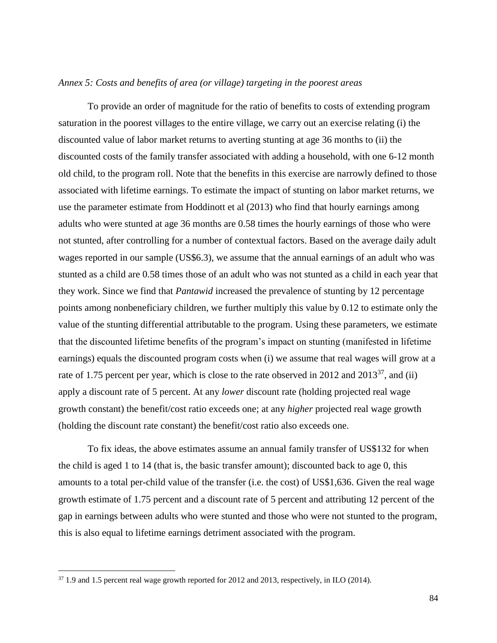# *Annex 5: Costs and benefits of area (or village) targeting in the poorest areas*

To provide an order of magnitude for the ratio of benefits to costs of extending program saturation in the poorest villages to the entire village, we carry out an exercise relating (i) the discounted value of labor market returns to averting stunting at age 36 months to (ii) the discounted costs of the family transfer associated with adding a household, with one 6-12 month old child, to the program roll. Note that the benefits in this exercise are narrowly defined to those associated with lifetime earnings. To estimate the impact of stunting on labor market returns, we use the parameter estimate from Hoddinott et al (2013) who find that hourly earnings among adults who were stunted at age 36 months are 0.58 times the hourly earnings of those who were not stunted, after controlling for a number of contextual factors. Based on the average daily adult wages reported in our sample (US\$6.3), we assume that the annual earnings of an adult who was stunted as a child are 0.58 times those of an adult who was not stunted as a child in each year that they work. Since we find that *Pantawid* increased the prevalence of stunting by 12 percentage points among nonbeneficiary children, we further multiply this value by 0.12 to estimate only the value of the stunting differential attributable to the program. Using these parameters, we estimate that the discounted lifetime benefits of the program's impact on stunting (manifested in lifetime earnings) equals the discounted program costs when (i) we assume that real wages will grow at a rate of 1.75 percent per year, which is close to the rate observed in 2012 and  $2013^{37}$ , and (ii) apply a discount rate of 5 percent. At any *lower* discount rate (holding projected real wage growth constant) the benefit/cost ratio exceeds one; at any *higher* projected real wage growth (holding the discount rate constant) the benefit/cost ratio also exceeds one.

To fix ideas, the above estimates assume an annual family transfer of US\$132 for when the child is aged 1 to 14 (that is, the basic transfer amount); discounted back to age 0, this amounts to a total per-child value of the transfer (i.e. the cost) of US\$1,636. Given the real wage growth estimate of 1.75 percent and a discount rate of 5 percent and attributing 12 percent of the gap in earnings between adults who were stunted and those who were not stunted to the program, this is also equal to lifetime earnings detriment associated with the program.

 $\overline{\phantom{a}}$ 

<sup>37</sup> 1.9 and 1.5 percent real wage growth reported for 2012 and 2013, respectively, in ILO (2014).